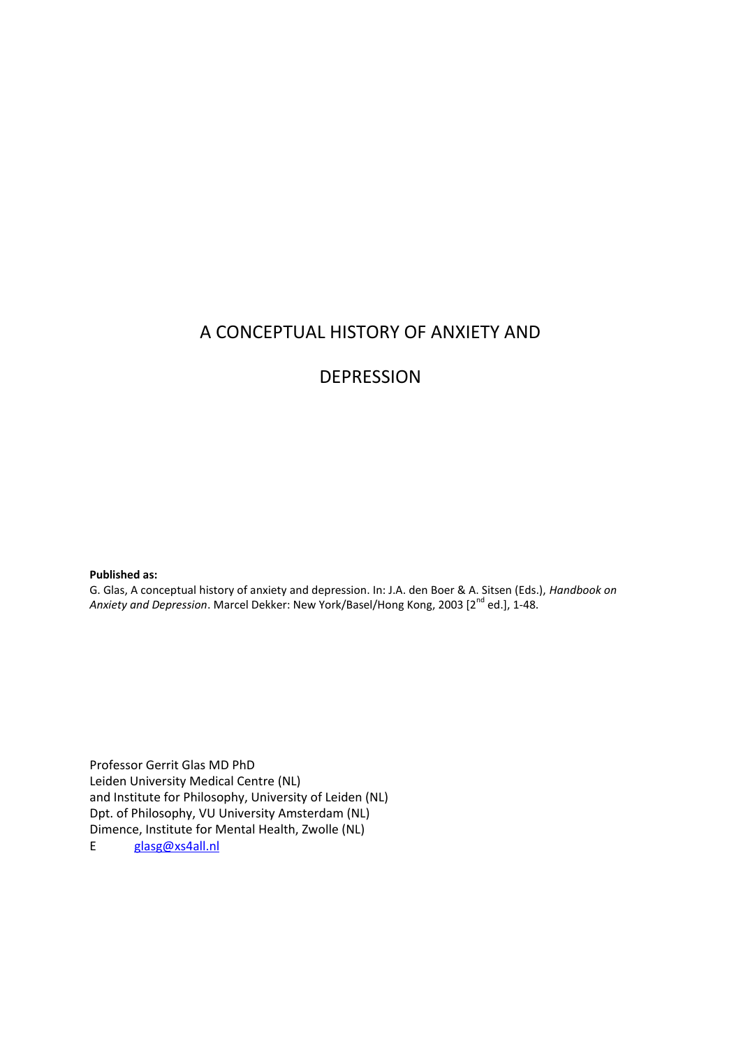# A CONCEPTUAL HISTORY OF ANXIETY AND

# DEPRESSION

**Published as:** 

G. Glas, A conceptual history of anxiety and depression. In: J.A. den Boer & A. Sitsen (Eds.), *Handbook on*  Anxiety and Depression. Marcel Dekker: New York/Basel/Hong Kong, 2003 [2<sup>nd</sup> ed.], 1-48.

Professor Gerrit Glas MD PhD Leiden University Medical Centre (NL) and Institute for Philosophy, University of Leiden (NL) Dpt. of Philosophy, VU University Amsterdam (NL) Dimence, Institute for Mental Health, Zwolle (NL) E [glasg@xs4all.nl](mailto:glasg@xs4all.nl)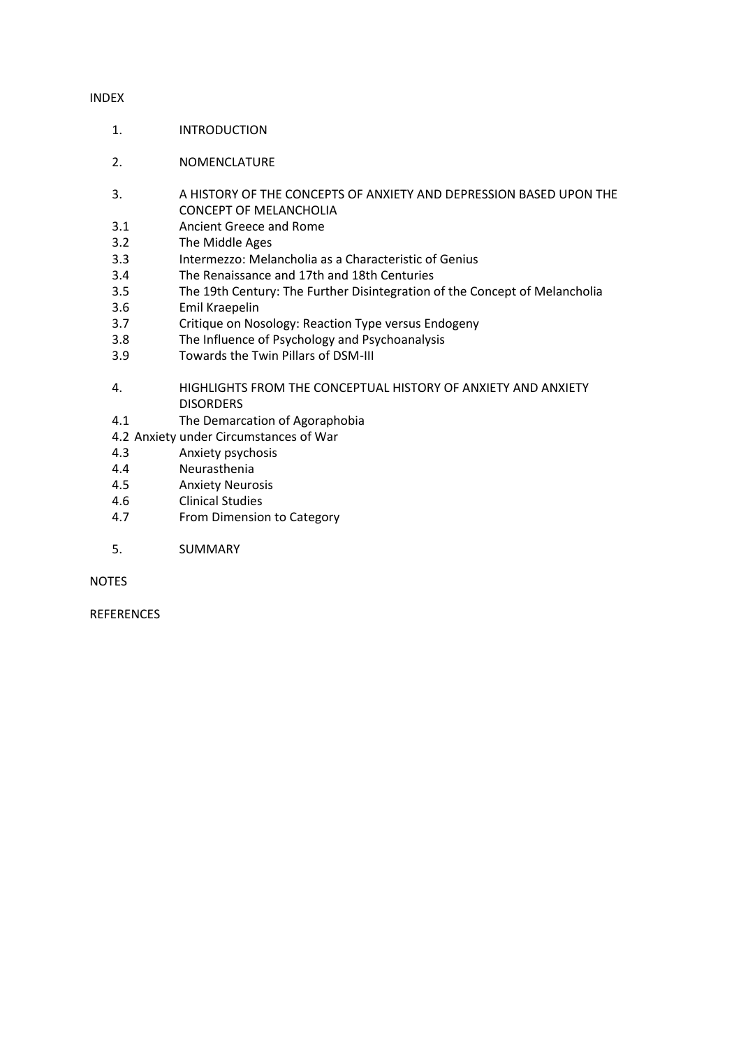# INDEX

- 1. INTRODUCTION
- 2. NOMENCLATURE
- 3. A HISTORY OF THE CONCEPTS OF ANXIETY AND DEPRESSION BASED UPON THE CONCEPT OF MELANCHOLIA
- 3.1 Ancient Greece and Rome
- 3.2 The Middle Ages
- 3.3 Intermezzo: Melancholia as a Characteristic of Genius
- 3.4 The Renaissance and 17th and 18th Centuries
- 3.5 The 19th Century: The Further Disintegration of the Concept of Melancholia
- 3.6 Emil Kraepelin<br>3.7 Critique on No
- 3.7 Critique on Nosology: Reaction Type versus Endogeny
- 3.8 The Influence of Psychology and Psychoanalysis
- 3.9 Towards the Twin Pillars of DSM-III
- 4. HIGHLIGHTS FROM THE CONCEPTUAL HISTORY OF ANXIETY AND ANXIETY **DISORDERS**
- 4.1 The Demarcation of Agoraphobia
- 4.2 Anxiety under Circumstances of War
- 4.3 Anxiety psychosis
- 4.4 Neurasthenia
- 4.5 Anxiety Neurosis
- 4.6 Clinical Studies
- 4.7 From Dimension to Category
- 5. SUMMARY

NOTES

REFERENCES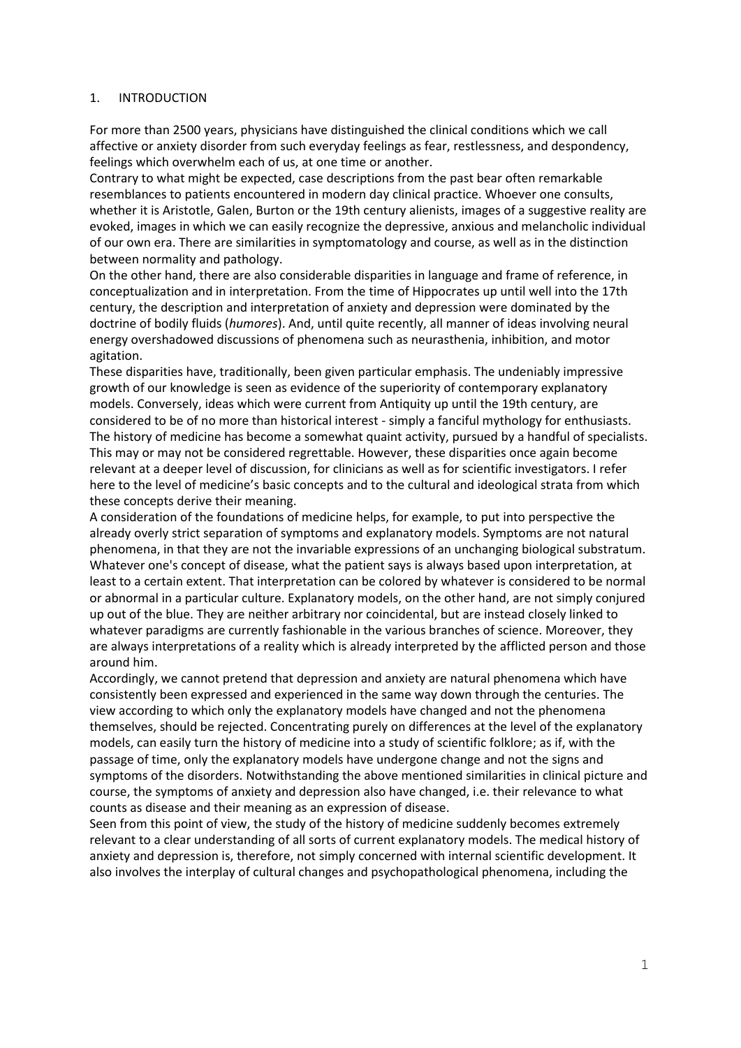# 1. INTRODUCTION

For more than 2500 years, physicians have distinguished the clinical conditions which we call affective or anxiety disorder from such everyday feelings as fear, restlessness, and despondency, feelings which overwhelm each of us, at one time or another.

Contrary to what might be expected, case descriptions from the past bear often remarkable resemblances to patients encountered in modern day clinical practice. Whoever one consults, whether it is Aristotle, Galen, Burton or the 19th century alienists, images of a suggestive reality are evoked, images in which we can easily recognize the depressive, anxious and melancholic individual of our own era. There are similarities in symptomatology and course, as well as in the distinction between normality and pathology.

On the other hand, there are also considerable disparities in language and frame of reference, in conceptualization and in interpretation. From the time of Hippocrates up until well into the 17th century, the description and interpretation of anxiety and depression were dominated by the doctrine of bodily fluids (*humores*). And, until quite recently, all manner of ideas involving neural energy overshadowed discussions of phenomena such as neurasthenia, inhibition, and motor agitation.

These disparities have, traditionally, been given particular emphasis. The undeniably impressive growth of our knowledge is seen as evidence of the superiority of contemporary explanatory models. Conversely, ideas which were current from Antiquity up until the 19th century, are considered to be of no more than historical interest - simply a fanciful mythology for enthusiasts. The history of medicine has become a somewhat quaint activity, pursued by a handful of specialists. This may or may not be considered regrettable. However, these disparities once again become relevant at a deeper level of discussion, for clinicians as well as for scientific investigators. I refer here to the level of medicine's basic concepts and to the cultural and ideological strata from which these concepts derive their meaning.

A consideration of the foundations of medicine helps, for example, to put into perspective the already overly strict separation of symptoms and explanatory models. Symptoms are not natural phenomena, in that they are not the invariable expressions of an unchanging biological substratum. Whatever one's concept of disease, what the patient says is always based upon interpretation, at least to a certain extent. That interpretation can be colored by whatever is considered to be normal or abnormal in a particular culture. Explanatory models, on the other hand, are not simply conjured up out of the blue. They are neither arbitrary nor coincidental, but are instead closely linked to whatever paradigms are currently fashionable in the various branches of science. Moreover, they are always interpretations of a reality which is already interpreted by the afflicted person and those around him.

Accordingly, we cannot pretend that depression and anxiety are natural phenomena which have consistently been expressed and experienced in the same way down through the centuries. The view according to which only the explanatory models have changed and not the phenomena themselves, should be rejected. Concentrating purely on differences at the level of the explanatory models, can easily turn the history of medicine into a study of scientific folklore; as if, with the passage of time, only the explanatory models have undergone change and not the signs and symptoms of the disorders. Notwithstanding the above mentioned similarities in clinical picture and course, the symptoms of anxiety and depression also have changed, i.e. their relevance to what counts as disease and their meaning as an expression of disease.

Seen from this point of view, the study of the history of medicine suddenly becomes extremely relevant to a clear understanding of all sorts of current explanatory models. The medical history of anxiety and depression is, therefore, not simply concerned with internal scientific development. It also involves the interplay of cultural changes and psychopathological phenomena, including the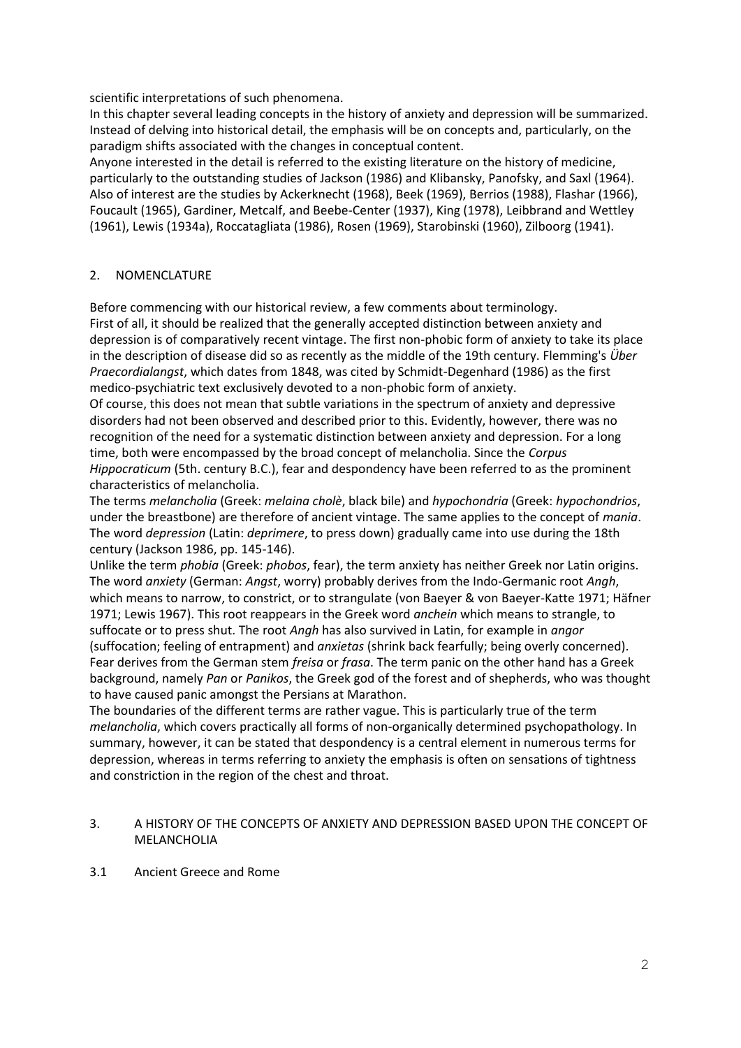scientific interpretations of such phenomena.

In this chapter several leading concepts in the history of anxiety and depression will be summarized. Instead of delving into historical detail, the emphasis will be on concepts and, particularly, on the paradigm shifts associated with the changes in conceptual content.

Anyone interested in the detail is referred to the existing literature on the history of medicine, particularly to the outstanding studies of Jackson (1986) and Klibansky, Panofsky, and Saxl (1964). Also of interest are the studies by Ackerknecht (1968), Beek (1969), Berrios (1988), Flashar (1966), Foucault (1965), Gardiner, Metcalf, and Beebe-Center (1937), King (1978), Leibbrand and Wettley (1961), Lewis (1934a), Roccatagliata (1986), Rosen (1969), Starobinski (1960), Zilboorg (1941).

# 2. NOMENCLATURE

Before commencing with our historical review, a few comments about terminology. First of all, it should be realized that the generally accepted distinction between anxiety and depression is of comparatively recent vintage. The first non-phobic form of anxiety to take its place in the description of disease did so as recently as the middle of the 19th century. Flemming's *Über Praecordialangst*, which dates from 1848, was cited by Schmidt-Degenhard (1986) as the first medico-psychiatric text exclusively devoted to a non-phobic form of anxiety.

Of course, this does not mean that subtle variations in the spectrum of anxiety and depressive disorders had not been observed and described prior to this. Evidently, however, there was no recognition of the need for a systematic distinction between anxiety and depression. For a long time, both were encompassed by the broad concept of melancholia. Since the *Corpus Hippocraticum* (5th. century B.C.), fear and despondency have been referred to as the prominent characteristics of melancholia.

The terms *melancholia* (Greek: *melaina cholè*, black bile) and *hypochondria* (Greek: *hypochondrios*, under the breastbone) are therefore of ancient vintage. The same applies to the concept of *mania*. The word *depression* (Latin: *deprimere*, to press down) gradually came into use during the 18th century (Jackson 1986, pp. 145-146).

Unlike the term *phobia* (Greek: *phobos*, fear), the term anxiety has neither Greek nor Latin origins. The word *anxiety* (German: *Angst*, worry) probably derives from the Indo-Germanic root *Angh*, which means to narrow, to constrict, or to strangulate (von Baeyer & von Baeyer-Katte 1971; Häfner 1971; Lewis 1967). This root reappears in the Greek word *anchein* which means to strangle, to suffocate or to press shut. The root *Angh* has also survived in Latin, for example in *angor* (suffocation; feeling of entrapment) and *anxietas* (shrink back fearfully; being overly concerned). Fear derives from the German stem *freisa* or *frasa*. The term panic on the other hand has a Greek background, namely *Pan* or *Panikos*, the Greek god of the forest and of shepherds, who was thought to have caused panic amongst the Persians at Marathon.

The boundaries of the different terms are rather vague. This is particularly true of the term *melancholia*, which covers practically all forms of non-organically determined psychopathology. In summary, however, it can be stated that despondency is a central element in numerous terms for depression, whereas in terms referring to anxiety the emphasis is often on sensations of tightness and constriction in the region of the chest and throat.

# 3. A HISTORY OF THE CONCEPTS OF ANXIETY AND DEPRESSION BASED UPON THE CONCEPT OF MELANCHOLIA

3.1 Ancient Greece and Rome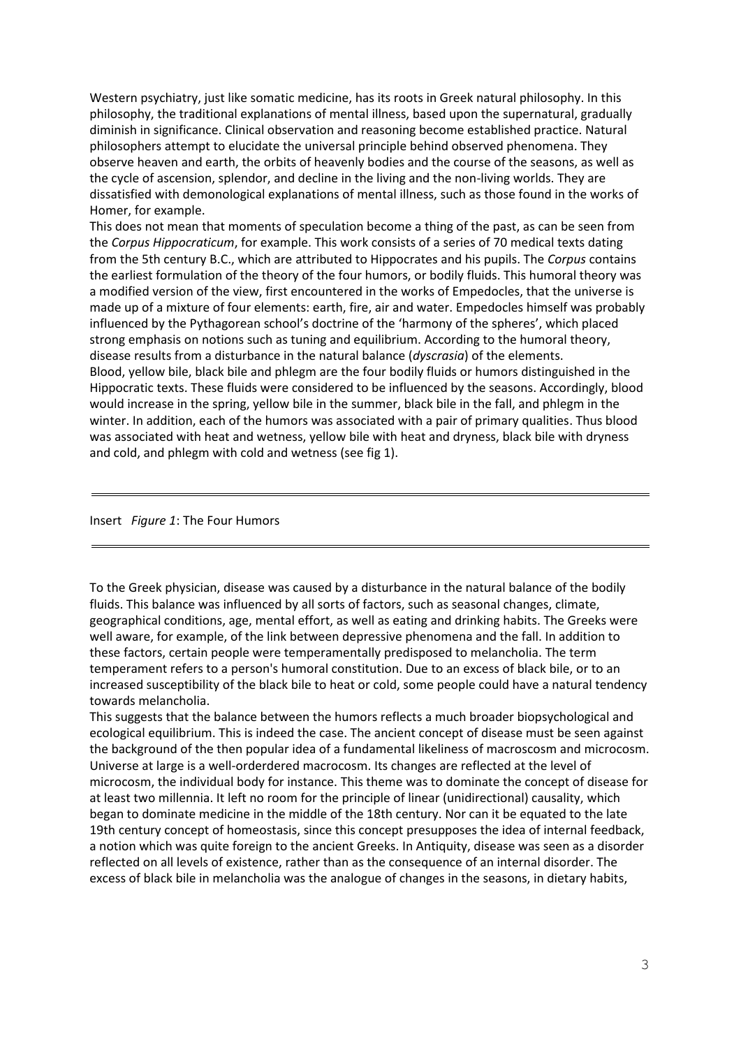Western psychiatry, just like somatic medicine, has its roots in Greek natural philosophy. In this philosophy, the traditional explanations of mental illness, based upon the supernatural, gradually diminish in significance. Clinical observation and reasoning become established practice. Natural philosophers attempt to elucidate the universal principle behind observed phenomena. They observe heaven and earth, the orbits of heavenly bodies and the course of the seasons, as well as the cycle of ascension, splendor, and decline in the living and the non-living worlds. They are dissatisfied with demonological explanations of mental illness, such as those found in the works of Homer, for example.

This does not mean that moments of speculation become a thing of the past, as can be seen from the *Corpus Hippocraticum*, for example. This work consists of a series of 70 medical texts dating from the 5th century B.C., which are attributed to Hippocrates and his pupils. The *Corpus* contains the earliest formulation of the theory of the four humors, or bodily fluids. This humoral theory was a modified version of the view, first encountered in the works of Empedocles, that the universe is made up of a mixture of four elements: earth, fire, air and water. Empedocles himself was probably influenced by the Pythagorean school's doctrine of the 'harmony of the spheres', which placed strong emphasis on notions such as tuning and equilibrium. According to the humoral theory, disease results from a disturbance in the natural balance (*dyscrasia*) of the elements. Blood, yellow bile, black bile and phlegm are the four bodily fluids or humors distinguished in the Hippocratic texts. These fluids were considered to be influenced by the seasons. Accordingly, blood would increase in the spring, yellow bile in the summer, black bile in the fall, and phlegm in the winter. In addition, each of the humors was associated with a pair of primary qualities. Thus blood was associated with heat and wetness, yellow bile with heat and dryness, black bile with dryness

and cold, and phlegm with cold and wetness (see fig 1).

#### Insert *Figure 1*: The Four Humors

To the Greek physician, disease was caused by a disturbance in the natural balance of the bodily fluids. This balance was influenced by all sorts of factors, such as seasonal changes, climate, geographical conditions, age, mental effort, as well as eating and drinking habits. The Greeks were well aware, for example, of the link between depressive phenomena and the fall. In addition to these factors, certain people were temperamentally predisposed to melancholia. The term temperament refers to a person's humoral constitution. Due to an excess of black bile, or to an increased susceptibility of the black bile to heat or cold, some people could have a natural tendency towards melancholia.

This suggests that the balance between the humors reflects a much broader biopsychological and ecological equilibrium. This is indeed the case. The ancient concept of disease must be seen against the background of the then popular idea of a fundamental likeliness of macroscosm and microcosm. Universe at large is a well-orderdered macrocosm. Its changes are reflected at the level of microcosm, the individual body for instance. This theme was to dominate the concept of disease for at least two millennia. It left no room for the principle of linear (unidirectional) causality, which began to dominate medicine in the middle of the 18th century. Nor can it be equated to the late 19th century concept of homeostasis, since this concept presupposes the idea of internal feedback, a notion which was quite foreign to the ancient Greeks. In Antiquity, disease was seen as a disorder reflected on all levels of existence, rather than as the consequence of an internal disorder. The excess of black bile in melancholia was the analogue of changes in the seasons, in dietary habits,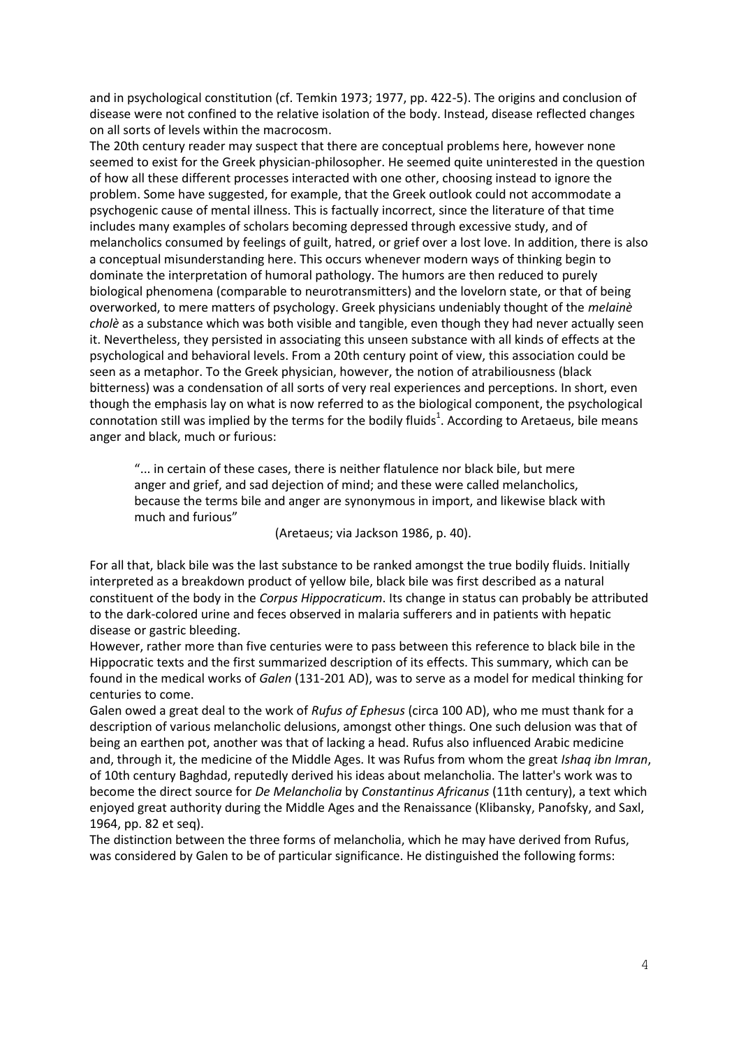and in psychological constitution (cf. Temkin 1973; 1977, pp. 422-5). The origins and conclusion of disease were not confined to the relative isolation of the body. Instead, disease reflected changes on all sorts of levels within the macrocosm.

The 20th century reader may suspect that there are conceptual problems here, however none seemed to exist for the Greek physician-philosopher. He seemed quite uninterested in the question of how all these different processes interacted with one other, choosing instead to ignore the problem. Some have suggested, for example, that the Greek outlook could not accommodate a psychogenic cause of mental illness. This is factually incorrect, since the literature of that time includes many examples of scholars becoming depressed through excessive study, and of melancholics consumed by feelings of guilt, hatred, or grief over a lost love. In addition, there is also a conceptual misunderstanding here. This occurs whenever modern ways of thinking begin to dominate the interpretation of humoral pathology. The humors are then reduced to purely biological phenomena (comparable to neurotransmitters) and the lovelorn state, or that of being overworked, to mere matters of psychology. Greek physicians undeniably thought of the *melainè cholè* as a substance which was both visible and tangible, even though they had never actually seen it. Nevertheless, they persisted in associating this unseen substance with all kinds of effects at the psychological and behavioral levels. From a 20th century point of view, this association could be seen as a metaphor. To the Greek physician, however, the notion of atrabiliousness (black bitterness) was a condensation of all sorts of very real experiences and perceptions. In short, even though the emphasis lay on what is now referred to as the biological component, the psychological connotation still was implied by the terms for the bodily fluids<sup>1</sup>. According to Aretaeus, bile means anger and black, much or furious:

"... in certain of these cases, there is neither flatulence nor black bile, but mere anger and grief, and sad dejection of mind; and these were called melancholics, because the terms bile and anger are synonymous in import, and likewise black with much and furious"

(Aretaeus; via Jackson 1986, p. 40).

For all that, black bile was the last substance to be ranked amongst the true bodily fluids. Initially interpreted as a breakdown product of yellow bile, black bile was first described as a natural constituent of the body in the *Corpus Hippocraticum*. Its change in status can probably be attributed to the dark-colored urine and feces observed in malaria sufferers and in patients with hepatic disease or gastric bleeding.

However, rather more than five centuries were to pass between this reference to black bile in the Hippocratic texts and the first summarized description of its effects. This summary, which can be found in the medical works of *Galen* (131-201 AD), was to serve as a model for medical thinking for centuries to come.

Galen owed a great deal to the work of *Rufus of Ephesus* (circa 100 AD), who me must thank for a description of various melancholic delusions, amongst other things. One such delusion was that of being an earthen pot, another was that of lacking a head. Rufus also influenced Arabic medicine and, through it, the medicine of the Middle Ages. It was Rufus from whom the great *Ishaq ibn Imran*, of 10th century Baghdad, reputedly derived his ideas about melancholia. The latter's work was to become the direct source for *De Melancholia* by *Constantinus Africanus* (11th century), a text which enjoyed great authority during the Middle Ages and the Renaissance (Klibansky, Panofsky, and Saxl, 1964, pp. 82 et seq).

The distinction between the three forms of melancholia, which he may have derived from Rufus, was considered by Galen to be of particular significance. He distinguished the following forms: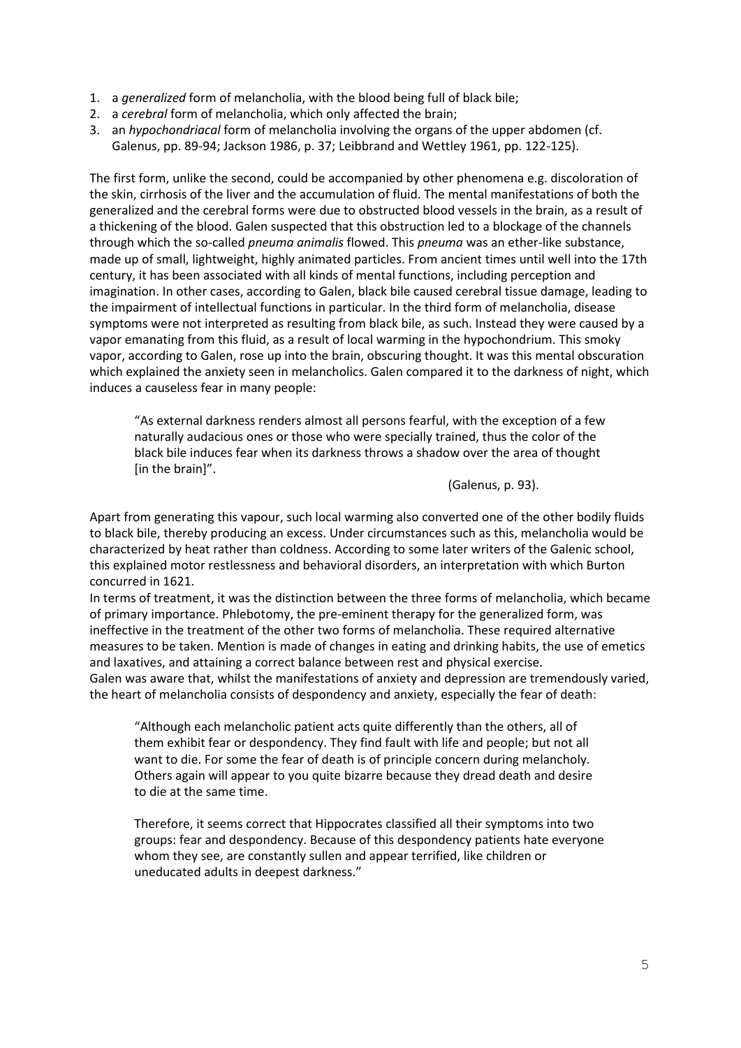- 1. a *generalized* form of melancholia, with the blood being full of black bile;
- 2. a *cerebral* form of melancholia, which only affected the brain;
- 3. an *hypochondriacal* form of melancholia involving the organs of the upper abdomen (cf. Galenus, pp. 89-94; Jackson 1986, p. 37; Leibbrand and Wettley 1961, pp. 122-125).

The first form, unlike the second, could be accompanied by other phenomena e.g. discoloration of the skin, cirrhosis of the liver and the accumulation of fluid. The mental manifestations of both the generalized and the cerebral forms were due to obstructed blood vessels in the brain, as a result of a thickening of the blood. Galen suspected that this obstruction led to a blockage of the channels through which the so-called *pneuma animalis* flowed. This *pneuma* was an ether-like substance, made up of small, lightweight, highly animated particles. From ancient times until well into the 17th century, it has been associated with all kinds of mental functions, including perception and imagination. In other cases, according to Galen, black bile caused cerebral tissue damage, leading to the impairment of intellectual functions in particular. In the third form of melancholia, disease symptoms were not interpreted as resulting from black bile, as such. Instead they were caused by a vapor emanating from this fluid, as a result of local warming in the hypochondrium. This smoky vapor, according to Galen, rose up into the brain, obscuring thought. It was this mental obscuration which explained the anxiety seen in melancholics. Galen compared it to the darkness of night, which induces a causeless fear in many people:

"As external darkness renders almost all persons fearful, with the exception of a few naturally audacious ones or those who were specially trained, thus the color of the black bile induces fear when its darkness throws a shadow over the area of thought [in the brain]".

(Galenus, p. 93).

Apart from generating this vapour, such local warming also converted one of the other bodily fluids to black bile, thereby producing an excess. Under circumstances such as this, melancholia would be characterized by heat rather than coldness. According to some later writers of the Galenic school, this explained motor restlessness and behavioral disorders, an interpretation with which Burton concurred in 1621.

In terms of treatment, it was the distinction between the three forms of melancholia, which became of primary importance. Phlebotomy, the pre-eminent therapy for the generalized form, was ineffective in the treatment of the other two forms of melancholia. These required alternative measures to be taken. Mention is made of changes in eating and drinking habits, the use of emetics and laxatives, and attaining a correct balance between rest and physical exercise. Galen was aware that, whilst the manifestations of anxiety and depression are tremendously varied, the heart of melancholia consists of despondency and anxiety, especially the fear of death:

"Although each melancholic patient acts quite differently than the others, all of them exhibit fear or despondency. They find fault with life and people; but not all want to die. For some the fear of death is of principle concern during melancholy. Others again will appear to you quite bizarre because they dread death and desire to die at the same time.

Therefore, it seems correct that Hippocrates classified all their symptoms into two groups: fear and despondency. Because of this despondency patients hate everyone whom they see, are constantly sullen and appear terrified, like children or uneducated adults in deepest darkness."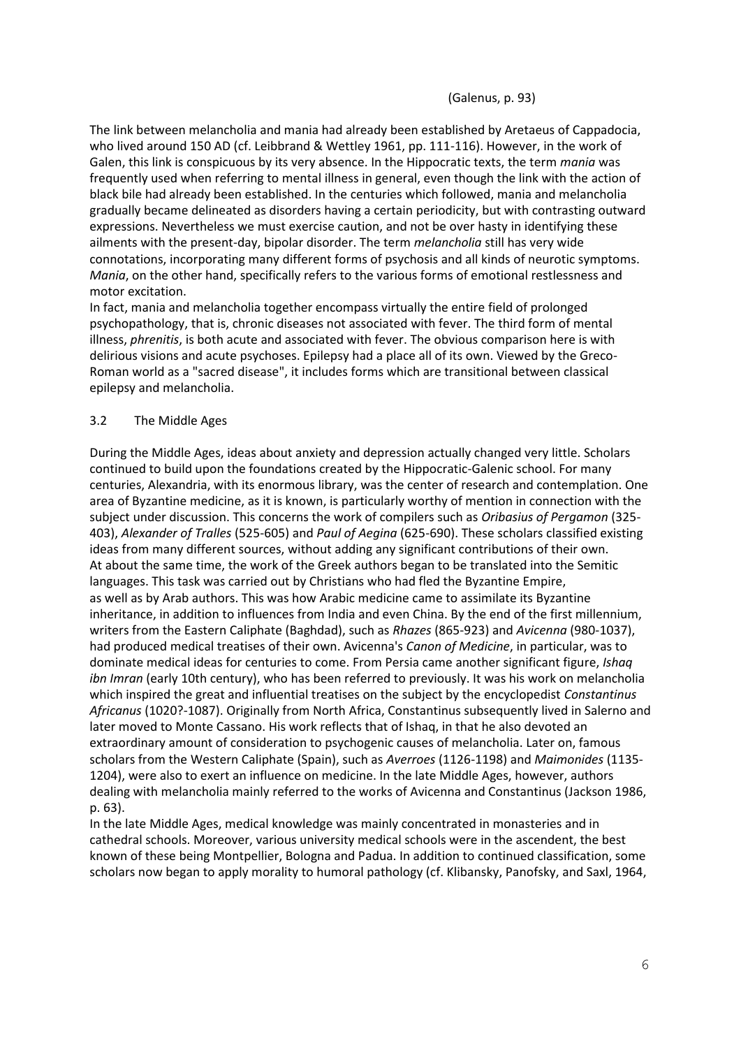(Galenus, p. 93)

The link between melancholia and mania had already been established by Aretaeus of Cappadocia, who lived around 150 AD (cf. Leibbrand & Wettley 1961, pp. 111-116). However, in the work of Galen, this link is conspicuous by its very absence. In the Hippocratic texts, the term *mania* was frequently used when referring to mental illness in general, even though the link with the action of black bile had already been established. In the centuries which followed, mania and melancholia gradually became delineated as disorders having a certain periodicity, but with contrasting outward expressions. Nevertheless we must exercise caution, and not be over hasty in identifying these ailments with the present-day, bipolar disorder. The term *melancholia* still has very wide connotations, incorporating many different forms of psychosis and all kinds of neurotic symptoms. *Mania*, on the other hand, specifically refers to the various forms of emotional restlessness and motor excitation.

In fact, mania and melancholia together encompass virtually the entire field of prolonged psychopathology, that is, chronic diseases not associated with fever. The third form of mental illness, *phrenitis*, is both acute and associated with fever. The obvious comparison here is with delirious visions and acute psychoses. Epilepsy had a place all of its own. Viewed by the Greco-Roman world as a "sacred disease", it includes forms which are transitional between classical epilepsy and melancholia.

# 3.2 The Middle Ages

During the Middle Ages, ideas about anxiety and depression actually changed very little. Scholars continued to build upon the foundations created by the Hippocratic-Galenic school. For many centuries, Alexandria, with its enormous library, was the center of research and contemplation. One area of Byzantine medicine, as it is known, is particularly worthy of mention in connection with the subject under discussion. This concerns the work of compilers such as *Oribasius of Pergamon* (325- 403), *Alexander of Tralles* (525-605) and *Paul of Aegina* (625-690). These scholars classified existing ideas from many different sources, without adding any significant contributions of their own. At about the same time, the work of the Greek authors began to be translated into the Semitic languages. This task was carried out by Christians who had fled the Byzantine Empire, as well as by Arab authors. This was how Arabic medicine came to assimilate its Byzantine inheritance, in addition to influences from India and even China. By the end of the first millennium, writers from the Eastern Caliphate (Baghdad), such as *Rhazes* (865-923) and *Avicenna* (980-1037), had produced medical treatises of their own. Avicenna's *Canon of Medicine*, in particular, was to dominate medical ideas for centuries to come. From Persia came another significant figure, *Ishaq ibn Imran* (early 10th century), who has been referred to previously. It was his work on melancholia which inspired the great and influential treatises on the subject by the encyclopedist *Constantinus Africanus* (1020?-1087). Originally from North Africa, Constantinus subsequently lived in Salerno and later moved to Monte Cassano. His work reflects that of Ishaq, in that he also devoted an extraordinary amount of consideration to psychogenic causes of melancholia. Later on, famous scholars from the Western Caliphate (Spain), such as *Averroes* (1126-1198) and *Maimonides* (1135- 1204), were also to exert an influence on medicine. In the late Middle Ages, however, authors dealing with melancholia mainly referred to the works of Avicenna and Constantinus (Jackson 1986, p. 63).

In the late Middle Ages, medical knowledge was mainly concentrated in monasteries and in cathedral schools. Moreover, various university medical schools were in the ascendent, the best known of these being Montpellier, Bologna and Padua. In addition to continued classification, some scholars now began to apply morality to humoral pathology (cf. Klibansky, Panofsky, and Saxl, 1964,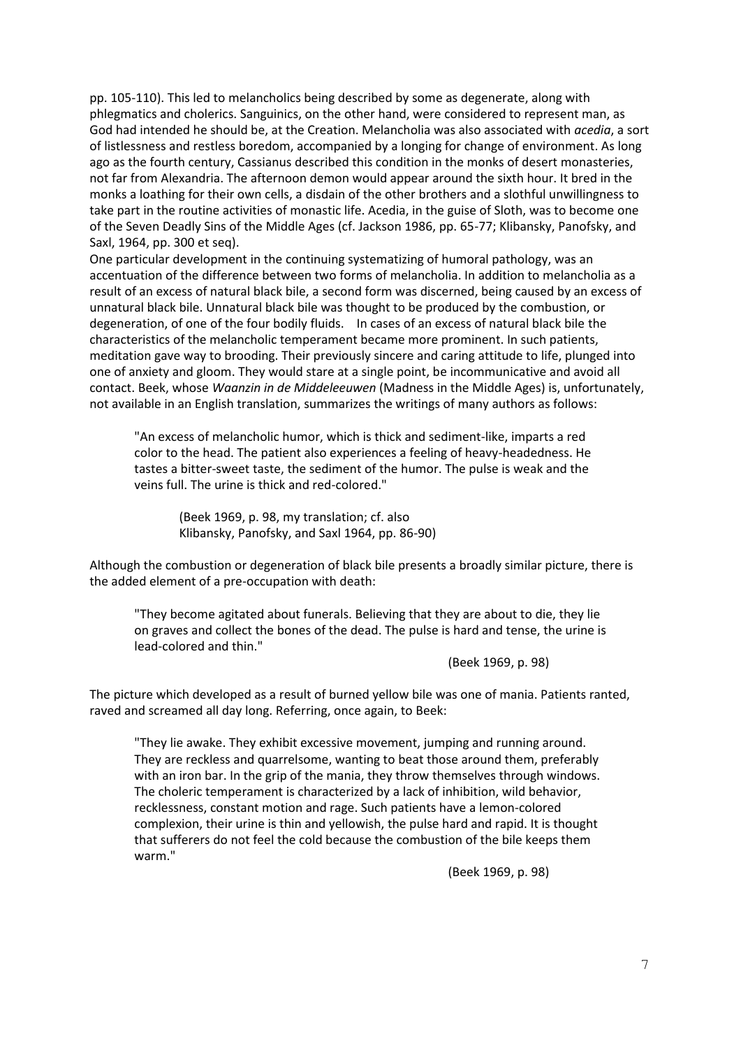pp. 105-110). This led to melancholics being described by some as degenerate, along with phlegmatics and cholerics. Sanguinics, on the other hand, were considered to represent man, as God had intended he should be, at the Creation. Melancholia was also associated with *acedia*, a sort of listlessness and restless boredom, accompanied by a longing for change of environment. As long ago as the fourth century, Cassianus described this condition in the monks of desert monasteries, not far from Alexandria. The afternoon demon would appear around the sixth hour. It bred in the monks a loathing for their own cells, a disdain of the other brothers and a slothful unwillingness to take part in the routine activities of monastic life. Acedia, in the guise of Sloth, was to become one of the Seven Deadly Sins of the Middle Ages (cf. Jackson 1986, pp. 65-77; Klibansky, Panofsky, and Saxl, 1964, pp. 300 et seq).

One particular development in the continuing systematizing of humoral pathology, was an accentuation of the difference between two forms of melancholia. In addition to melancholia as a result of an excess of natural black bile, a second form was discerned, being caused by an excess of unnatural black bile. Unnatural black bile was thought to be produced by the combustion, or degeneration, of one of the four bodily fluids. In cases of an excess of natural black bile the characteristics of the melancholic temperament became more prominent. In such patients, meditation gave way to brooding. Their previously sincere and caring attitude to life, plunged into one of anxiety and gloom. They would stare at a single point, be incommunicative and avoid all contact. Beek, whose *Waanzin in de Middeleeuwen* (Madness in the Middle Ages) is, unfortunately, not available in an English translation, summarizes the writings of many authors as follows:

"An excess of melancholic humor, which is thick and sediment-like, imparts a red color to the head. The patient also experiences a feeling of heavy-headedness. He tastes a bitter-sweet taste, the sediment of the humor. The pulse is weak and the veins full. The urine is thick and red-colored."

(Beek 1969, p. 98, my translation; cf. also Klibansky, Panofsky, and Saxl 1964, pp. 86-90)

Although the combustion or degeneration of black bile presents a broadly similar picture, there is the added element of a pre-occupation with death:

"They become agitated about funerals. Believing that they are about to die, they lie on graves and collect the bones of the dead. The pulse is hard and tense, the urine is lead-colored and thin."

(Beek 1969, p. 98)

The picture which developed as a result of burned yellow bile was one of mania. Patients ranted, raved and screamed all day long. Referring, once again, to Beek:

"They lie awake. They exhibit excessive movement, jumping and running around. They are reckless and quarrelsome, wanting to beat those around them, preferably with an iron bar. In the grip of the mania, they throw themselves through windows. The choleric temperament is characterized by a lack of inhibition, wild behavior, recklessness, constant motion and rage. Such patients have a lemon-colored complexion, their urine is thin and yellowish, the pulse hard and rapid. It is thought that sufferers do not feel the cold because the combustion of the bile keeps them warm."

(Beek 1969, p. 98)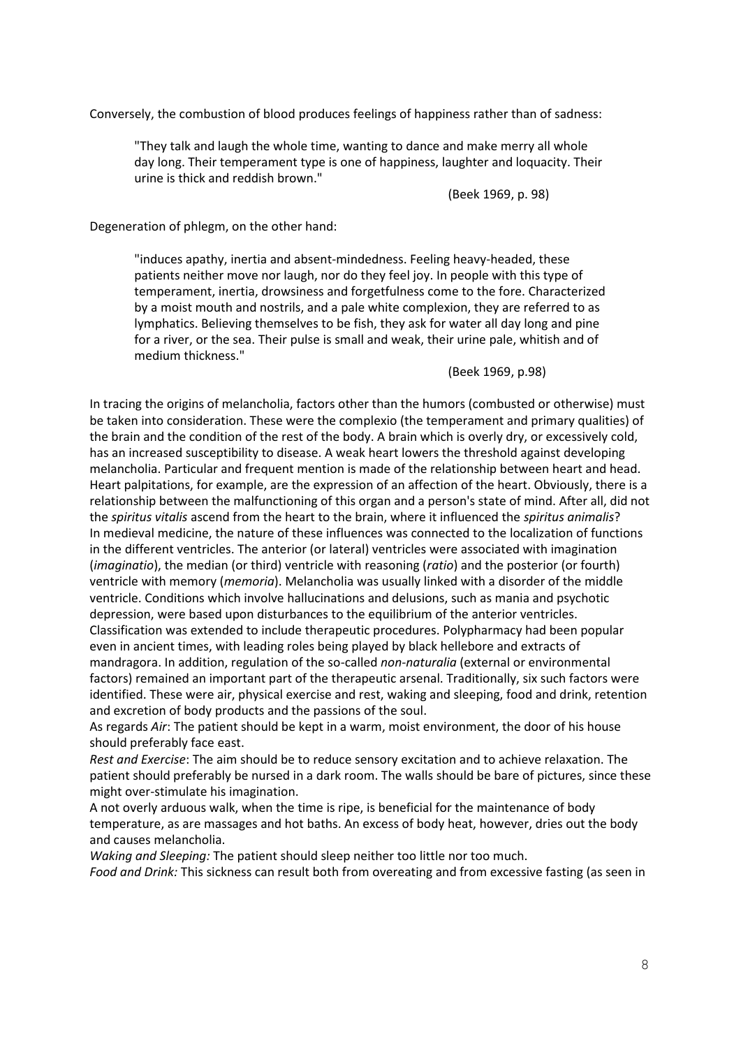Conversely, the combustion of blood produces feelings of happiness rather than of sadness:

"They talk and laugh the whole time, wanting to dance and make merry all whole day long. Their temperament type is one of happiness, laughter and loquacity. Their urine is thick and reddish brown."

(Beek 1969, p. 98)

Degeneration of phlegm, on the other hand:

"induces apathy, inertia and absent-mindedness. Feeling heavy-headed, these patients neither move nor laugh, nor do they feel joy. In people with this type of temperament, inertia, drowsiness and forgetfulness come to the fore. Characterized by a moist mouth and nostrils, and a pale white complexion, they are referred to as lymphatics. Believing themselves to be fish, they ask for water all day long and pine for a river, or the sea. Their pulse is small and weak, their urine pale, whitish and of medium thickness."

(Beek 1969, p.98)

In tracing the origins of melancholia, factors other than the humors (combusted or otherwise) must be taken into consideration. These were the complexio (the temperament and primary qualities) of the brain and the condition of the rest of the body. A brain which is overly dry, or excessively cold, has an increased susceptibility to disease. A weak heart lowers the threshold against developing melancholia. Particular and frequent mention is made of the relationship between heart and head. Heart palpitations, for example, are the expression of an affection of the heart. Obviously, there is a relationship between the malfunctioning of this organ and a person's state of mind. After all, did not the *spiritus vitalis* ascend from the heart to the brain, where it influenced the *spiritus animalis*? In medieval medicine, the nature of these influences was connected to the localization of functions in the different ventricles. The anterior (or lateral) ventricles were associated with imagination (*imaginatio*), the median (or third) ventricle with reasoning (*ratio*) and the posterior (or fourth) ventricle with memory (*memoria*). Melancholia was usually linked with a disorder of the middle ventricle. Conditions which involve hallucinations and delusions, such as mania and psychotic depression, were based upon disturbances to the equilibrium of the anterior ventricles. Classification was extended to include therapeutic procedures. Polypharmacy had been popular even in ancient times, with leading roles being played by black hellebore and extracts of mandragora. In addition, regulation of the so-called *non-naturalia* (external or environmental factors) remained an important part of the therapeutic arsenal. Traditionally, six such factors were identified. These were air, physical exercise and rest, waking and sleeping, food and drink, retention and excretion of body products and the passions of the soul.

As regards *Air*: The patient should be kept in a warm, moist environment, the door of his house should preferably face east.

*Rest and Exercise*: The aim should be to reduce sensory excitation and to achieve relaxation. The patient should preferably be nursed in a dark room. The walls should be bare of pictures, since these might over-stimulate his imagination.

A not overly arduous walk, when the time is ripe, is beneficial for the maintenance of body temperature, as are massages and hot baths. An excess of body heat, however, dries out the body and causes melancholia.

*Waking and Sleeping:* The patient should sleep neither too little nor too much. *Food and Drink:* This sickness can result both from overeating and from excessive fasting (as seen in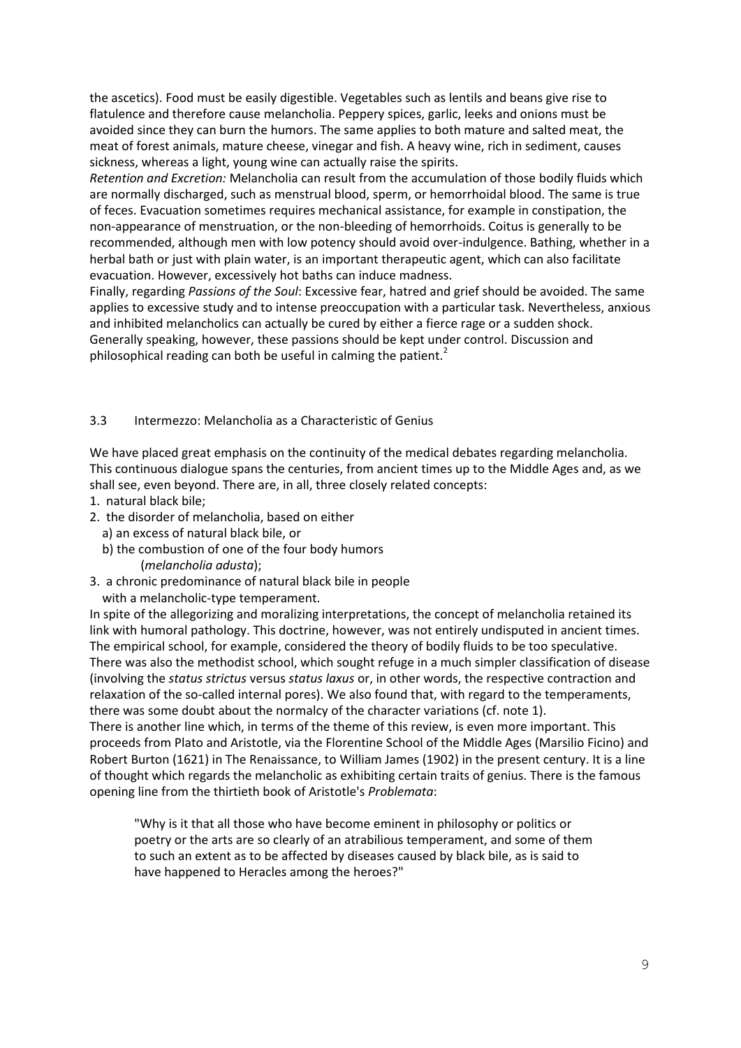the ascetics). Food must be easily digestible. Vegetables such as lentils and beans give rise to flatulence and therefore cause melancholia. Peppery spices, garlic, leeks and onions must be avoided since they can burn the humors. The same applies to both mature and salted meat, the meat of forest animals, mature cheese, vinegar and fish. A heavy wine, rich in sediment, causes sickness, whereas a light, young wine can actually raise the spirits.

*Retention and Excretion:* Melancholia can result from the accumulation of those bodily fluids which are normally discharged, such as menstrual blood, sperm, or hemorrhoidal blood. The same is true of feces. Evacuation sometimes requires mechanical assistance, for example in constipation, the non-appearance of menstruation, or the non-bleeding of hemorrhoids. Coitus is generally to be recommended, although men with low potency should avoid over-indulgence. Bathing, whether in a herbal bath or just with plain water, is an important therapeutic agent, which can also facilitate evacuation. However, excessively hot baths can induce madness.

Finally, regarding *Passions of the Soul*: Excessive fear, hatred and grief should be avoided. The same applies to excessive study and to intense preoccupation with a particular task. Nevertheless, anxious and inhibited melancholics can actually be cured by either a fierce rage or a sudden shock. Generally speaking, however, these passions should be kept under control. Discussion and philosophical reading can both be useful in calming the patient.<sup>2</sup>

#### 3.3 Intermezzo: Melancholia as a Characteristic of Genius

We have placed great emphasis on the continuity of the medical debates regarding melancholia. This continuous dialogue spans the centuries, from ancient times up to the Middle Ages and, as we shall see, even beyond. There are, in all, three closely related concepts:

- 1. natural black bile;
- 2. the disorder of melancholia, based on either
	- a) an excess of natural black bile, or
	- b) the combustion of one of the four body humors (*melancholia adusta*);
- 3. a chronic predominance of natural black bile in people
	- with a melancholic-type temperament.

In spite of the allegorizing and moralizing interpretations, the concept of melancholia retained its link with humoral pathology. This doctrine, however, was not entirely undisputed in ancient times. The empirical school, for example, considered the theory of bodily fluids to be too speculative. There was also the methodist school, which sought refuge in a much simpler classification of disease (involving the *status strictus* versus *status laxus* or, in other words, the respective contraction and relaxation of the so-called internal pores). We also found that, with regard to the temperaments, there was some doubt about the normalcy of the character variations (cf. note 1). There is another line which, in terms of the theme of this review, is even more important. This proceeds from Plato and Aristotle, via the Florentine School of the Middle Ages (Marsilio Ficino) and Robert Burton (1621) in The Renaissance, to William James (1902) in the present century. It is a line of thought which regards the melancholic as exhibiting certain traits of genius. There is the famous

opening line from the thirtieth book of Aristotle's *Problemata*:

"Why is it that all those who have become eminent in philosophy or politics or poetry or the arts are so clearly of an atrabilious temperament, and some of them to such an extent as to be affected by diseases caused by black bile, as is said to have happened to Heracles among the heroes?"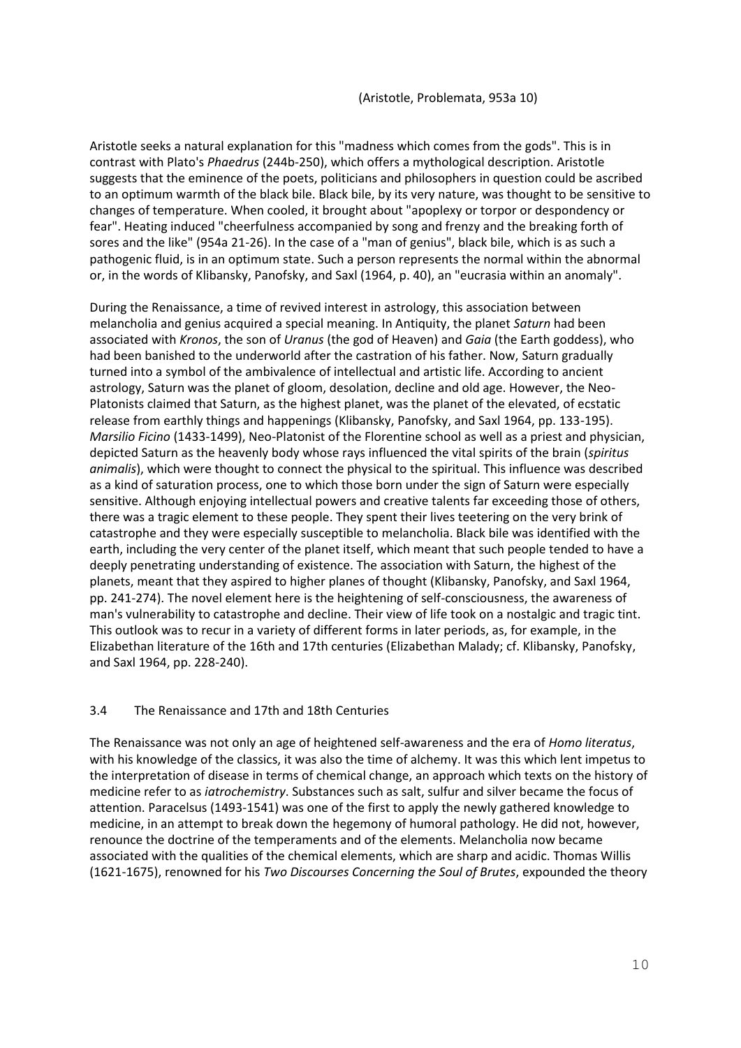# (Aristotle, Problemata, 953a 10)

Aristotle seeks a natural explanation for this "madness which comes from the gods". This is in contrast with Plato's *Phaedrus* (244b-250), which offers a mythological description. Aristotle suggests that the eminence of the poets, politicians and philosophers in question could be ascribed to an optimum warmth of the black bile. Black bile, by its very nature, was thought to be sensitive to changes of temperature. When cooled, it brought about "apoplexy or torpor or despondency or fear". Heating induced "cheerfulness accompanied by song and frenzy and the breaking forth of sores and the like" (954a 21-26). In the case of a "man of genius", black bile, which is as such a pathogenic fluid, is in an optimum state. Such a person represents the normal within the abnormal or, in the words of Klibansky, Panofsky, and Saxl (1964, p. 40), an "eucrasia within an anomaly".

During the Renaissance, a time of revived interest in astrology, this association between melancholia and genius acquired a special meaning. In Antiquity, the planet *Saturn* had been associated with *Kronos*, the son of *Uranus* (the god of Heaven) and *Gaia* (the Earth goddess), who had been banished to the underworld after the castration of his father. Now, Saturn gradually turned into a symbol of the ambivalence of intellectual and artistic life. According to ancient astrology, Saturn was the planet of gloom, desolation, decline and old age. However, the Neo-Platonists claimed that Saturn, as the highest planet, was the planet of the elevated, of ecstatic release from earthly things and happenings (Klibansky, Panofsky, and Saxl 1964, pp. 133-195). *Marsilio Ficino* (1433-1499), Neo-Platonist of the Florentine school as well as a priest and physician, depicted Saturn as the heavenly body whose rays influenced the vital spirits of the brain (*spiritus animalis*), which were thought to connect the physical to the spiritual. This influence was described as a kind of saturation process, one to which those born under the sign of Saturn were especially sensitive. Although enjoying intellectual powers and creative talents far exceeding those of others, there was a tragic element to these people. They spent their lives teetering on the very brink of catastrophe and they were especially susceptible to melancholia. Black bile was identified with the earth, including the very center of the planet itself, which meant that such people tended to have a deeply penetrating understanding of existence. The association with Saturn, the highest of the planets, meant that they aspired to higher planes of thought (Klibansky, Panofsky, and Saxl 1964, pp. 241-274). The novel element here is the heightening of self-consciousness, the awareness of man's vulnerability to catastrophe and decline. Their view of life took on a nostalgic and tragic tint. This outlook was to recur in a variety of different forms in later periods, as, for example, in the Elizabethan literature of the 16th and 17th centuries (Elizabethan Malady; cf. Klibansky, Panofsky, and Saxl 1964, pp. 228-240).

# 3.4 The Renaissance and 17th and 18th Centuries

The Renaissance was not only an age of heightened self-awareness and the era of *Homo literatus*, with his knowledge of the classics, it was also the time of alchemy. It was this which lent impetus to the interpretation of disease in terms of chemical change, an approach which texts on the history of medicine refer to as *iatrochemistry*. Substances such as salt, sulfur and silver became the focus of attention. Paracelsus (1493-1541) was one of the first to apply the newly gathered knowledge to medicine, in an attempt to break down the hegemony of humoral pathology. He did not, however, renounce the doctrine of the temperaments and of the elements. Melancholia now became associated with the qualities of the chemical elements, which are sharp and acidic. Thomas Willis (1621-1675), renowned for his *Two Discourses Concerning the Soul of Brutes*, expounded the theory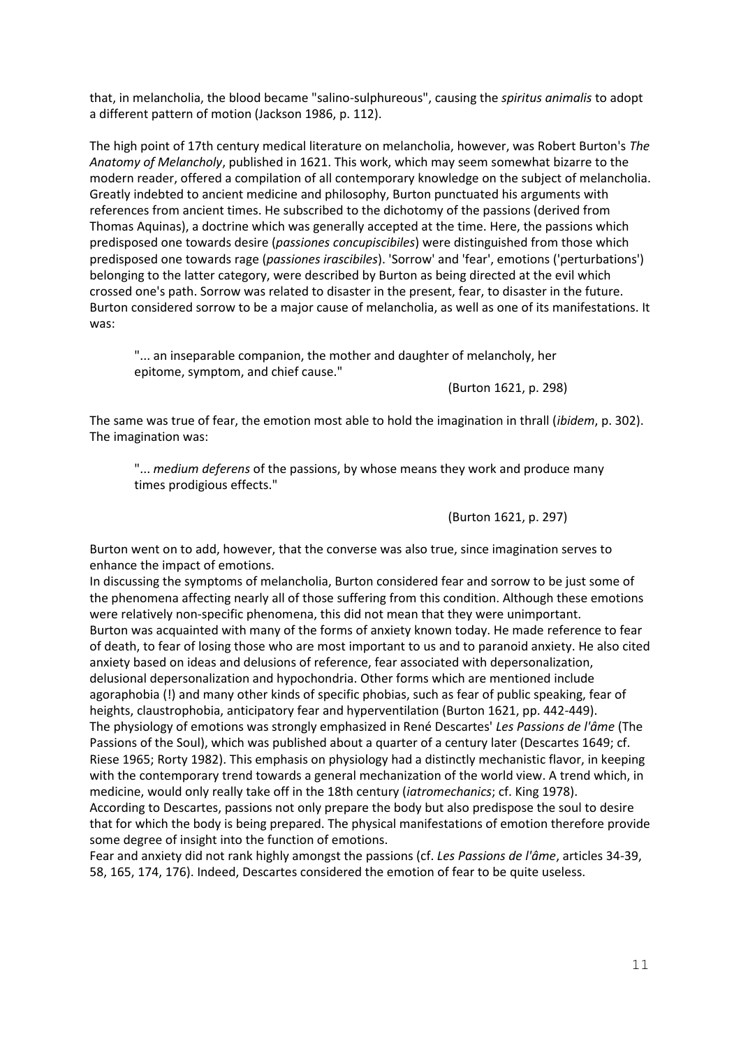that, in melancholia, the blood became "salino-sulphureous", causing the *spiritus animalis* to adopt a different pattern of motion (Jackson 1986, p. 112).

The high point of 17th century medical literature on melancholia, however, was Robert Burton's *The Anatomy of Melancholy*, published in 1621. This work, which may seem somewhat bizarre to the modern reader, offered a compilation of all contemporary knowledge on the subject of melancholia. Greatly indebted to ancient medicine and philosophy, Burton punctuated his arguments with references from ancient times. He subscribed to the dichotomy of the passions (derived from Thomas Aquinas), a doctrine which was generally accepted at the time. Here, the passions which predisposed one towards desire (*passiones concupiscibiles*) were distinguished from those which predisposed one towards rage (*passiones irascibiles*). 'Sorrow' and 'fear', emotions ('perturbations') belonging to the latter category, were described by Burton as being directed at the evil which crossed one's path. Sorrow was related to disaster in the present, fear, to disaster in the future. Burton considered sorrow to be a major cause of melancholia, as well as one of its manifestations. It was:

"... an inseparable companion, the mother and daughter of melancholy, her epitome, symptom, and chief cause."

(Burton 1621, p. 298)

The same was true of fear, the emotion most able to hold the imagination in thrall (*ibidem*, p. 302). The imagination was:

"... *medium deferens* of the passions, by whose means they work and produce many times prodigious effects."

(Burton 1621, p. 297)

Burton went on to add, however, that the converse was also true, since imagination serves to enhance the impact of emotions.

In discussing the symptoms of melancholia, Burton considered fear and sorrow to be just some of the phenomena affecting nearly all of those suffering from this condition. Although these emotions were relatively non-specific phenomena, this did not mean that they were unimportant. Burton was acquainted with many of the forms of anxiety known today. He made reference to fear of death, to fear of losing those who are most important to us and to paranoid anxiety. He also cited anxiety based on ideas and delusions of reference, fear associated with depersonalization, delusional depersonalization and hypochondria. Other forms which are mentioned include agoraphobia (!) and many other kinds of specific phobias, such as fear of public speaking, fear of heights, claustrophobia, anticipatory fear and hyperventilation (Burton 1621, pp. 442-449). The physiology of emotions was strongly emphasized in René Descartes' *Les Passions de l'âme* (The Passions of the Soul), which was published about a quarter of a century later (Descartes 1649; cf. Riese 1965; Rorty 1982). This emphasis on physiology had a distinctly mechanistic flavor, in keeping with the contemporary trend towards a general mechanization of the world view. A trend which, in medicine, would only really take off in the 18th century (*iatromechanics*; cf. King 1978). According to Descartes, passions not only prepare the body but also predispose the soul to desire that for which the body is being prepared. The physical manifestations of emotion therefore provide some degree of insight into the function of emotions.

Fear and anxiety did not rank highly amongst the passions (cf. *Les Passions de l'âme*, articles 34-39, 58, 165, 174, 176). Indeed, Descartes considered the emotion of fear to be quite useless.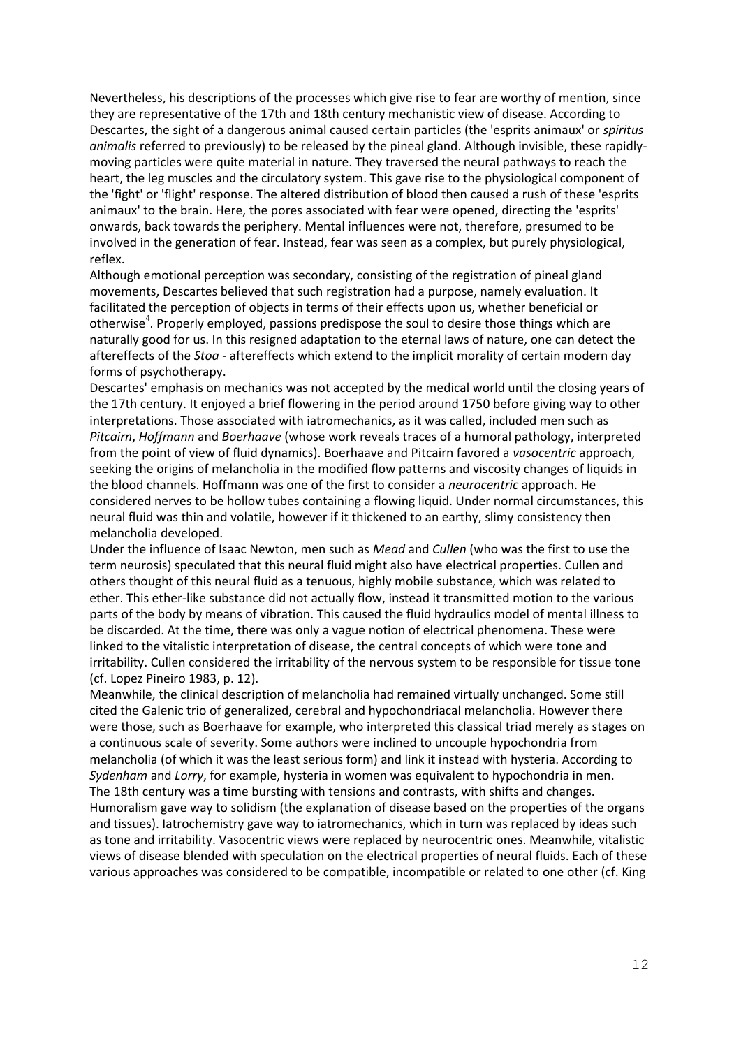Nevertheless, his descriptions of the processes which give rise to fear are worthy of mention, since they are representative of the 17th and 18th century mechanistic view of disease. According to Descartes, the sight of a dangerous animal caused certain particles (the 'esprits animaux' or *spiritus animalis* referred to previously) to be released by the pineal gland. Although invisible, these rapidlymoving particles were quite material in nature. They traversed the neural pathways to reach the heart, the leg muscles and the circulatory system. This gave rise to the physiological component of the 'fight' or 'flight' response. The altered distribution of blood then caused a rush of these 'esprits animaux' to the brain. Here, the pores associated with fear were opened, directing the 'esprits' onwards, back towards the periphery. Mental influences were not, therefore, presumed to be involved in the generation of fear. Instead, fear was seen as a complex, but purely physiological, reflex.

Although emotional perception was secondary, consisting of the registration of pineal gland movements, Descartes believed that such registration had a purpose, namely evaluation. It facilitated the perception of objects in terms of their effects upon us, whether beneficial or otherwise<sup>4</sup>. Properly employed, passions predispose the soul to desire those things which are naturally good for us. In this resigned adaptation to the eternal laws of nature, one can detect the aftereffects of the *Stoa* - aftereffects which extend to the implicit morality of certain modern day forms of psychotherapy.

Descartes' emphasis on mechanics was not accepted by the medical world until the closing years of the 17th century. It enjoyed a brief flowering in the period around 1750 before giving way to other interpretations. Those associated with iatromechanics, as it was called, included men such as *Pitcairn*, *Hoffmann* and *Boerhaave* (whose work reveals traces of a humoral pathology, interpreted from the point of view of fluid dynamics). Boerhaave and Pitcairn favored a *vasocentric* approach, seeking the origins of melancholia in the modified flow patterns and viscosity changes of liquids in the blood channels. Hoffmann was one of the first to consider a *neurocentric* approach. He considered nerves to be hollow tubes containing a flowing liquid. Under normal circumstances, this neural fluid was thin and volatile, however if it thickened to an earthy, slimy consistency then melancholia developed.

Under the influence of Isaac Newton, men such as *Mead* and *Cullen* (who was the first to use the term neurosis) speculated that this neural fluid might also have electrical properties. Cullen and others thought of this neural fluid as a tenuous, highly mobile substance, which was related to ether. This ether-like substance did not actually flow, instead it transmitted motion to the various parts of the body by means of vibration. This caused the fluid hydraulics model of mental illness to be discarded. At the time, there was only a vague notion of electrical phenomena. These were linked to the vitalistic interpretation of disease, the central concepts of which were tone and irritability. Cullen considered the irritability of the nervous system to be responsible for tissue tone (cf. Lopez Pineiro 1983, p. 12).

Meanwhile, the clinical description of melancholia had remained virtually unchanged. Some still cited the Galenic trio of generalized, cerebral and hypochondriacal melancholia. However there were those, such as Boerhaave for example, who interpreted this classical triad merely as stages on a continuous scale of severity. Some authors were inclined to uncouple hypochondria from melancholia (of which it was the least serious form) and link it instead with hysteria. According to *Sydenham* and *Lorry*, for example, hysteria in women was equivalent to hypochondria in men. The 18th century was a time bursting with tensions and contrasts, with shifts and changes. Humoralism gave way to solidism (the explanation of disease based on the properties of the organs and tissues). Iatrochemistry gave way to iatromechanics, which in turn was replaced by ideas such as tone and irritability. Vasocentric views were replaced by neurocentric ones. Meanwhile, vitalistic views of disease blended with speculation on the electrical properties of neural fluids. Each of these various approaches was considered to be compatible, incompatible or related to one other (cf. King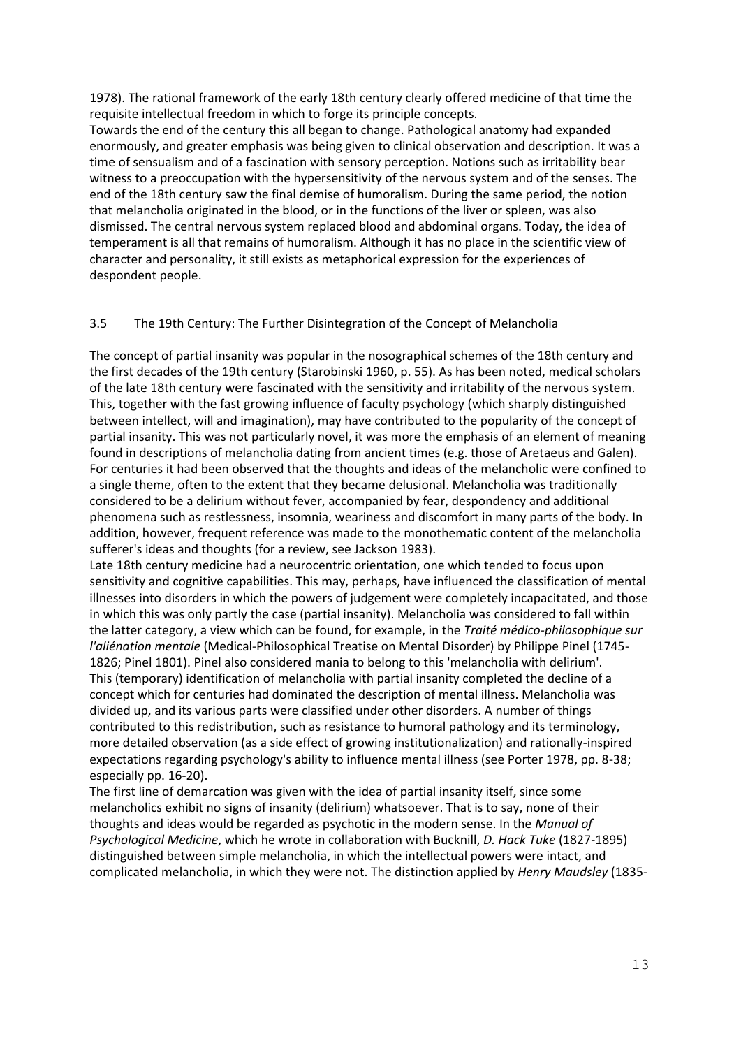1978). The rational framework of the early 18th century clearly offered medicine of that time the requisite intellectual freedom in which to forge its principle concepts.

Towards the end of the century this all began to change. Pathological anatomy had expanded enormously, and greater emphasis was being given to clinical observation and description. It was a time of sensualism and of a fascination with sensory perception. Notions such as irritability bear witness to a preoccupation with the hypersensitivity of the nervous system and of the senses. The end of the 18th century saw the final demise of humoralism. During the same period, the notion that melancholia originated in the blood, or in the functions of the liver or spleen, was also dismissed. The central nervous system replaced blood and abdominal organs. Today, the idea of temperament is all that remains of humoralism. Although it has no place in the scientific view of character and personality, it still exists as metaphorical expression for the experiences of despondent people.

# 3.5 The 19th Century: The Further Disintegration of the Concept of Melancholia

The concept of partial insanity was popular in the nosographical schemes of the 18th century and the first decades of the 19th century (Starobinski 1960, p. 55). As has been noted, medical scholars of the late 18th century were fascinated with the sensitivity and irritability of the nervous system. This, together with the fast growing influence of faculty psychology (which sharply distinguished between intellect, will and imagination), may have contributed to the popularity of the concept of partial insanity. This was not particularly novel, it was more the emphasis of an element of meaning found in descriptions of melancholia dating from ancient times (e.g. those of Aretaeus and Galen). For centuries it had been observed that the thoughts and ideas of the melancholic were confined to a single theme, often to the extent that they became delusional. Melancholia was traditionally considered to be a delirium without fever, accompanied by fear, despondency and additional phenomena such as restlessness, insomnia, weariness and discomfort in many parts of the body. In addition, however, frequent reference was made to the monothematic content of the melancholia sufferer's ideas and thoughts (for a review, see Jackson 1983).

Late 18th century medicine had a neurocentric orientation, one which tended to focus upon sensitivity and cognitive capabilities. This may, perhaps, have influenced the classification of mental illnesses into disorders in which the powers of judgement were completely incapacitated, and those in which this was only partly the case (partial insanity). Melancholia was considered to fall within the latter category, a view which can be found, for example, in the *Traité médico-philosophique sur l'aliénation mentale* (Medical-Philosophical Treatise on Mental Disorder) by Philippe Pinel (1745- 1826; Pinel 1801). Pinel also considered mania to belong to this 'melancholia with delirium'. This (temporary) identification of melancholia with partial insanity completed the decline of a concept which for centuries had dominated the description of mental illness. Melancholia was divided up, and its various parts were classified under other disorders. A number of things contributed to this redistribution, such as resistance to humoral pathology and its terminology, more detailed observation (as a side effect of growing institutionalization) and rationally-inspired expectations regarding psychology's ability to influence mental illness (see Porter 1978, pp. 8-38; especially pp. 16-20).

The first line of demarcation was given with the idea of partial insanity itself, since some melancholics exhibit no signs of insanity (delirium) whatsoever. That is to say, none of their thoughts and ideas would be regarded as psychotic in the modern sense. In the *Manual of Psychological Medicine*, which he wrote in collaboration with Bucknill, *D. Hack Tuke* (1827-1895) distinguished between simple melancholia, in which the intellectual powers were intact, and complicated melancholia, in which they were not. The distinction applied by *Henry Maudsley* (1835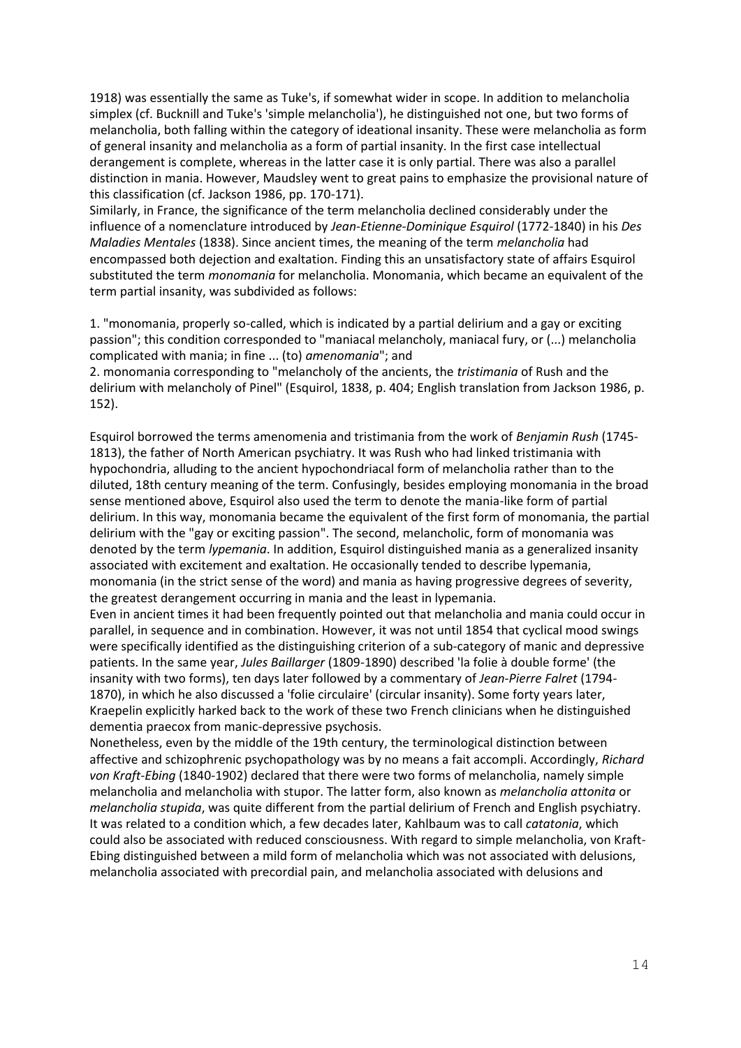1918) was essentially the same as Tuke's, if somewhat wider in scope. In addition to melancholia simplex (cf. Bucknill and Tuke's 'simple melancholia'), he distinguished not one, but two forms of melancholia, both falling within the category of ideational insanity. These were melancholia as form of general insanity and melancholia as a form of partial insanity. In the first case intellectual derangement is complete, whereas in the latter case it is only partial. There was also a parallel distinction in mania. However, Maudsley went to great pains to emphasize the provisional nature of this classification (cf. Jackson 1986, pp. 170-171).

Similarly, in France, the significance of the term melancholia declined considerably under the influence of a nomenclature introduced by *Jean-Etienne-Dominique Esquirol* (1772-1840) in his *Des Maladies Mentales* (1838). Since ancient times, the meaning of the term *melancholia* had encompassed both dejection and exaltation. Finding this an unsatisfactory state of affairs Esquirol substituted the term *monomania* for melancholia. Monomania, which became an equivalent of the term partial insanity, was subdivided as follows:

1. "monomania, properly so-called, which is indicated by a partial delirium and a gay or exciting passion"; this condition corresponded to "maniacal melancholy, maniacal fury, or (...) melancholia complicated with mania; in fine ... (to) *amenomania*"; and

2. monomania corresponding to "melancholy of the ancients, the *tristimania* of Rush and the delirium with melancholy of Pinel" (Esquirol, 1838, p. 404; English translation from Jackson 1986, p. 152).

Esquirol borrowed the terms amenomenia and tristimania from the work of *Benjamin Rush* (1745- 1813), the father of North American psychiatry. It was Rush who had linked tristimania with hypochondria, alluding to the ancient hypochondriacal form of melancholia rather than to the diluted, 18th century meaning of the term. Confusingly, besides employing monomania in the broad sense mentioned above, Esquirol also used the term to denote the mania-like form of partial delirium. In this way, monomania became the equivalent of the first form of monomania, the partial delirium with the "gay or exciting passion". The second, melancholic, form of monomania was denoted by the term *lypemania*. In addition, Esquirol distinguished mania as a generalized insanity associated with excitement and exaltation. He occasionally tended to describe lypemania, monomania (in the strict sense of the word) and mania as having progressive degrees of severity, the greatest derangement occurring in mania and the least in lypemania.

Even in ancient times it had been frequently pointed out that melancholia and mania could occur in parallel, in sequence and in combination. However, it was not until 1854 that cyclical mood swings were specifically identified as the distinguishing criterion of a sub-category of manic and depressive patients. In the same year, *Jules Baillarger* (1809-1890) described 'la folie à double forme' (the insanity with two forms), ten days later followed by a commentary of *Jean-Pierre Falret* (1794- 1870), in which he also discussed a 'folie circulaire' (circular insanity). Some forty years later, Kraepelin explicitly harked back to the work of these two French clinicians when he distinguished dementia praecox from manic-depressive psychosis.

Nonetheless, even by the middle of the 19th century, the terminological distinction between affective and schizophrenic psychopathology was by no means a fait accompli. Accordingly, *Richard von Kraft-Ebing* (1840-1902) declared that there were two forms of melancholia, namely simple melancholia and melancholia with stupor. The latter form, also known as *melancholia attonita* or *melancholia stupida*, was quite different from the partial delirium of French and English psychiatry. It was related to a condition which, a few decades later, Kahlbaum was to call *catatonia*, which could also be associated with reduced consciousness. With regard to simple melancholia, von Kraft-Ebing distinguished between a mild form of melancholia which was not associated with delusions, melancholia associated with precordial pain, and melancholia associated with delusions and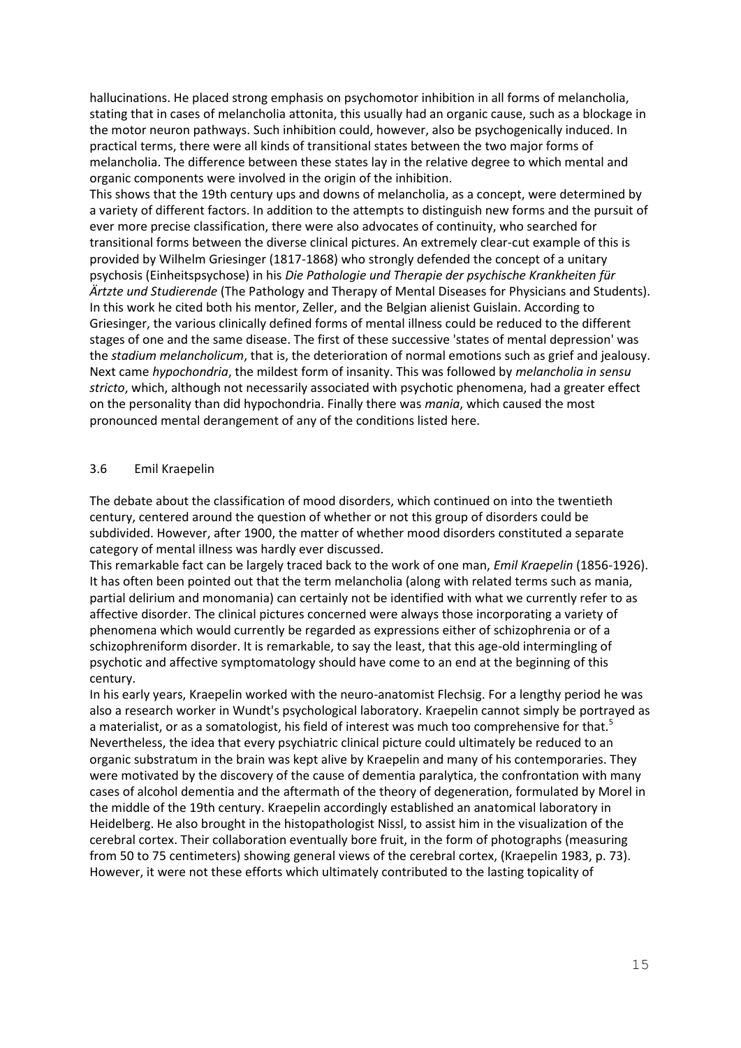hallucinations. He placed strong emphasis on psychomotor inhibition in all forms of melancholia, stating that in cases of melancholia attonita, this usually had an organic cause, such as a blockage in the motor neuron pathways. Such inhibition could, however, also be psychogenically induced. In practical terms, there were all kinds of transitional states between the two major forms of melancholia. The difference between these states lay in the relative degree to which mental and organic components were involved in the origin of the inhibition.

This shows that the 19th century ups and downs of melancholia, as a concept, were determined by a variety of different factors. In addition to the attempts to distinguish new forms and the pursuit of ever more precise classification, there were also advocates of continuity, who searched for transitional forms between the diverse clinical pictures. An extremely clear-cut example of this is provided by Wilhelm Griesinger (1817-1868) who strongly defended the concept of a unitary psychosis (Einheitspsychose) in his *Die Pathologie und Therapie der psychische Krankheiten für Ärtzte und Studierende* (The Pathology and Therapy of Mental Diseases for Physicians and Students). In this work he cited both his mentor, Zeller, and the Belgian alienist Guislain. According to Griesinger, the various clinically defined forms of mental illness could be reduced to the different stages of one and the same disease. The first of these successive 'states of mental depression' was the *stadium melancholicum*, that is, the deterioration of normal emotions such as grief and jealousy. Next came *hypochondria*, the mildest form of insanity. This was followed by *melancholia in sensu stricto*, which, although not necessarily associated with psychotic phenomena, had a greater effect on the personality than did hypochondria. Finally there was *mania*, which caused the most pronounced mental derangement of any of the conditions listed here.

# 3.6 Emil Kraepelin

The debate about the classification of mood disorders, which continued on into the twentieth century, centered around the question of whether or not this group of disorders could be subdivided. However, after 1900, the matter of whether mood disorders constituted a separate category of mental illness was hardly ever discussed.

This remarkable fact can be largely traced back to the work of one man, *Emil Kraepelin* (1856-1926). It has often been pointed out that the term melancholia (along with related terms such as mania, partial delirium and monomania) can certainly not be identified with what we currently refer to as affective disorder. The clinical pictures concerned were always those incorporating a variety of phenomena which would currently be regarded as expressions either of schizophrenia or of a schizophreniform disorder. It is remarkable, to say the least, that this age-old intermingling of psychotic and affective symptomatology should have come to an end at the beginning of this century.

In his early years, Kraepelin worked with the neuro-anatomist Flechsig. For a lengthy period he was also a research worker in Wundt's psychological laboratory. Kraepelin cannot simply be portrayed as a materialist, or as a somatologist, his field of interest was much too comprehensive for that.<sup>5</sup> Nevertheless, the idea that every psychiatric clinical picture could ultimately be reduced to an organic substratum in the brain was kept alive by Kraepelin and many of his contemporaries. They were motivated by the discovery of the cause of dementia paralytica, the confrontation with many cases of alcohol dementia and the aftermath of the theory of degeneration, formulated by Morel in the middle of the 19th century. Kraepelin accordingly established an anatomical laboratory in Heidelberg. He also brought in the histopathologist Nissl, to assist him in the visualization of the cerebral cortex. Their collaboration eventually bore fruit, in the form of photographs (measuring from 50 to 75 centimeters) showing general views of the cerebral cortex, (Kraepelin 1983, p. 73). However, it were not these efforts which ultimately contributed to the lasting topicality of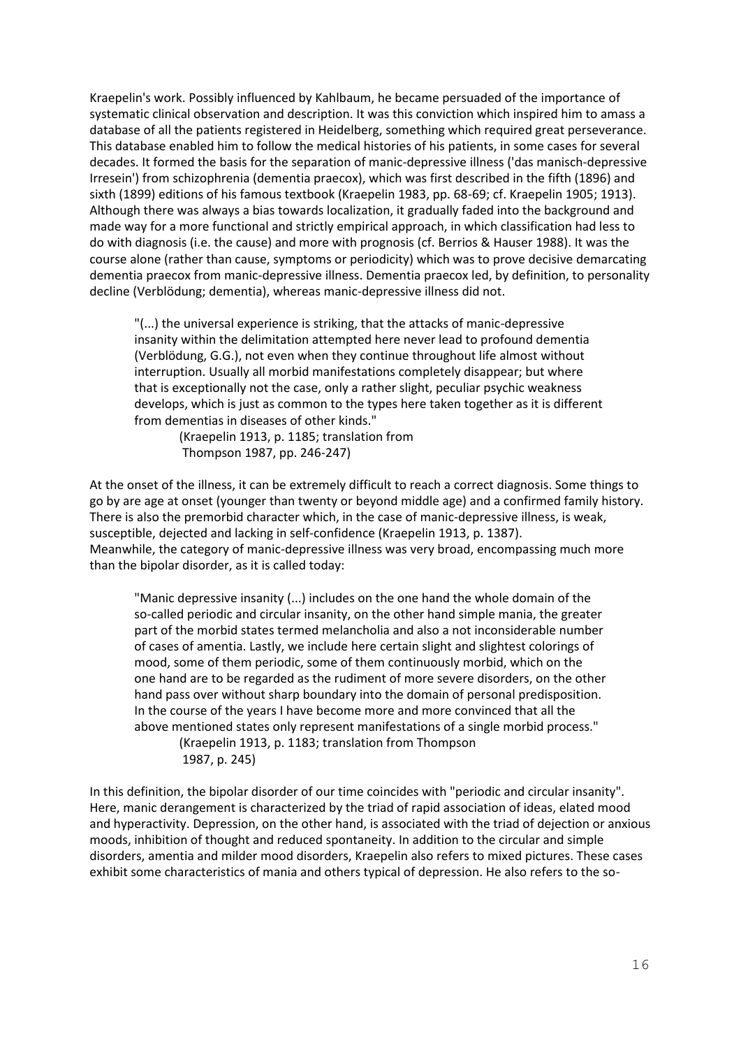Kraepelin's work. Possibly influenced by Kahlbaum, he became persuaded of the importance of systematic clinical observation and description. It was this conviction which inspired him to amass a database of all the patients registered in Heidelberg, something which required great perseverance. This database enabled him to follow the medical histories of his patients, in some cases for several decades. It formed the basis for the separation of manic-depressive illness ('das manisch-depressive Irresein') from schizophrenia (dementia praecox), which was first described in the fifth (1896) and sixth (1899) editions of his famous textbook (Kraepelin 1983, pp. 68-69; cf. Kraepelin 1905; 1913). Although there was always a bias towards localization, it gradually faded into the background and made way for a more functional and strictly empirical approach, in which classification had less to do with diagnosis (i.e. the cause) and more with prognosis (cf. Berrios & Hauser 1988). It was the course alone (rather than cause, symptoms or periodicity) which was to prove decisive demarcating dementia praecox from manic-depressive illness. Dementia praecox led, by definition, to personality decline (Verblödung; dementia), whereas manic-depressive illness did not.

"(...) the universal experience is striking, that the attacks of manic-depressive insanity within the delimitation attempted here never lead to profound dementia (Verblödung, G.G.), not even when they continue throughout life almost without interruption. Usually all morbid manifestations completely disappear; but where that is exceptionally not the case, only a rather slight, peculiar psychic weakness develops, which is just as common to the types here taken together as it is different from dementias in diseases of other kinds."

(Kraepelin 1913, p. 1185; translation from Thompson 1987, pp. 246-247)

At the onset of the illness, it can be extremely difficult to reach a correct diagnosis. Some things to go by are age at onset (younger than twenty or beyond middle age) and a confirmed family history. There is also the premorbid character which, in the case of manic-depressive illness, is weak, susceptible, dejected and lacking in self-confidence (Kraepelin 1913, p. 1387). Meanwhile, the category of manic-depressive illness was very broad, encompassing much more than the bipolar disorder, as it is called today:

"Manic depressive insanity (...) includes on the one hand the whole domain of the so-called periodic and circular insanity, on the other hand simple mania, the greater part of the morbid states termed melancholia and also a not inconsiderable number of cases of amentia. Lastly, we include here certain slight and slightest colorings of mood, some of them periodic, some of them continuously morbid, which on the one hand are to be regarded as the rudiment of more severe disorders, on the other hand pass over without sharp boundary into the domain of personal predisposition. In the course of the years I have become more and more convinced that all the above mentioned states only represent manifestations of a single morbid process." (Kraepelin 1913, p. 1183; translation from Thompson 1987, p. 245)

In this definition, the bipolar disorder of our time coincides with "periodic and circular insanity". Here, manic derangement is characterized by the triad of rapid association of ideas, elated mood and hyperactivity. Depression, on the other hand, is associated with the triad of dejection or anxious moods, inhibition of thought and reduced spontaneity. In addition to the circular and simple disorders, amentia and milder mood disorders, Kraepelin also refers to mixed pictures. These cases exhibit some characteristics of mania and others typical of depression. He also refers to the so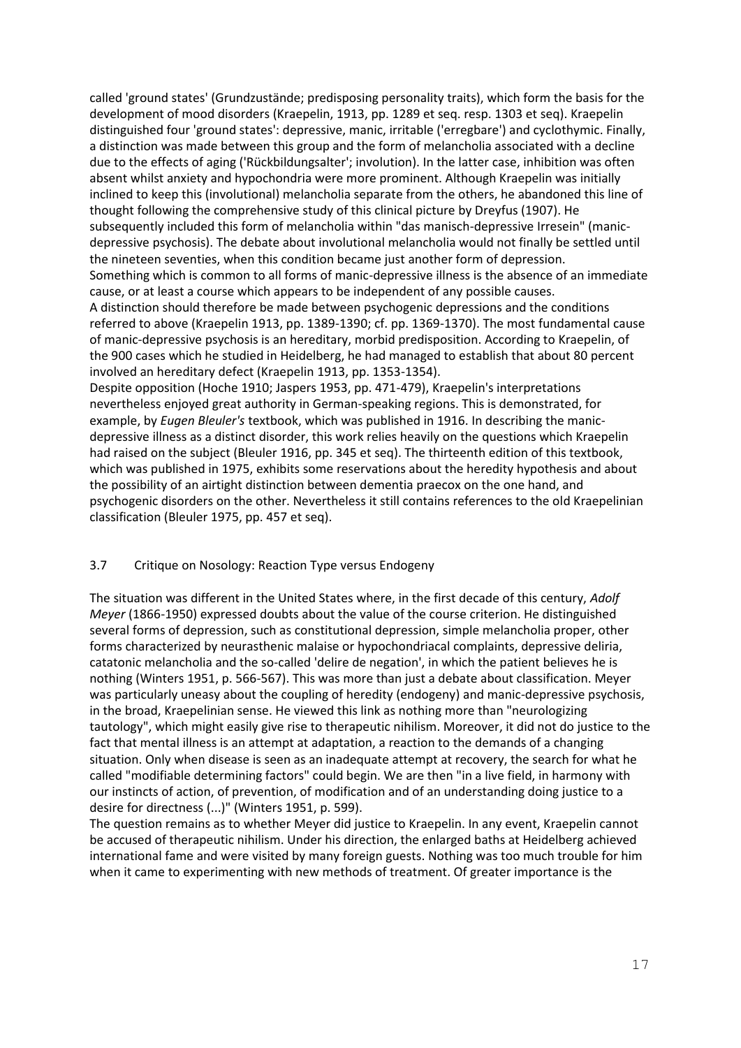called 'ground states' (Grundzustände; predisposing personality traits), which form the basis for the development of mood disorders (Kraepelin, 1913, pp. 1289 et seq. resp. 1303 et seq). Kraepelin distinguished four 'ground states': depressive, manic, irritable ('erregbare') and cyclothymic. Finally, a distinction was made between this group and the form of melancholia associated with a decline due to the effects of aging ('Rückbildungsalter'; involution). In the latter case, inhibition was often absent whilst anxiety and hypochondria were more prominent. Although Kraepelin was initially inclined to keep this (involutional) melancholia separate from the others, he abandoned this line of thought following the comprehensive study of this clinical picture by Dreyfus (1907). He subsequently included this form of melancholia within "das manisch-depressive Irresein" (manicdepressive psychosis). The debate about involutional melancholia would not finally be settled until the nineteen seventies, when this condition became just another form of depression. Something which is common to all forms of manic-depressive illness is the absence of an immediate cause, or at least a course which appears to be independent of any possible causes. A distinction should therefore be made between psychogenic depressions and the conditions referred to above (Kraepelin 1913, pp. 1389-1390; cf. pp. 1369-1370). The most fundamental cause of manic-depressive psychosis is an hereditary, morbid predisposition. According to Kraepelin, of the 900 cases which he studied in Heidelberg, he had managed to establish that about 80 percent involved an hereditary defect (Kraepelin 1913, pp. 1353-1354). Despite opposition (Hoche 1910; Jaspers 1953, pp. 471-479), Kraepelin's interpretations nevertheless enjoyed great authority in German-speaking regions. This is demonstrated, for example, by *Eugen Bleuler's* textbook, which was published in 1916. In describing the manicdepressive illness as a distinct disorder, this work relies heavily on the questions which Kraepelin had raised on the subject (Bleuler 1916, pp. 345 et seq). The thirteenth edition of this textbook,

which was published in 1975, exhibits some reservations about the heredity hypothesis and about the possibility of an airtight distinction between dementia praecox on the one hand, and psychogenic disorders on the other. Nevertheless it still contains references to the old Kraepelinian classification (Bleuler 1975, pp. 457 et seq).

# 3.7 Critique on Nosology: Reaction Type versus Endogeny

The situation was different in the United States where, in the first decade of this century, *Adolf Meyer* (1866-1950) expressed doubts about the value of the course criterion. He distinguished several forms of depression, such as constitutional depression, simple melancholia proper, other forms characterized by neurasthenic malaise or hypochondriacal complaints, depressive deliria, catatonic melancholia and the so-called 'delire de negation', in which the patient believes he is nothing (Winters 1951, p. 566-567). This was more than just a debate about classification. Meyer was particularly uneasy about the coupling of heredity (endogeny) and manic-depressive psychosis, in the broad, Kraepelinian sense. He viewed this link as nothing more than "neurologizing tautology", which might easily give rise to therapeutic nihilism. Moreover, it did not do justice to the fact that mental illness is an attempt at adaptation, a reaction to the demands of a changing situation. Only when disease is seen as an inadequate attempt at recovery, the search for what he called "modifiable determining factors" could begin. We are then "in a live field, in harmony with our instincts of action, of prevention, of modification and of an understanding doing justice to a desire for directness (...)" (Winters 1951, p. 599).

The question remains as to whether Meyer did justice to Kraepelin. In any event, Kraepelin cannot be accused of therapeutic nihilism. Under his direction, the enlarged baths at Heidelberg achieved international fame and were visited by many foreign guests. Nothing was too much trouble for him when it came to experimenting with new methods of treatment. Of greater importance is the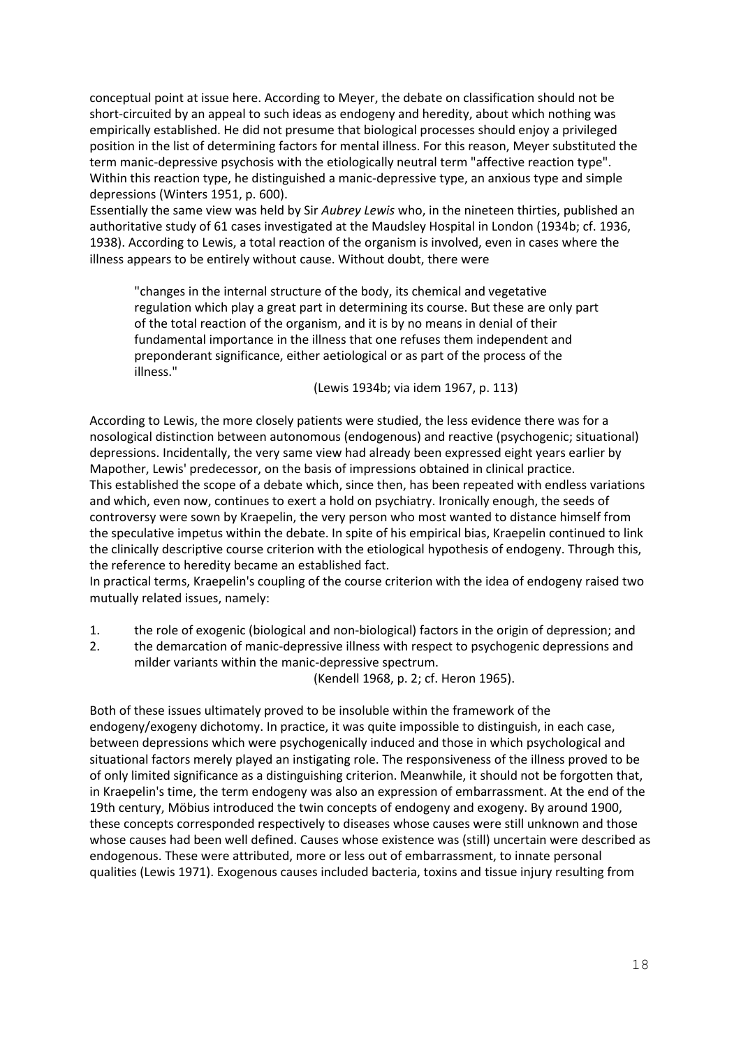conceptual point at issue here. According to Meyer, the debate on classification should not be short-circuited by an appeal to such ideas as endogeny and heredity, about which nothing was empirically established. He did not presume that biological processes should enjoy a privileged position in the list of determining factors for mental illness. For this reason, Meyer substituted the term manic-depressive psychosis with the etiologically neutral term "affective reaction type". Within this reaction type, he distinguished a manic-depressive type, an anxious type and simple depressions (Winters 1951, p. 600).

Essentially the same view was held by Sir *Aubrey Lewis* who, in the nineteen thirties, published an authoritative study of 61 cases investigated at the Maudsley Hospital in London (1934b; cf. 1936, 1938). According to Lewis, a total reaction of the organism is involved, even in cases where the illness appears to be entirely without cause. Without doubt, there were

"changes in the internal structure of the body, its chemical and vegetative regulation which play a great part in determining its course. But these are only part of the total reaction of the organism, and it is by no means in denial of their fundamental importance in the illness that one refuses them independent and preponderant significance, either aetiological or as part of the process of the illness."

(Lewis 1934b; via idem 1967, p. 113)

According to Lewis, the more closely patients were studied, the less evidence there was for a nosological distinction between autonomous (endogenous) and reactive (psychogenic; situational) depressions. Incidentally, the very same view had already been expressed eight years earlier by Mapother, Lewis' predecessor, on the basis of impressions obtained in clinical practice. This established the scope of a debate which, since then, has been repeated with endless variations and which, even now, continues to exert a hold on psychiatry. Ironically enough, the seeds of controversy were sown by Kraepelin, the very person who most wanted to distance himself from the speculative impetus within the debate. In spite of his empirical bias, Kraepelin continued to link the clinically descriptive course criterion with the etiological hypothesis of endogeny. Through this, the reference to heredity became an established fact.

In practical terms, Kraepelin's coupling of the course criterion with the idea of endogeny raised two mutually related issues, namely:

- 1. the role of exogenic (biological and non-biological) factors in the origin of depression; and
- 2. the demarcation of manic-depressive illness with respect to psychogenic depressions and milder variants within the manic-depressive spectrum.

(Kendell 1968, p. 2; cf. Heron 1965).

Both of these issues ultimately proved to be insoluble within the framework of the endogeny/exogeny dichotomy. In practice, it was quite impossible to distinguish, in each case, between depressions which were psychogenically induced and those in which psychological and situational factors merely played an instigating role. The responsiveness of the illness proved to be of only limited significance as a distinguishing criterion. Meanwhile, it should not be forgotten that, in Kraepelin's time, the term endogeny was also an expression of embarrassment. At the end of the 19th century, Möbius introduced the twin concepts of endogeny and exogeny. By around 1900, these concepts corresponded respectively to diseases whose causes were still unknown and those whose causes had been well defined. Causes whose existence was (still) uncertain were described as endogenous. These were attributed, more or less out of embarrassment, to innate personal qualities (Lewis 1971). Exogenous causes included bacteria, toxins and tissue injury resulting from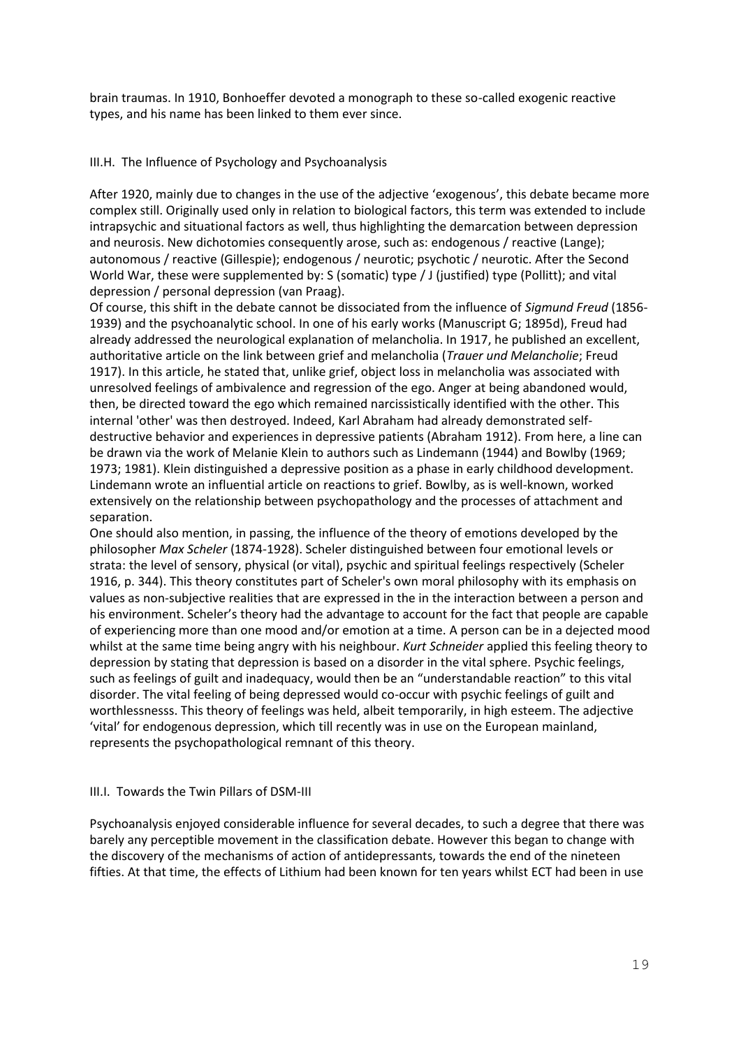brain traumas. In 1910, Bonhoeffer devoted a monograph to these so-called exogenic reactive types, and his name has been linked to them ever since.

# III.H. The Influence of Psychology and Psychoanalysis

After 1920, mainly due to changes in the use of the adjective 'exogenous', this debate became more complex still. Originally used only in relation to biological factors, this term was extended to include intrapsychic and situational factors as well, thus highlighting the demarcation between depression and neurosis. New dichotomies consequently arose, such as: endogenous / reactive (Lange); autonomous / reactive (Gillespie); endogenous / neurotic; psychotic / neurotic. After the Second World War, these were supplemented by: S (somatic) type / J (justified) type (Pollitt); and vital depression / personal depression (van Praag).

Of course, this shift in the debate cannot be dissociated from the influence of *Sigmund Freud* (1856- 1939) and the psychoanalytic school. In one of his early works (Manuscript G; 1895d), Freud had already addressed the neurological explanation of melancholia. In 1917, he published an excellent, authoritative article on the link between grief and melancholia (*Trauer und Melancholie*; Freud 1917). In this article, he stated that, unlike grief, object loss in melancholia was associated with unresolved feelings of ambivalence and regression of the ego. Anger at being abandoned would, then, be directed toward the ego which remained narcissistically identified with the other. This internal 'other' was then destroyed. Indeed, Karl Abraham had already demonstrated selfdestructive behavior and experiences in depressive patients (Abraham 1912). From here, a line can be drawn via the work of Melanie Klein to authors such as Lindemann (1944) and Bowlby (1969; 1973; 1981). Klein distinguished a depressive position as a phase in early childhood development. Lindemann wrote an influential article on reactions to grief. Bowlby, as is well-known, worked extensively on the relationship between psychopathology and the processes of attachment and separation.

One should also mention, in passing, the influence of the theory of emotions developed by the philosopher *Max Scheler* (1874-1928). Scheler distinguished between four emotional levels or strata: the level of sensory, physical (or vital), psychic and spiritual feelings respectively (Scheler 1916, p. 344). This theory constitutes part of Scheler's own moral philosophy with its emphasis on values as non-subjective realities that are expressed in the in the interaction between a person and his environment. Scheler's theory had the advantage to account for the fact that people are capable of experiencing more than one mood and/or emotion at a time. A person can be in a dejected mood whilst at the same time being angry with his neighbour. *Kurt Schneider* applied this feeling theory to depression by stating that depression is based on a disorder in the vital sphere. Psychic feelings, such as feelings of guilt and inadequacy, would then be an "understandable reaction" to this vital disorder. The vital feeling of being depressed would co-occur with psychic feelings of guilt and worthlessnesss. This theory of feelings was held, albeit temporarily, in high esteem. The adjective 'vital' for endogenous depression, which till recently was in use on the European mainland, represents the psychopathological remnant of this theory.

# III.I. Towards the Twin Pillars of DSM-III

Psychoanalysis enjoyed considerable influence for several decades, to such a degree that there was barely any perceptible movement in the classification debate. However this began to change with the discovery of the mechanisms of action of antidepressants, towards the end of the nineteen fifties. At that time, the effects of Lithium had been known for ten years whilst ECT had been in use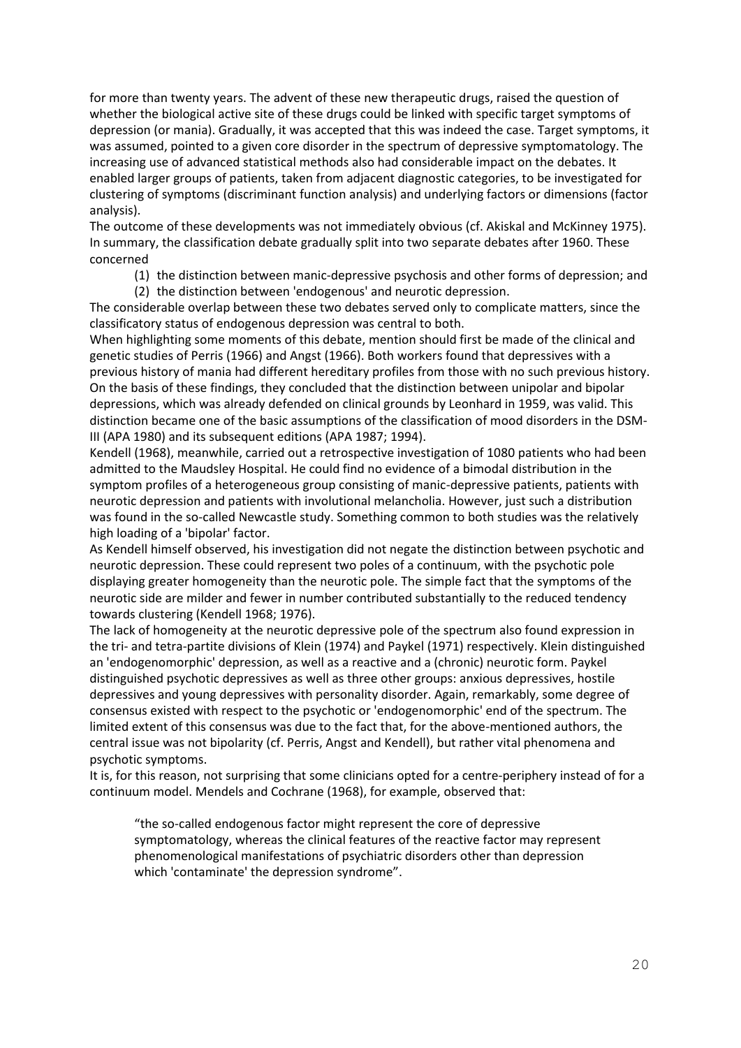for more than twenty years. The advent of these new therapeutic drugs, raised the question of whether the biological active site of these drugs could be linked with specific target symptoms of depression (or mania). Gradually, it was accepted that this was indeed the case. Target symptoms, it was assumed, pointed to a given core disorder in the spectrum of depressive symptomatology. The increasing use of advanced statistical methods also had considerable impact on the debates. It enabled larger groups of patients, taken from adjacent diagnostic categories, to be investigated for clustering of symptoms (discriminant function analysis) and underlying factors or dimensions (factor analysis).

The outcome of these developments was not immediately obvious (cf. Akiskal and McKinney 1975). In summary, the classification debate gradually split into two separate debates after 1960. These concerned

(1) the distinction between manic-depressive psychosis and other forms of depression; and

(2) the distinction between 'endogenous' and neurotic depression.

The considerable overlap between these two debates served only to complicate matters, since the classificatory status of endogenous depression was central to both.

When highlighting some moments of this debate, mention should first be made of the clinical and genetic studies of Perris (1966) and Angst (1966). Both workers found that depressives with a previous history of mania had different hereditary profiles from those with no such previous history. On the basis of these findings, they concluded that the distinction between unipolar and bipolar depressions, which was already defended on clinical grounds by Leonhard in 1959, was valid. This distinction became one of the basic assumptions of the classification of mood disorders in the DSM-III (APA 1980) and its subsequent editions (APA 1987; 1994).

Kendell (1968), meanwhile, carried out a retrospective investigation of 1080 patients who had been admitted to the Maudsley Hospital. He could find no evidence of a bimodal distribution in the symptom profiles of a heterogeneous group consisting of manic-depressive patients, patients with neurotic depression and patients with involutional melancholia. However, just such a distribution was found in the so-called Newcastle study. Something common to both studies was the relatively high loading of a 'bipolar' factor.

As Kendell himself observed, his investigation did not negate the distinction between psychotic and neurotic depression. These could represent two poles of a continuum, with the psychotic pole displaying greater homogeneity than the neurotic pole. The simple fact that the symptoms of the neurotic side are milder and fewer in number contributed substantially to the reduced tendency towards clustering (Kendell 1968; 1976).

The lack of homogeneity at the neurotic depressive pole of the spectrum also found expression in the tri- and tetra-partite divisions of Klein (1974) and Paykel (1971) respectively. Klein distinguished an 'endogenomorphic' depression, as well as a reactive and a (chronic) neurotic form. Paykel distinguished psychotic depressives as well as three other groups: anxious depressives, hostile depressives and young depressives with personality disorder. Again, remarkably, some degree of consensus existed with respect to the psychotic or 'endogenomorphic' end of the spectrum. The limited extent of this consensus was due to the fact that, for the above-mentioned authors, the central issue was not bipolarity (cf. Perris, Angst and Kendell), but rather vital phenomena and psychotic symptoms.

It is, for this reason, not surprising that some clinicians opted for a centre-periphery instead of for a continuum model. Mendels and Cochrane (1968), for example, observed that:

"the so-called endogenous factor might represent the core of depressive symptomatology, whereas the clinical features of the reactive factor may represent phenomenological manifestations of psychiatric disorders other than depression which 'contaminate' the depression syndrome".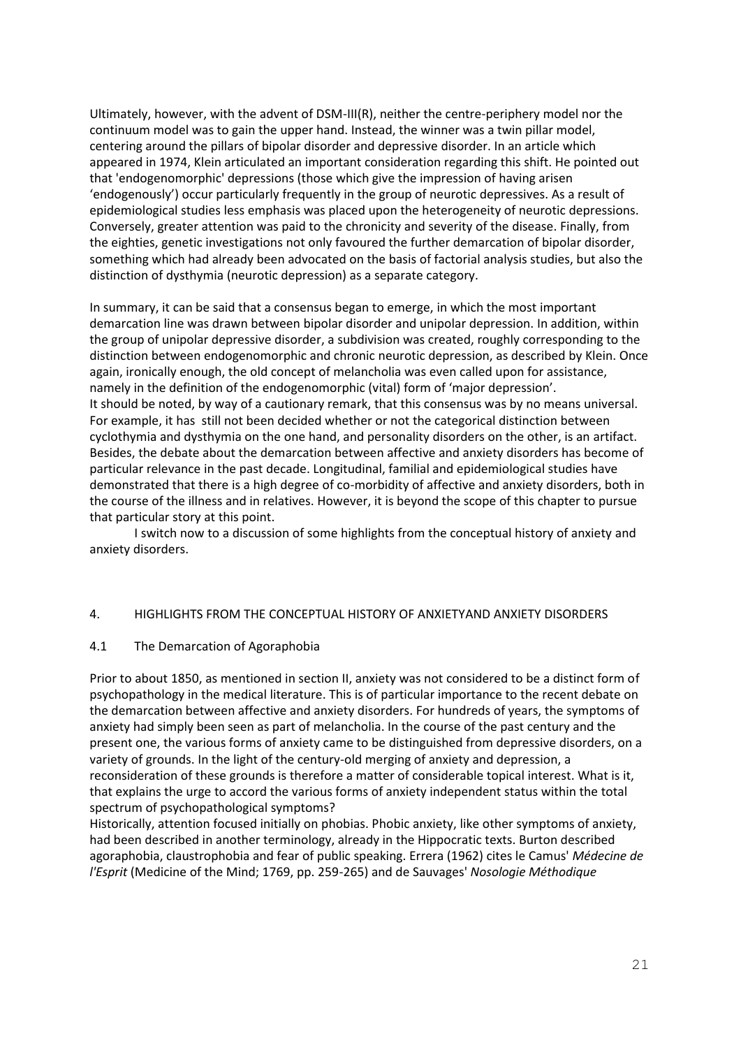Ultimately, however, with the advent of DSM-III(R), neither the centre-periphery model nor the continuum model was to gain the upper hand. Instead, the winner was a twin pillar model, centering around the pillars of bipolar disorder and depressive disorder. In an article which appeared in 1974, Klein articulated an important consideration regarding this shift. He pointed out that 'endogenomorphic' depressions (those which give the impression of having arisen 'endogenously') occur particularly frequently in the group of neurotic depressives. As a result of epidemiological studies less emphasis was placed upon the heterogeneity of neurotic depressions. Conversely, greater attention was paid to the chronicity and severity of the disease. Finally, from the eighties, genetic investigations not only favoured the further demarcation of bipolar disorder, something which had already been advocated on the basis of factorial analysis studies, but also the distinction of dysthymia (neurotic depression) as a separate category.

In summary, it can be said that a consensus began to emerge, in which the most important demarcation line was drawn between bipolar disorder and unipolar depression. In addition, within the group of unipolar depressive disorder, a subdivision was created, roughly corresponding to the distinction between endogenomorphic and chronic neurotic depression, as described by Klein. Once again, ironically enough, the old concept of melancholia was even called upon for assistance, namely in the definition of the endogenomorphic (vital) form of 'major depression'. It should be noted, by way of a cautionary remark, that this consensus was by no means universal. For example, it has still not been decided whether or not the categorical distinction between cyclothymia and dysthymia on the one hand, and personality disorders on the other, is an artifact. Besides, the debate about the demarcation between affective and anxiety disorders has become of particular relevance in the past decade. Longitudinal, familial and epidemiological studies have demonstrated that there is a high degree of co-morbidity of affective and anxiety disorders, both in the course of the illness and in relatives. However, it is beyond the scope of this chapter to pursue that particular story at this point.

I switch now to a discussion of some highlights from the conceptual history of anxiety and anxiety disorders.

# 4. HIGHLIGHTS FROM THE CONCEPTUAL HISTORY OF ANXIETYAND ANXIETY DISORDERS

#### 4.1 The Demarcation of Agoraphobia

Prior to about 1850, as mentioned in section II, anxiety was not considered to be a distinct form of psychopathology in the medical literature. This is of particular importance to the recent debate on the demarcation between affective and anxiety disorders. For hundreds of years, the symptoms of anxiety had simply been seen as part of melancholia. In the course of the past century and the present one, the various forms of anxiety came to be distinguished from depressive disorders, on a variety of grounds. In the light of the century-old merging of anxiety and depression, a reconsideration of these grounds is therefore a matter of considerable topical interest. What is it, that explains the urge to accord the various forms of anxiety independent status within the total spectrum of psychopathological symptoms?

Historically, attention focused initially on phobias. Phobic anxiety, like other symptoms of anxiety, had been described in another terminology, already in the Hippocratic texts. Burton described agoraphobia, claustrophobia and fear of public speaking. Errera (1962) cites le Camus' *Médecine de l'Esprit* (Medicine of the Mind; 1769, pp. 259-265) and de Sauvages' *Nosologie Méthodique*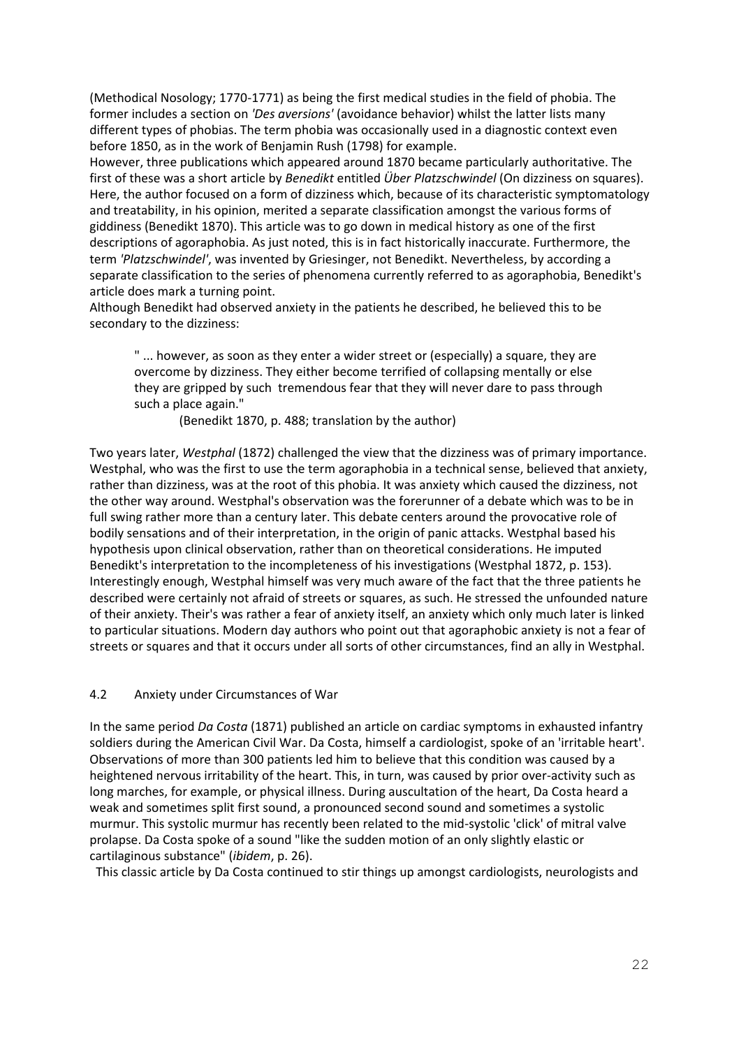(Methodical Nosology; 1770-1771) as being the first medical studies in the field of phobia. The former includes a section on *'Des aversions'* (avoidance behavior) whilst the latter lists many different types of phobias. The term phobia was occasionally used in a diagnostic context even before 1850, as in the work of Benjamin Rush (1798) for example.

However, three publications which appeared around 1870 became particularly authoritative. The first of these was a short article by *Benedikt* entitled *Über Platzschwindel* (On dizziness on squares). Here, the author focused on a form of dizziness which, because of its characteristic symptomatology and treatability, in his opinion, merited a separate classification amongst the various forms of giddiness (Benedikt 1870). This article was to go down in medical history as one of the first descriptions of agoraphobia. As just noted, this is in fact historically inaccurate. Furthermore, the term *'Platzschwindel'*, was invented by Griesinger, not Benedikt. Nevertheless, by according a separate classification to the series of phenomena currently referred to as agoraphobia, Benedikt's article does mark a turning point.

Although Benedikt had observed anxiety in the patients he described, he believed this to be secondary to the dizziness:

" ... however, as soon as they enter a wider street or (especially) a square, they are overcome by dizziness. They either become terrified of collapsing mentally or else they are gripped by such tremendous fear that they will never dare to pass through such a place again."

(Benedikt 1870, p. 488; translation by the author)

Two years later, *Westphal* (1872) challenged the view that the dizziness was of primary importance. Westphal, who was the first to use the term agoraphobia in a technical sense, believed that anxiety, rather than dizziness, was at the root of this phobia. It was anxiety which caused the dizziness, not the other way around. Westphal's observation was the forerunner of a debate which was to be in full swing rather more than a century later. This debate centers around the provocative role of bodily sensations and of their interpretation, in the origin of panic attacks. Westphal based his hypothesis upon clinical observation, rather than on theoretical considerations. He imputed Benedikt's interpretation to the incompleteness of his investigations (Westphal 1872, p. 153). Interestingly enough, Westphal himself was very much aware of the fact that the three patients he described were certainly not afraid of streets or squares, as such. He stressed the unfounded nature of their anxiety. Their's was rather a fear of anxiety itself, an anxiety which only much later is linked to particular situations. Modern day authors who point out that agoraphobic anxiety is not a fear of streets or squares and that it occurs under all sorts of other circumstances, find an ally in Westphal.

# 4.2 Anxiety under Circumstances of War

In the same period *Da Costa* (1871) published an article on cardiac symptoms in exhausted infantry soldiers during the American Civil War. Da Costa, himself a cardiologist, spoke of an 'irritable heart'. Observations of more than 300 patients led him to believe that this condition was caused by a heightened nervous irritability of the heart. This, in turn, was caused by prior over-activity such as long marches, for example, or physical illness. During auscultation of the heart, Da Costa heard a weak and sometimes split first sound, a pronounced second sound and sometimes a systolic murmur. This systolic murmur has recently been related to the mid-systolic 'click' of mitral valve prolapse. Da Costa spoke of a sound "like the sudden motion of an only slightly elastic or cartilaginous substance" (*ibidem*, p. 26).

This classic article by Da Costa continued to stir things up amongst cardiologists, neurologists and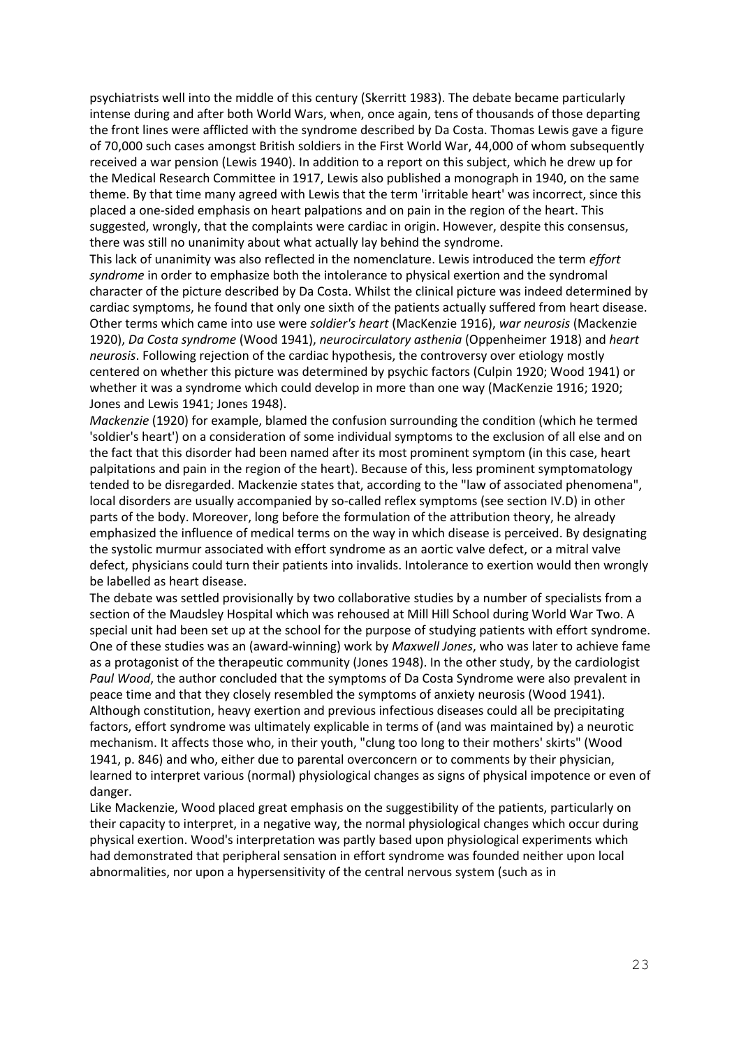psychiatrists well into the middle of this century (Skerritt 1983). The debate became particularly intense during and after both World Wars, when, once again, tens of thousands of those departing the front lines were afflicted with the syndrome described by Da Costa. Thomas Lewis gave a figure of 70,000 such cases amongst British soldiers in the First World War, 44,000 of whom subsequently received a war pension (Lewis 1940). In addition to a report on this subject, which he drew up for the Medical Research Committee in 1917, Lewis also published a monograph in 1940, on the same theme. By that time many agreed with Lewis that the term 'irritable heart' was incorrect, since this placed a one-sided emphasis on heart palpations and on pain in the region of the heart. This suggested, wrongly, that the complaints were cardiac in origin. However, despite this consensus, there was still no unanimity about what actually lay behind the syndrome.

This lack of unanimity was also reflected in the nomenclature. Lewis introduced the term *effort syndrome* in order to emphasize both the intolerance to physical exertion and the syndromal character of the picture described by Da Costa. Whilst the clinical picture was indeed determined by cardiac symptoms, he found that only one sixth of the patients actually suffered from heart disease. Other terms which came into use were *soldier's heart* (MacKenzie 1916), *war neurosis* (Mackenzie 1920), *Da Costa syndrome* (Wood 1941), *neurocirculatory asthenia* (Oppenheimer 1918) and *heart neurosis*. Following rejection of the cardiac hypothesis, the controversy over etiology mostly centered on whether this picture was determined by psychic factors (Culpin 1920; Wood 1941) or whether it was a syndrome which could develop in more than one way (MacKenzie 1916; 1920; Jones and Lewis 1941; Jones 1948).

*Mackenzie* (1920) for example, blamed the confusion surrounding the condition (which he termed 'soldier's heart') on a consideration of some individual symptoms to the exclusion of all else and on the fact that this disorder had been named after its most prominent symptom (in this case, heart palpitations and pain in the region of the heart). Because of this, less prominent symptomatology tended to be disregarded. Mackenzie states that, according to the "law of associated phenomena", local disorders are usually accompanied by so-called reflex symptoms (see section IV.D) in other parts of the body. Moreover, long before the formulation of the attribution theory, he already emphasized the influence of medical terms on the way in which disease is perceived. By designating the systolic murmur associated with effort syndrome as an aortic valve defect, or a mitral valve defect, physicians could turn their patients into invalids. Intolerance to exertion would then wrongly be labelled as heart disease.

The debate was settled provisionally by two collaborative studies by a number of specialists from a section of the Maudsley Hospital which was rehoused at Mill Hill School during World War Two. A special unit had been set up at the school for the purpose of studying patients with effort syndrome. One of these studies was an (award-winning) work by *Maxwell Jones*, who was later to achieve fame as a protagonist of the therapeutic community (Jones 1948). In the other study, by the cardiologist *Paul Wood*, the author concluded that the symptoms of Da Costa Syndrome were also prevalent in peace time and that they closely resembled the symptoms of anxiety neurosis (Wood 1941). Although constitution, heavy exertion and previous infectious diseases could all be precipitating factors, effort syndrome was ultimately explicable in terms of (and was maintained by) a neurotic mechanism. It affects those who, in their youth, "clung too long to their mothers' skirts" (Wood 1941, p. 846) and who, either due to parental overconcern or to comments by their physician, learned to interpret various (normal) physiological changes as signs of physical impotence or even of danger.

Like Mackenzie, Wood placed great emphasis on the suggestibility of the patients, particularly on their capacity to interpret, in a negative way, the normal physiological changes which occur during physical exertion. Wood's interpretation was partly based upon physiological experiments which had demonstrated that peripheral sensation in effort syndrome was founded neither upon local abnormalities, nor upon a hypersensitivity of the central nervous system (such as in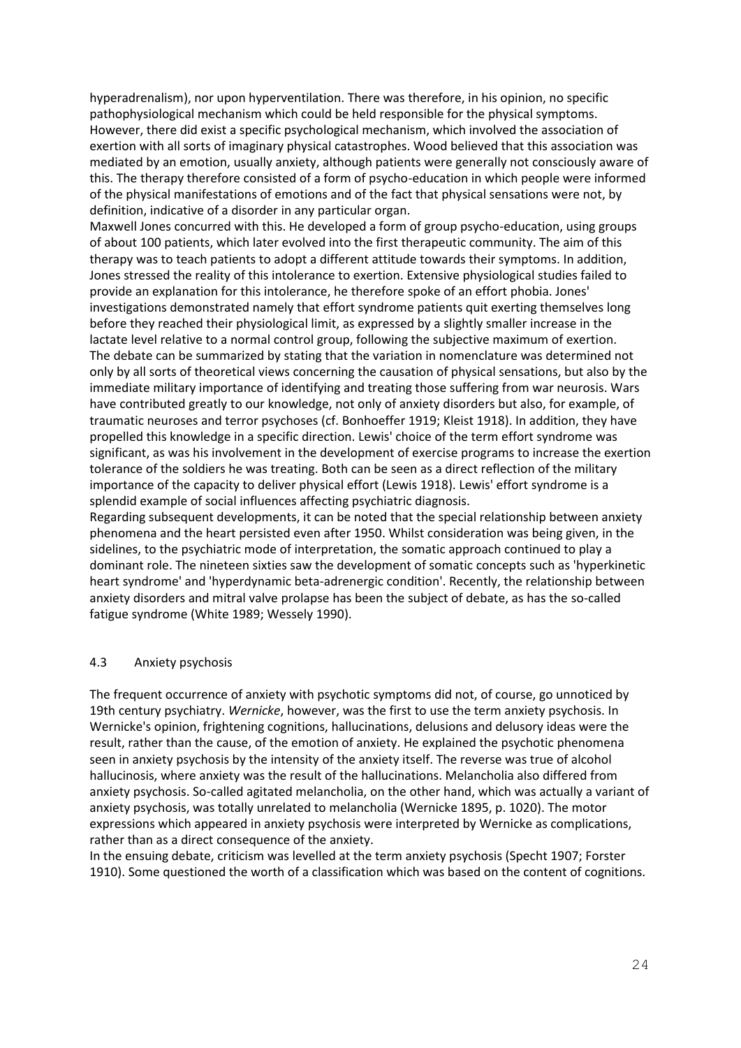hyperadrenalism), nor upon hyperventilation. There was therefore, in his opinion, no specific pathophysiological mechanism which could be held responsible for the physical symptoms. However, there did exist a specific psychological mechanism, which involved the association of exertion with all sorts of imaginary physical catastrophes. Wood believed that this association was mediated by an emotion, usually anxiety, although patients were generally not consciously aware of this. The therapy therefore consisted of a form of psycho-education in which people were informed of the physical manifestations of emotions and of the fact that physical sensations were not, by definition, indicative of a disorder in any particular organ.

Maxwell Jones concurred with this. He developed a form of group psycho-education, using groups of about 100 patients, which later evolved into the first therapeutic community. The aim of this therapy was to teach patients to adopt a different attitude towards their symptoms. In addition, Jones stressed the reality of this intolerance to exertion. Extensive physiological studies failed to provide an explanation for this intolerance, he therefore spoke of an effort phobia. Jones' investigations demonstrated namely that effort syndrome patients quit exerting themselves long before they reached their physiological limit, as expressed by a slightly smaller increase in the lactate level relative to a normal control group, following the subjective maximum of exertion. The debate can be summarized by stating that the variation in nomenclature was determined not only by all sorts of theoretical views concerning the causation of physical sensations, but also by the immediate military importance of identifying and treating those suffering from war neurosis. Wars have contributed greatly to our knowledge, not only of anxiety disorders but also, for example, of traumatic neuroses and terror psychoses (cf. Bonhoeffer 1919; Kleist 1918). In addition, they have propelled this knowledge in a specific direction. Lewis' choice of the term effort syndrome was significant, as was his involvement in the development of exercise programs to increase the exertion tolerance of the soldiers he was treating. Both can be seen as a direct reflection of the military importance of the capacity to deliver physical effort (Lewis 1918). Lewis' effort syndrome is a splendid example of social influences affecting psychiatric diagnosis.

Regarding subsequent developments, it can be noted that the special relationship between anxiety phenomena and the heart persisted even after 1950. Whilst consideration was being given, in the sidelines, to the psychiatric mode of interpretation, the somatic approach continued to play a dominant role. The nineteen sixties saw the development of somatic concepts such as 'hyperkinetic heart syndrome' and 'hyperdynamic beta-adrenergic condition'. Recently, the relationship between anxiety disorders and mitral valve prolapse has been the subject of debate, as has the so-called fatigue syndrome (White 1989; Wessely 1990).

# 4.3 Anxiety psychosis

The frequent occurrence of anxiety with psychotic symptoms did not, of course, go unnoticed by 19th century psychiatry. *Wernicke*, however, was the first to use the term anxiety psychosis. In Wernicke's opinion, frightening cognitions, hallucinations, delusions and delusory ideas were the result, rather than the cause, of the emotion of anxiety. He explained the psychotic phenomena seen in anxiety psychosis by the intensity of the anxiety itself. The reverse was true of alcohol hallucinosis, where anxiety was the result of the hallucinations. Melancholia also differed from anxiety psychosis. So-called agitated melancholia, on the other hand, which was actually a variant of anxiety psychosis, was totally unrelated to melancholia (Wernicke 1895, p. 1020). The motor expressions which appeared in anxiety psychosis were interpreted by Wernicke as complications, rather than as a direct consequence of the anxiety.

In the ensuing debate, criticism was levelled at the term anxiety psychosis (Specht 1907; Forster 1910). Some questioned the worth of a classification which was based on the content of cognitions.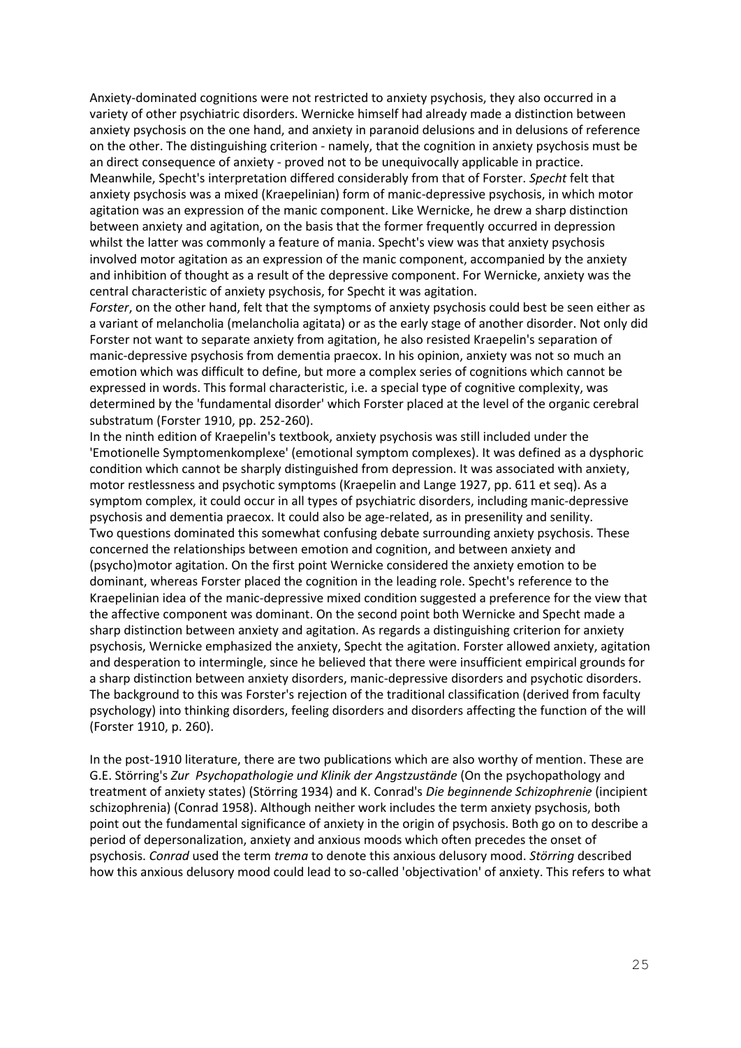Anxiety-dominated cognitions were not restricted to anxiety psychosis, they also occurred in a variety of other psychiatric disorders. Wernicke himself had already made a distinction between anxiety psychosis on the one hand, and anxiety in paranoid delusions and in delusions of reference on the other. The distinguishing criterion - namely, that the cognition in anxiety psychosis must be an direct consequence of anxiety - proved not to be unequivocally applicable in practice. Meanwhile, Specht's interpretation differed considerably from that of Forster. *Specht* felt that anxiety psychosis was a mixed (Kraepelinian) form of manic-depressive psychosis, in which motor agitation was an expression of the manic component. Like Wernicke, he drew a sharp distinction between anxiety and agitation, on the basis that the former frequently occurred in depression whilst the latter was commonly a feature of mania. Specht's view was that anxiety psychosis involved motor agitation as an expression of the manic component, accompanied by the anxiety and inhibition of thought as a result of the depressive component. For Wernicke, anxiety was the central characteristic of anxiety psychosis, for Specht it was agitation.

*Forster*, on the other hand, felt that the symptoms of anxiety psychosis could best be seen either as a variant of melancholia (melancholia agitata) or as the early stage of another disorder. Not only did Forster not want to separate anxiety from agitation, he also resisted Kraepelin's separation of manic-depressive psychosis from dementia praecox. In his opinion, anxiety was not so much an emotion which was difficult to define, but more a complex series of cognitions which cannot be expressed in words. This formal characteristic, i.e. a special type of cognitive complexity, was determined by the 'fundamental disorder' which Forster placed at the level of the organic cerebral substratum (Forster 1910, pp. 252-260).

In the ninth edition of Kraepelin's textbook, anxiety psychosis was still included under the 'Emotionelle Symptomenkomplexe' (emotional symptom complexes). It was defined as a dysphoric condition which cannot be sharply distinguished from depression. It was associated with anxiety, motor restlessness and psychotic symptoms (Kraepelin and Lange 1927, pp. 611 et seq). As a symptom complex, it could occur in all types of psychiatric disorders, including manic-depressive psychosis and dementia praecox. It could also be age-related, as in presenility and senility. Two questions dominated this somewhat confusing debate surrounding anxiety psychosis. These concerned the relationships between emotion and cognition, and between anxiety and (psycho)motor agitation. On the first point Wernicke considered the anxiety emotion to be dominant, whereas Forster placed the cognition in the leading role. Specht's reference to the Kraepelinian idea of the manic-depressive mixed condition suggested a preference for the view that the affective component was dominant. On the second point both Wernicke and Specht made a sharp distinction between anxiety and agitation. As regards a distinguishing criterion for anxiety psychosis, Wernicke emphasized the anxiety, Specht the agitation. Forster allowed anxiety, agitation and desperation to intermingle, since he believed that there were insufficient empirical grounds for a sharp distinction between anxiety disorders, manic-depressive disorders and psychotic disorders. The background to this was Forster's rejection of the traditional classification (derived from faculty psychology) into thinking disorders, feeling disorders and disorders affecting the function of the will (Forster 1910, p. 260).

In the post-1910 literature, there are two publications which are also worthy of mention. These are G.E. Störring's *Zur Psychopathologie und Klinik der Angstzustände* (On the psychopathology and treatment of anxiety states) (Störring 1934) and K. Conrad's *Die beginnende Schizophrenie* (incipient schizophrenia) (Conrad 1958). Although neither work includes the term anxiety psychosis, both point out the fundamental significance of anxiety in the origin of psychosis. Both go on to describe a period of depersonalization, anxiety and anxious moods which often precedes the onset of psychosis. *Conrad* used the term *trema* to denote this anxious delusory mood. *Störring* described how this anxious delusory mood could lead to so-called 'objectivation' of anxiety. This refers to what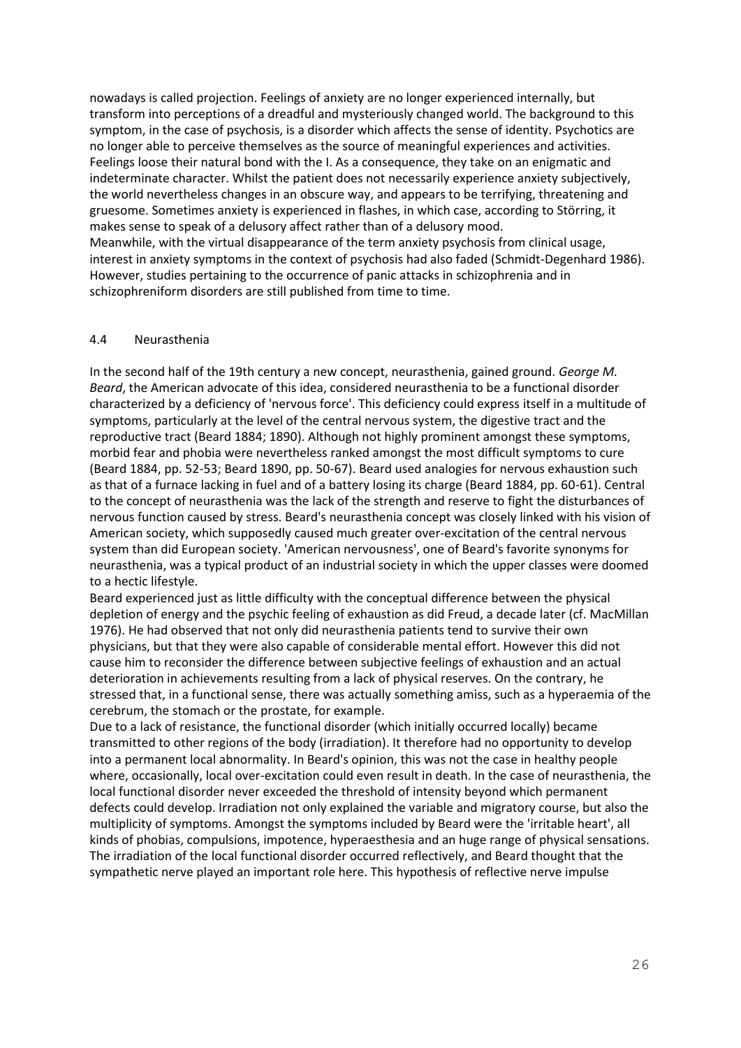nowadays is called projection. Feelings of anxiety are no longer experienced internally, but transform into perceptions of a dreadful and mysteriously changed world. The background to this symptom, in the case of psychosis, is a disorder which affects the sense of identity. Psychotics are no longer able to perceive themselves as the source of meaningful experiences and activities. Feelings loose their natural bond with the I. As a consequence, they take on an enigmatic and indeterminate character. Whilst the patient does not necessarily experience anxiety subjectively, the world nevertheless changes in an obscure way, and appears to be terrifying, threatening and gruesome. Sometimes anxiety is experienced in flashes, in which case, according to Störring, it makes sense to speak of a delusory affect rather than of a delusory mood. Meanwhile, with the virtual disappearance of the term anxiety psychosis from clinical usage, interest in anxiety symptoms in the context of psychosis had also faded (Schmidt-Degenhard 1986). However, studies pertaining to the occurrence of panic attacks in schizophrenia and in schizophreniform disorders are still published from time to time.

# 4.4 Neurasthenia

In the second half of the 19th century a new concept, neurasthenia, gained ground. *George M. Beard*, the American advocate of this idea, considered neurasthenia to be a functional disorder characterized by a deficiency of 'nervous force'. This deficiency could express itself in a multitude of symptoms, particularly at the level of the central nervous system, the digestive tract and the reproductive tract (Beard 1884; 1890). Although not highly prominent amongst these symptoms, morbid fear and phobia were nevertheless ranked amongst the most difficult symptoms to cure (Beard 1884, pp. 52-53; Beard 1890, pp. 50-67). Beard used analogies for nervous exhaustion such as that of a furnace lacking in fuel and of a battery losing its charge (Beard 1884, pp. 60-61). Central to the concept of neurasthenia was the lack of the strength and reserve to fight the disturbances of nervous function caused by stress. Beard's neurasthenia concept was closely linked with his vision of American society, which supposedly caused much greater over-excitation of the central nervous system than did European society. 'American nervousness', one of Beard's favorite synonyms for neurasthenia, was a typical product of an industrial society in which the upper classes were doomed to a hectic lifestyle.

Beard experienced just as little difficulty with the conceptual difference between the physical depletion of energy and the psychic feeling of exhaustion as did Freud, a decade later (cf. MacMillan 1976). He had observed that not only did neurasthenia patients tend to survive their own physicians, but that they were also capable of considerable mental effort. However this did not cause him to reconsider the difference between subjective feelings of exhaustion and an actual deterioration in achievements resulting from a lack of physical reserves. On the contrary, he stressed that, in a functional sense, there was actually something amiss, such as a hyperaemia of the cerebrum, the stomach or the prostate, for example.

Due to a lack of resistance, the functional disorder (which initially occurred locally) became transmitted to other regions of the body (irradiation). It therefore had no opportunity to develop into a permanent local abnormality. In Beard's opinion, this was not the case in healthy people where, occasionally, local over-excitation could even result in death. In the case of neurasthenia, the local functional disorder never exceeded the threshold of intensity beyond which permanent defects could develop. Irradiation not only explained the variable and migratory course, but also the multiplicity of symptoms. Amongst the symptoms included by Beard were the 'irritable heart', all kinds of phobias, compulsions, impotence, hyperaesthesia and an huge range of physical sensations. The irradiation of the local functional disorder occurred reflectively, and Beard thought that the sympathetic nerve played an important role here. This hypothesis of reflective nerve impulse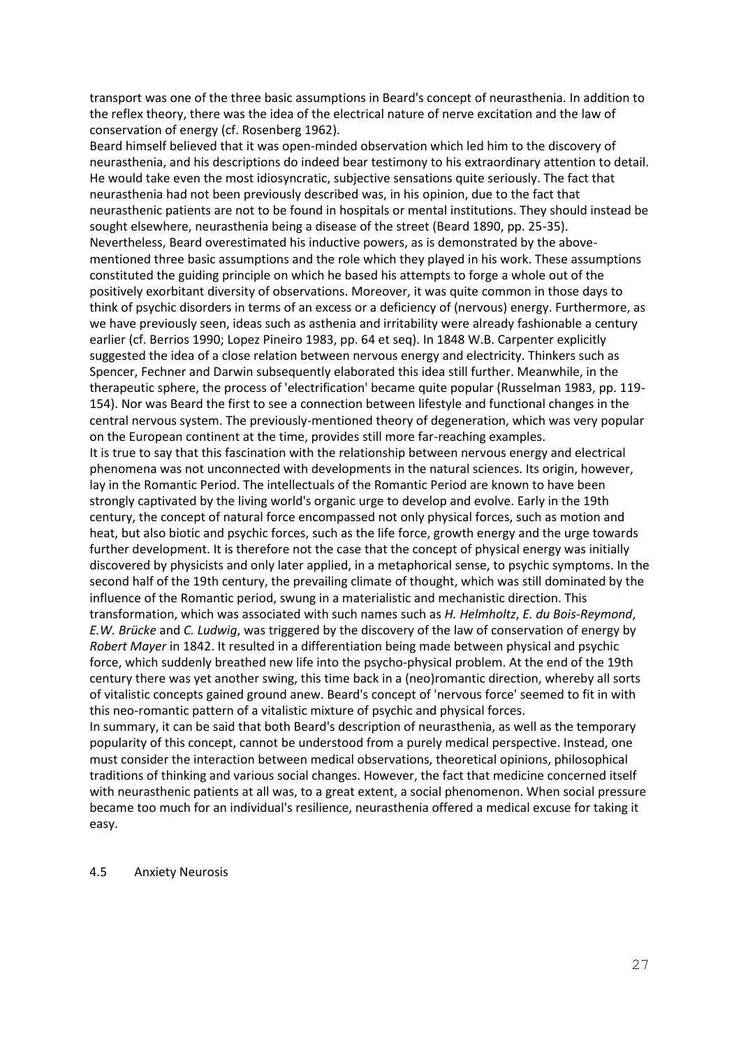transport was one of the three basic assumptions in Beard's concept of neurasthenia. In addition to the reflex theory, there was the idea of the electrical nature of nerve excitation and the law of conservation of energy (cf. Rosenberg 1962).

Beard himself believed that it was open-minded observation which led him to the discovery of neurasthenia, and his descriptions do indeed bear testimony to his extraordinary attention to detail. He would take even the most idiosyncratic, subjective sensations quite seriously. The fact that neurasthenia had not been previously described was, in his opinion, due to the fact that neurasthenic patients are not to be found in hospitals or mental institutions. They should instead be sought elsewhere, neurasthenia being a disease of the street (Beard 1890, pp. 25-35). Nevertheless, Beard overestimated his inductive powers, as is demonstrated by the abovementioned three basic assumptions and the role which they played in his work. These assumptions constituted the guiding principle on which he based his attempts to forge a whole out of the positively exorbitant diversity of observations. Moreover, it was quite common in those days to think of psychic disorders in terms of an excess or a deficiency of (nervous) energy. Furthermore, as we have previously seen, ideas such as asthenia and irritability were already fashionable a century earlier (cf. Berrios 1990; Lopez Pineiro 1983, pp. 64 et seq). In 1848 W.B. Carpenter explicitly suggested the idea of a close relation between nervous energy and electricity. Thinkers such as Spencer, Fechner and Darwin subsequently elaborated this idea still further. Meanwhile, in the therapeutic sphere, the process of 'electrification' became quite popular (Russelman 1983, pp. 119- 154). Nor was Beard the first to see a connection between lifestyle and functional changes in the central nervous system. The previously-mentioned theory of degeneration, which was very popular on the European continent at the time, provides still more far-reaching examples. It is true to say that this fascination with the relationship between nervous energy and electrical phenomena was not unconnected with developments in the natural sciences. Its origin, however,

lay in the Romantic Period. The intellectuals of the Romantic Period are known to have been strongly captivated by the living world's organic urge to develop and evolve. Early in the 19th century, the concept of natural force encompassed not only physical forces, such as motion and heat, but also biotic and psychic forces, such as the life force, growth energy and the urge towards further development. It is therefore not the case that the concept of physical energy was initially discovered by physicists and only later applied, in a metaphorical sense, to psychic symptoms. In the second half of the 19th century, the prevailing climate of thought, which was still dominated by the influence of the Romantic period, swung in a materialistic and mechanistic direction. This transformation, which was associated with such names such as *H. Helmholtz*, *E. du Bois-Reymond*, *E.W. Brücke* and *C. Ludwig*, was triggered by the discovery of the law of conservation of energy by *Robert Mayer* in 1842. It resulted in a differentiation being made between physical and psychic force, which suddenly breathed new life into the psycho-physical problem. At the end of the 19th century there was yet another swing, this time back in a (neo)romantic direction, whereby all sorts of vitalistic concepts gained ground anew. Beard's concept of 'nervous force' seemed to fit in with this neo-romantic pattern of a vitalistic mixture of psychic and physical forces.

In summary, it can be said that both Beard's description of neurasthenia, as well as the temporary popularity of this concept, cannot be understood from a purely medical perspective. Instead, one must consider the interaction between medical observations, theoretical opinions, philosophical traditions of thinking and various social changes. However, the fact that medicine concerned itself with neurasthenic patients at all was, to a great extent, a social phenomenon. When social pressure became too much for an individual's resilience, neurasthenia offered a medical excuse for taking it easy.

#### 4.5 Anxiety Neurosis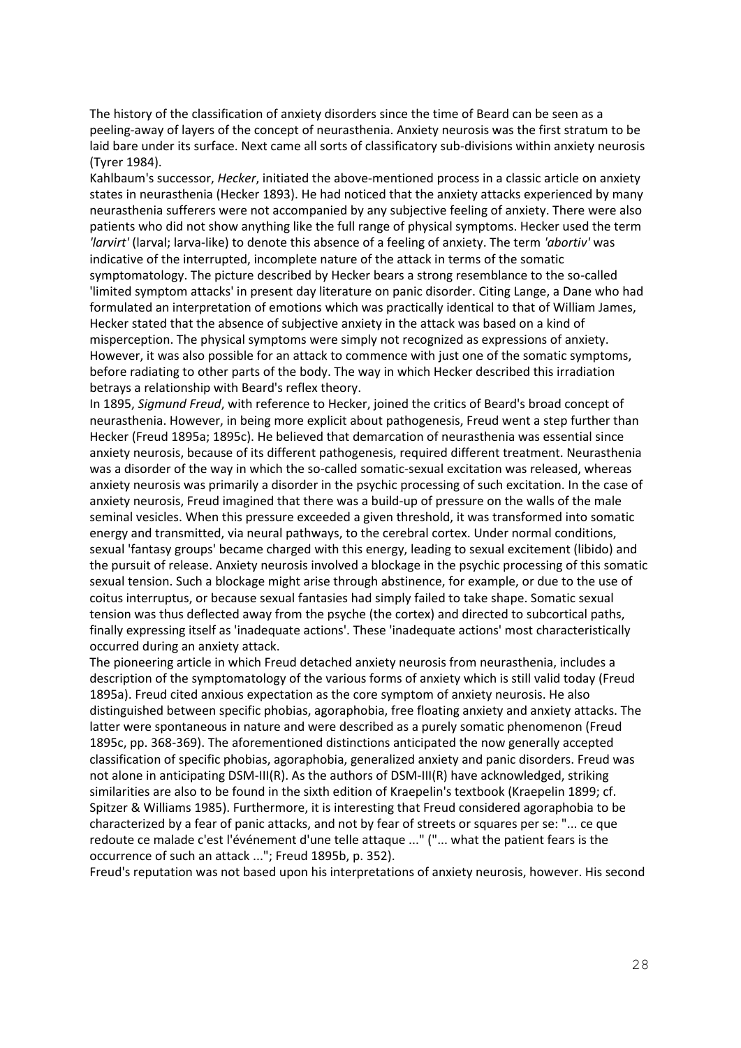The history of the classification of anxiety disorders since the time of Beard can be seen as a peeling-away of layers of the concept of neurasthenia. Anxiety neurosis was the first stratum to be laid bare under its surface. Next came all sorts of classificatory sub-divisions within anxiety neurosis (Tyrer 1984).

Kahlbaum's successor, *Hecker*, initiated the above-mentioned process in a classic article on anxiety states in neurasthenia (Hecker 1893). He had noticed that the anxiety attacks experienced by many neurasthenia sufferers were not accompanied by any subjective feeling of anxiety. There were also patients who did not show anything like the full range of physical symptoms. Hecker used the term *'larvirt'* (larval; larva-like) to denote this absence of a feeling of anxiety. The term *'abortiv'* was indicative of the interrupted, incomplete nature of the attack in terms of the somatic symptomatology. The picture described by Hecker bears a strong resemblance to the so-called 'limited symptom attacks' in present day literature on panic disorder. Citing Lange, a Dane who had formulated an interpretation of emotions which was practically identical to that of William James, Hecker stated that the absence of subjective anxiety in the attack was based on a kind of misperception. The physical symptoms were simply not recognized as expressions of anxiety. However, it was also possible for an attack to commence with just one of the somatic symptoms, before radiating to other parts of the body. The way in which Hecker described this irradiation betrays a relationship with Beard's reflex theory.

In 1895, *Sigmund Freud*, with reference to Hecker, joined the critics of Beard's broad concept of neurasthenia. However, in being more explicit about pathogenesis, Freud went a step further than Hecker (Freud 1895a; 1895c). He believed that demarcation of neurasthenia was essential since anxiety neurosis, because of its different pathogenesis, required different treatment. Neurasthenia was a disorder of the way in which the so-called somatic-sexual excitation was released, whereas anxiety neurosis was primarily a disorder in the psychic processing of such excitation. In the case of anxiety neurosis, Freud imagined that there was a build-up of pressure on the walls of the male seminal vesicles. When this pressure exceeded a given threshold, it was transformed into somatic energy and transmitted, via neural pathways, to the cerebral cortex. Under normal conditions, sexual 'fantasy groups' became charged with this energy, leading to sexual excitement (libido) and the pursuit of release. Anxiety neurosis involved a blockage in the psychic processing of this somatic sexual tension. Such a blockage might arise through abstinence, for example, or due to the use of coitus interruptus, or because sexual fantasies had simply failed to take shape. Somatic sexual tension was thus deflected away from the psyche (the cortex) and directed to subcortical paths, finally expressing itself as 'inadequate actions'. These 'inadequate actions' most characteristically occurred during an anxiety attack.

The pioneering article in which Freud detached anxiety neurosis from neurasthenia, includes a description of the symptomatology of the various forms of anxiety which is still valid today (Freud 1895a). Freud cited anxious expectation as the core symptom of anxiety neurosis. He also distinguished between specific phobias, agoraphobia, free floating anxiety and anxiety attacks. The latter were spontaneous in nature and were described as a purely somatic phenomenon (Freud 1895c, pp. 368-369). The aforementioned distinctions anticipated the now generally accepted classification of specific phobias, agoraphobia, generalized anxiety and panic disorders. Freud was not alone in anticipating DSM-III(R). As the authors of DSM-III(R) have acknowledged, striking similarities are also to be found in the sixth edition of Kraepelin's textbook (Kraepelin 1899; cf. Spitzer & Williams 1985). Furthermore, it is interesting that Freud considered agoraphobia to be characterized by a fear of panic attacks, and not by fear of streets or squares per se: "... ce que redoute ce malade c'est l'événement d'une telle attaque ..." ("... what the patient fears is the occurrence of such an attack ..."; Freud 1895b, p. 352).

Freud's reputation was not based upon his interpretations of anxiety neurosis, however. His second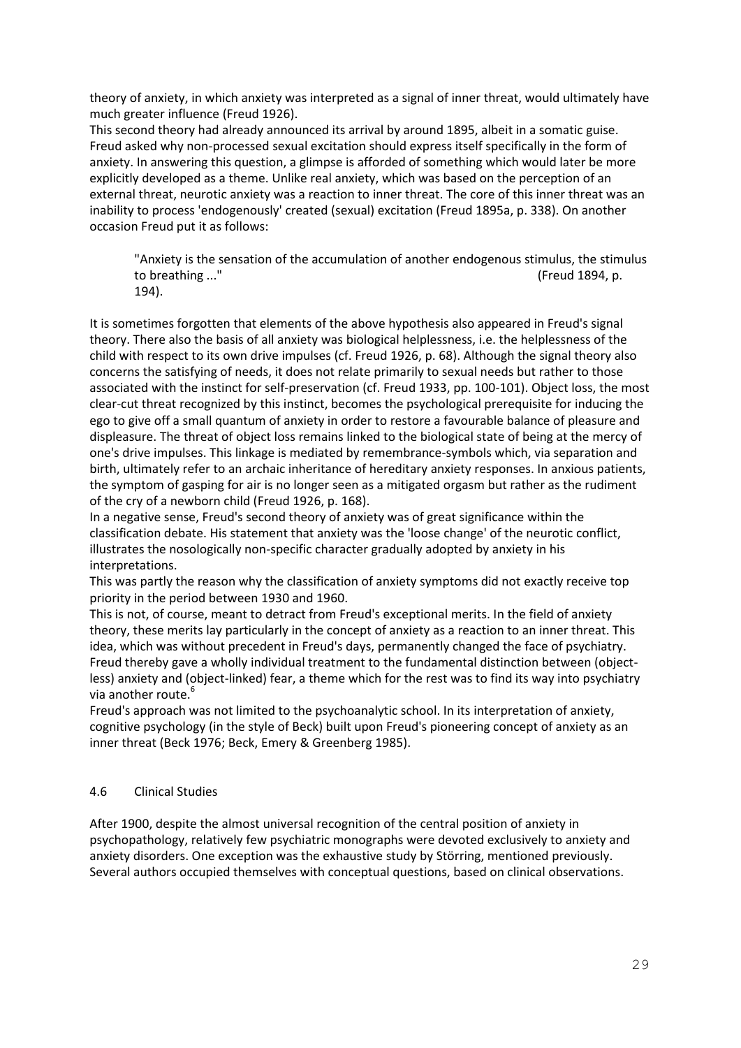theory of anxiety, in which anxiety was interpreted as a signal of inner threat, would ultimately have much greater influence (Freud 1926).

This second theory had already announced its arrival by around 1895, albeit in a somatic guise. Freud asked why non-processed sexual excitation should express itself specifically in the form of anxiety. In answering this question, a glimpse is afforded of something which would later be more explicitly developed as a theme. Unlike real anxiety, which was based on the perception of an external threat, neurotic anxiety was a reaction to inner threat. The core of this inner threat was an inability to process 'endogenously' created (sexual) excitation (Freud 1895a, p. 338). On another occasion Freud put it as follows:

"Anxiety is the sensation of the accumulation of another endogenous stimulus, the stimulus to breathing ..." The contract of the contract of the contract of the contract of the contract of the contract of the contract of the contract of the contract of the contract of the contract of the contract of the contract 194).

It is sometimes forgotten that elements of the above hypothesis also appeared in Freud's signal theory. There also the basis of all anxiety was biological helplessness, i.e. the helplessness of the child with respect to its own drive impulses (cf. Freud 1926, p. 68). Although the signal theory also concerns the satisfying of needs, it does not relate primarily to sexual needs but rather to those associated with the instinct for self-preservation (cf. Freud 1933, pp. 100-101). Object loss, the most clear-cut threat recognized by this instinct, becomes the psychological prerequisite for inducing the ego to give off a small quantum of anxiety in order to restore a favourable balance of pleasure and displeasure. The threat of object loss remains linked to the biological state of being at the mercy of one's drive impulses. This linkage is mediated by remembrance-symbols which, via separation and birth, ultimately refer to an archaic inheritance of hereditary anxiety responses. In anxious patients, the symptom of gasping for air is no longer seen as a mitigated orgasm but rather as the rudiment of the cry of a newborn child (Freud 1926, p. 168).

In a negative sense, Freud's second theory of anxiety was of great significance within the classification debate. His statement that anxiety was the 'loose change' of the neurotic conflict, illustrates the nosologically non-specific character gradually adopted by anxiety in his interpretations.

This was partly the reason why the classification of anxiety symptoms did not exactly receive top priority in the period between 1930 and 1960.

This is not, of course, meant to detract from Freud's exceptional merits. In the field of anxiety theory, these merits lay particularly in the concept of anxiety as a reaction to an inner threat. This idea, which was without precedent in Freud's days, permanently changed the face of psychiatry. Freud thereby gave a wholly individual treatment to the fundamental distinction between (objectless) anxiety and (object-linked) fear, a theme which for the rest was to find its way into psychiatry via another route.<sup>o</sup>

Freud's approach was not limited to the psychoanalytic school. In its interpretation of anxiety, cognitive psychology (in the style of Beck) built upon Freud's pioneering concept of anxiety as an inner threat (Beck 1976; Beck, Emery & Greenberg 1985).

# 4.6 Clinical Studies

After 1900, despite the almost universal recognition of the central position of anxiety in psychopathology, relatively few psychiatric monographs were devoted exclusively to anxiety and anxiety disorders. One exception was the exhaustive study by Störring, mentioned previously. Several authors occupied themselves with conceptual questions, based on clinical observations.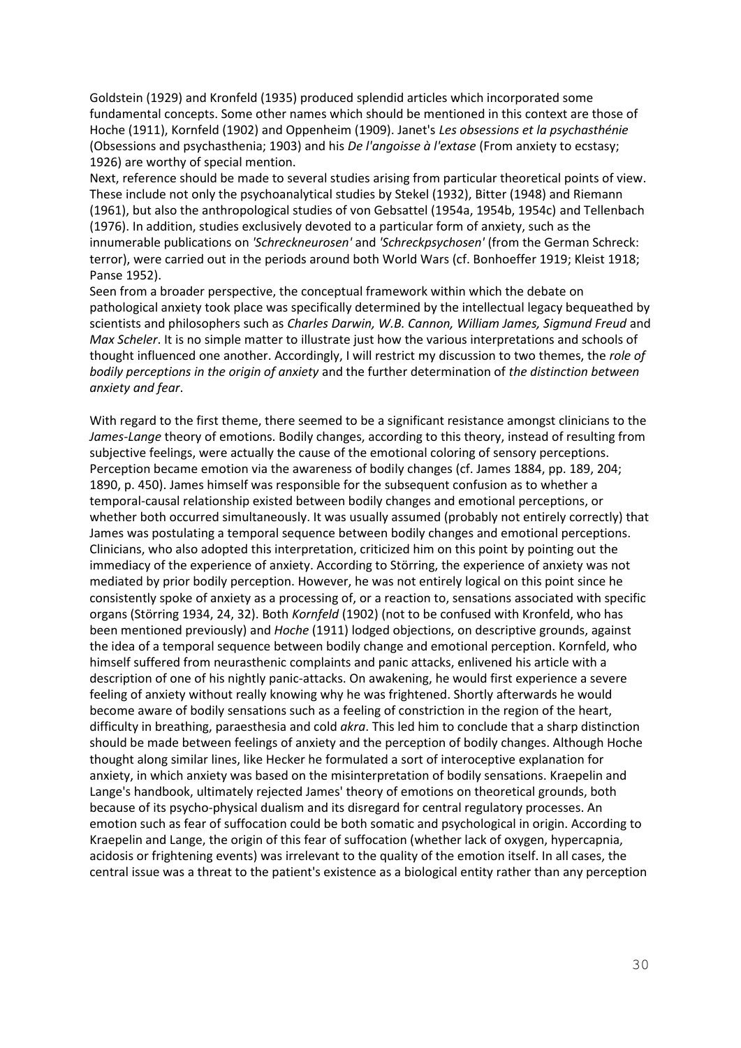Goldstein (1929) and Kronfeld (1935) produced splendid articles which incorporated some fundamental concepts. Some other names which should be mentioned in this context are those of Hoche (1911), Kornfeld (1902) and Oppenheim (1909). Janet's *Les obsessions et la psychasthénie* (Obsessions and psychasthenia; 1903) and his *De l'angoisse à l'extase* (From anxiety to ecstasy; 1926) are worthy of special mention.

Next, reference should be made to several studies arising from particular theoretical points of view. These include not only the psychoanalytical studies by Stekel (1932), Bitter (1948) and Riemann (1961), but also the anthropological studies of von Gebsattel (1954a, 1954b, 1954c) and Tellenbach (1976). In addition, studies exclusively devoted to a particular form of anxiety, such as the innumerable publications on *'Schreckneurosen'* and *'Schreckpsychosen'* (from the German Schreck: terror), were carried out in the periods around both World Wars (cf. Bonhoeffer 1919; Kleist 1918; Panse 1952).

Seen from a broader perspective, the conceptual framework within which the debate on pathological anxiety took place was specifically determined by the intellectual legacy bequeathed by scientists and philosophers such as *Charles Darwin, W.B. Cannon, William James, Sigmund Freud* and *Max Scheler*. It is no simple matter to illustrate just how the various interpretations and schools of thought influenced one another. Accordingly, I will restrict my discussion to two themes, the *role of bodily perceptions in the origin of anxiety* and the further determination of *the distinction between anxiety and fear*.

With regard to the first theme, there seemed to be a significant resistance amongst clinicians to the *James-Lange* theory of emotions. Bodily changes, according to this theory, instead of resulting from subjective feelings, were actually the cause of the emotional coloring of sensory perceptions. Perception became emotion via the awareness of bodily changes (cf. James 1884, pp. 189, 204; 1890, p. 450). James himself was responsible for the subsequent confusion as to whether a temporal-causal relationship existed between bodily changes and emotional perceptions, or whether both occurred simultaneously. It was usually assumed (probably not entirely correctly) that James was postulating a temporal sequence between bodily changes and emotional perceptions. Clinicians, who also adopted this interpretation, criticized him on this point by pointing out the immediacy of the experience of anxiety. According to Störring, the experience of anxiety was not mediated by prior bodily perception. However, he was not entirely logical on this point since he consistently spoke of anxiety as a processing of, or a reaction to, sensations associated with specific organs (Störring 1934, 24, 32). Both *Kornfeld* (1902) (not to be confused with Kronfeld, who has been mentioned previously) and *Hoche* (1911) lodged objections, on descriptive grounds, against the idea of a temporal sequence between bodily change and emotional perception. Kornfeld, who himself suffered from neurasthenic complaints and panic attacks, enlivened his article with a description of one of his nightly panic-attacks. On awakening, he would first experience a severe feeling of anxiety without really knowing why he was frightened. Shortly afterwards he would become aware of bodily sensations such as a feeling of constriction in the region of the heart, difficulty in breathing, paraesthesia and cold *akra*. This led him to conclude that a sharp distinction should be made between feelings of anxiety and the perception of bodily changes. Although Hoche thought along similar lines, like Hecker he formulated a sort of interoceptive explanation for anxiety, in which anxiety was based on the misinterpretation of bodily sensations. Kraepelin and Lange's handbook, ultimately rejected James' theory of emotions on theoretical grounds, both because of its psycho-physical dualism and its disregard for central regulatory processes. An emotion such as fear of suffocation could be both somatic and psychological in origin. According to Kraepelin and Lange, the origin of this fear of suffocation (whether lack of oxygen, hypercapnia, acidosis or frightening events) was irrelevant to the quality of the emotion itself. In all cases, the central issue was a threat to the patient's existence as a biological entity rather than any perception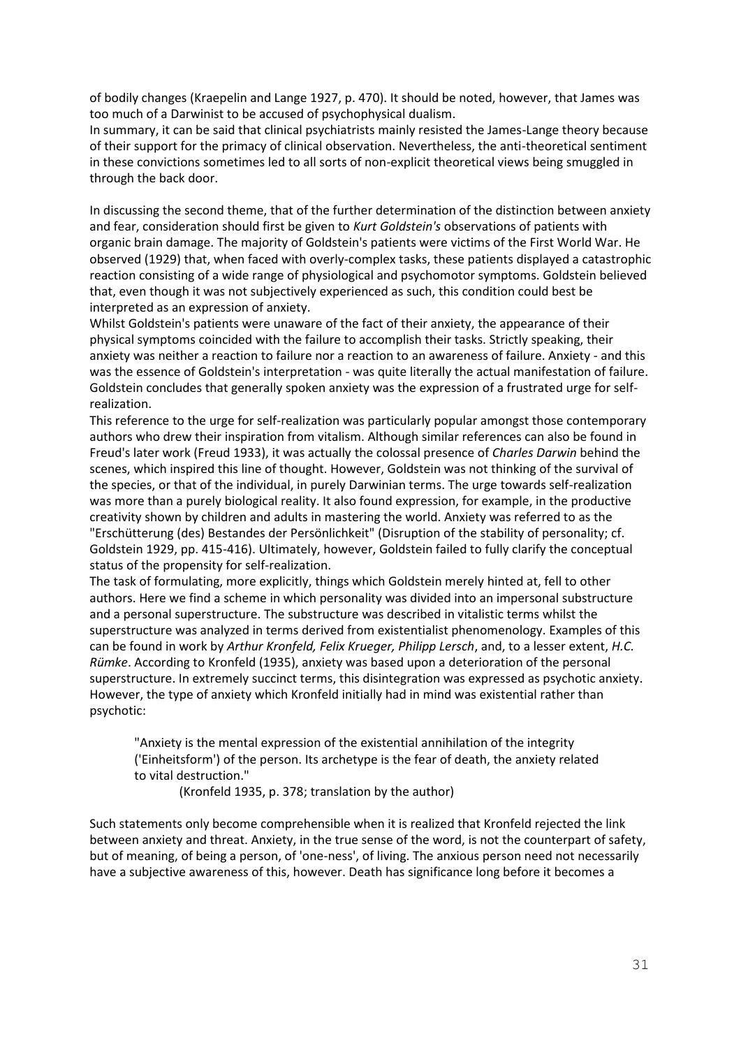of bodily changes (Kraepelin and Lange 1927, p. 470). It should be noted, however, that James was too much of a Darwinist to be accused of psychophysical dualism.

In summary, it can be said that clinical psychiatrists mainly resisted the James-Lange theory because of their support for the primacy of clinical observation. Nevertheless, the anti-theoretical sentiment in these convictions sometimes led to all sorts of non-explicit theoretical views being smuggled in through the back door.

In discussing the second theme, that of the further determination of the distinction between anxiety and fear, consideration should first be given to *Kurt Goldstein's* observations of patients with organic brain damage. The majority of Goldstein's patients were victims of the First World War. He observed (1929) that, when faced with overly-complex tasks, these patients displayed a catastrophic reaction consisting of a wide range of physiological and psychomotor symptoms. Goldstein believed that, even though it was not subjectively experienced as such, this condition could best be interpreted as an expression of anxiety.

Whilst Goldstein's patients were unaware of the fact of their anxiety, the appearance of their physical symptoms coincided with the failure to accomplish their tasks. Strictly speaking, their anxiety was neither a reaction to failure nor a reaction to an awareness of failure. Anxiety - and this was the essence of Goldstein's interpretation - was quite literally the actual manifestation of failure. Goldstein concludes that generally spoken anxiety was the expression of a frustrated urge for selfrealization.

This reference to the urge for self-realization was particularly popular amongst those contemporary authors who drew their inspiration from vitalism. Although similar references can also be found in Freud's later work (Freud 1933), it was actually the colossal presence of *Charles Darwin* behind the scenes, which inspired this line of thought. However, Goldstein was not thinking of the survival of the species, or that of the individual, in purely Darwinian terms. The urge towards self-realization was more than a purely biological reality. It also found expression, for example, in the productive creativity shown by children and adults in mastering the world. Anxiety was referred to as the "Erschütterung (des) Bestandes der Persönlichkeit" (Disruption of the stability of personality; cf. Goldstein 1929, pp. 415-416). Ultimately, however, Goldstein failed to fully clarify the conceptual status of the propensity for self-realization.

The task of formulating, more explicitly, things which Goldstein merely hinted at, fell to other authors. Here we find a scheme in which personality was divided into an impersonal substructure and a personal superstructure. The substructure was described in vitalistic terms whilst the superstructure was analyzed in terms derived from existentialist phenomenology. Examples of this can be found in work by *Arthur Kronfeld, Felix Krueger, Philipp Lersch*, and, to a lesser extent, *H.C. Rümke*. According to Kronfeld (1935), anxiety was based upon a deterioration of the personal superstructure. In extremely succinct terms, this disintegration was expressed as psychotic anxiety. However, the type of anxiety which Kronfeld initially had in mind was existential rather than psychotic:

"Anxiety is the mental expression of the existential annihilation of the integrity ('Einheitsform') of the person. Its archetype is the fear of death, the anxiety related to vital destruction."

(Kronfeld 1935, p. 378; translation by the author)

Such statements only become comprehensible when it is realized that Kronfeld rejected the link between anxiety and threat. Anxiety, in the true sense of the word, is not the counterpart of safety, but of meaning, of being a person, of 'one-ness', of living. The anxious person need not necessarily have a subjective awareness of this, however. Death has significance long before it becomes a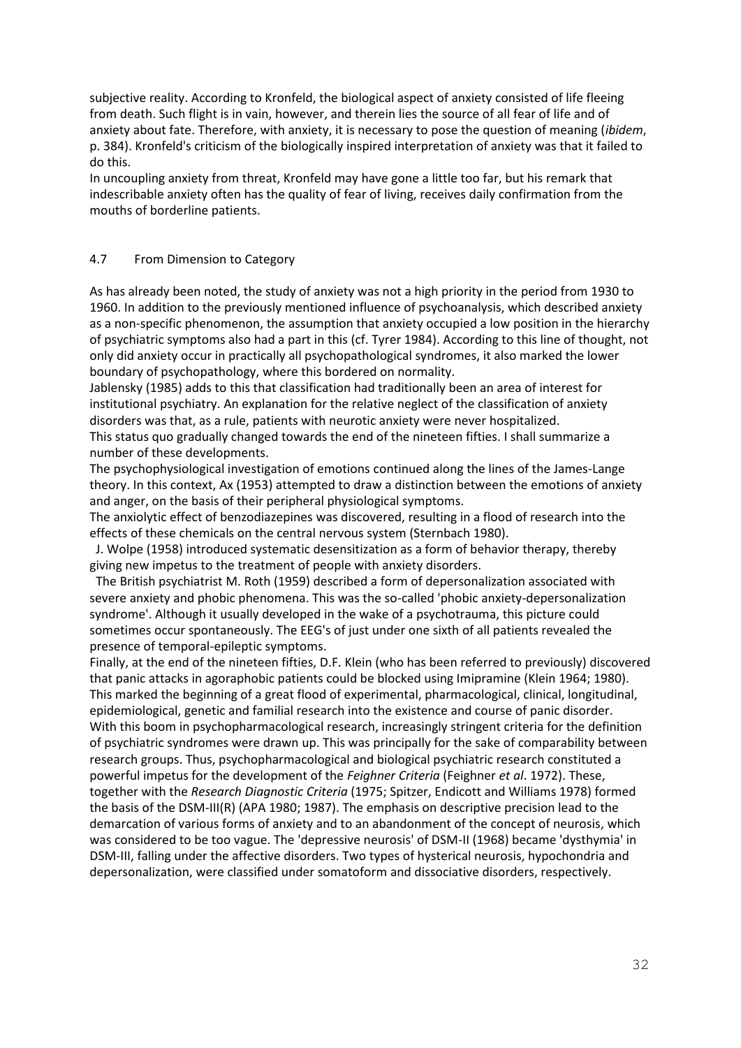subjective reality. According to Kronfeld, the biological aspect of anxiety consisted of life fleeing from death. Such flight is in vain, however, and therein lies the source of all fear of life and of anxiety about fate. Therefore, with anxiety, it is necessary to pose the question of meaning (*ibidem*, p. 384). Kronfeld's criticism of the biologically inspired interpretation of anxiety was that it failed to do this.

In uncoupling anxiety from threat, Kronfeld may have gone a little too far, but his remark that indescribable anxiety often has the quality of fear of living, receives daily confirmation from the mouths of borderline patients.

# 4.7 From Dimension to Category

As has already been noted, the study of anxiety was not a high priority in the period from 1930 to 1960. In addition to the previously mentioned influence of psychoanalysis, which described anxiety as a non-specific phenomenon, the assumption that anxiety occupied a low position in the hierarchy of psychiatric symptoms also had a part in this (cf. Tyrer 1984). According to this line of thought, not only did anxiety occur in practically all psychopathological syndromes, it also marked the lower boundary of psychopathology, where this bordered on normality.

Jablensky (1985) adds to this that classification had traditionally been an area of interest for institutional psychiatry. An explanation for the relative neglect of the classification of anxiety disorders was that, as a rule, patients with neurotic anxiety were never hospitalized.

This status quo gradually changed towards the end of the nineteen fifties. I shall summarize a number of these developments.

The psychophysiological investigation of emotions continued along the lines of the James-Lange theory. In this context, Ax (1953) attempted to draw a distinction between the emotions of anxiety and anger, on the basis of their peripheral physiological symptoms.

The anxiolytic effect of benzodiazepines was discovered, resulting in a flood of research into the effects of these chemicals on the central nervous system (Sternbach 1980).

 J. Wolpe (1958) introduced systematic desensitization as a form of behavior therapy, thereby giving new impetus to the treatment of people with anxiety disorders.

 The British psychiatrist M. Roth (1959) described a form of depersonalization associated with severe anxiety and phobic phenomena. This was the so-called 'phobic anxiety-depersonalization syndrome'. Although it usually developed in the wake of a psychotrauma, this picture could sometimes occur spontaneously. The EEG's of just under one sixth of all patients revealed the presence of temporal-epileptic symptoms.

Finally, at the end of the nineteen fifties, D.F. Klein (who has been referred to previously) discovered that panic attacks in agoraphobic patients could be blocked using Imipramine (Klein 1964; 1980). This marked the beginning of a great flood of experimental, pharmacological, clinical, longitudinal, epidemiological, genetic and familial research into the existence and course of panic disorder. With this boom in psychopharmacological research, increasingly stringent criteria for the definition of psychiatric syndromes were drawn up. This was principally for the sake of comparability between research groups. Thus, psychopharmacological and biological psychiatric research constituted a powerful impetus for the development of the *Feighner Criteria* (Feighner *et al*. 1972). These, together with the *Research Diagnostic Criteria* (1975; Spitzer, Endicott and Williams 1978) formed the basis of the DSM-III(R) (APA 1980; 1987). The emphasis on descriptive precision lead to the demarcation of various forms of anxiety and to an abandonment of the concept of neurosis, which was considered to be too vague. The 'depressive neurosis' of DSM-II (1968) became 'dysthymia' in DSM-III, falling under the affective disorders. Two types of hysterical neurosis, hypochondria and depersonalization, were classified under somatoform and dissociative disorders, respectively.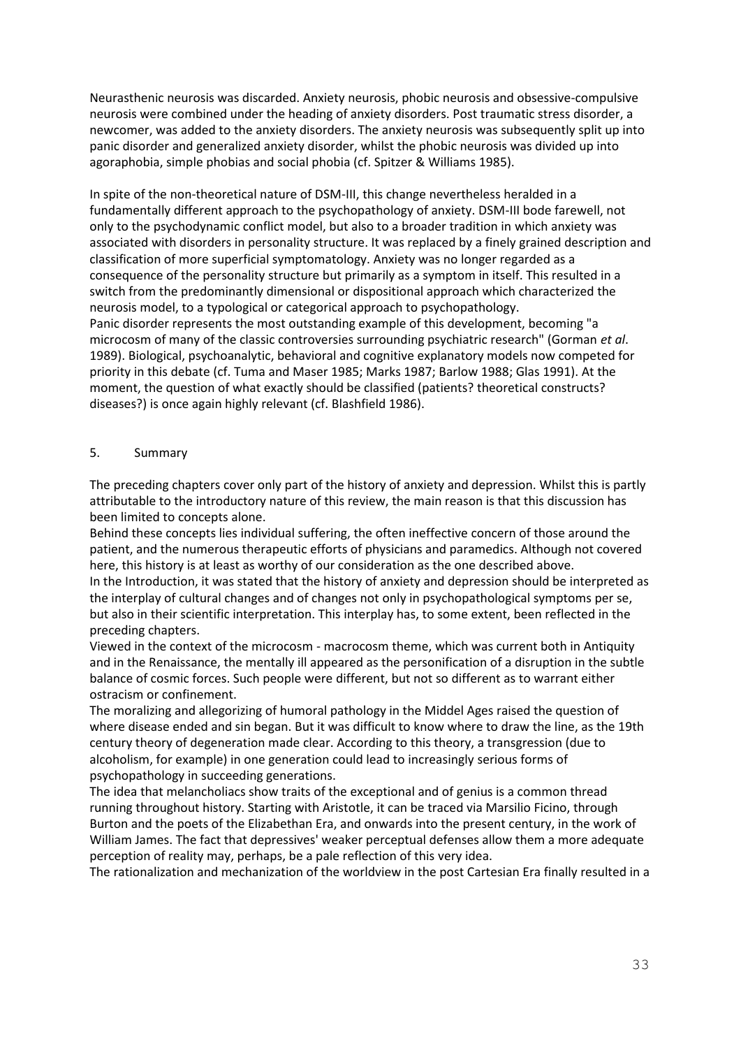Neurasthenic neurosis was discarded. Anxiety neurosis, phobic neurosis and obsessive-compulsive neurosis were combined under the heading of anxiety disorders. Post traumatic stress disorder, a newcomer, was added to the anxiety disorders. The anxiety neurosis was subsequently split up into panic disorder and generalized anxiety disorder, whilst the phobic neurosis was divided up into agoraphobia, simple phobias and social phobia (cf. Spitzer & Williams 1985).

In spite of the non-theoretical nature of DSM-III, this change nevertheless heralded in a fundamentally different approach to the psychopathology of anxiety. DSM-III bode farewell, not only to the psychodynamic conflict model, but also to a broader tradition in which anxiety was associated with disorders in personality structure. It was replaced by a finely grained description and classification of more superficial symptomatology. Anxiety was no longer regarded as a consequence of the personality structure but primarily as a symptom in itself. This resulted in a switch from the predominantly dimensional or dispositional approach which characterized the neurosis model, to a typological or categorical approach to psychopathology. Panic disorder represents the most outstanding example of this development, becoming "a microcosm of many of the classic controversies surrounding psychiatric research" (Gorman *et al*. 1989). Biological, psychoanalytic, behavioral and cognitive explanatory models now competed for priority in this debate (cf. Tuma and Maser 1985; Marks 1987; Barlow 1988; Glas 1991). At the moment, the question of what exactly should be classified (patients? theoretical constructs? diseases?) is once again highly relevant (cf. Blashfield 1986).

# 5. Summary

The preceding chapters cover only part of the history of anxiety and depression. Whilst this is partly attributable to the introductory nature of this review, the main reason is that this discussion has been limited to concepts alone.

Behind these concepts lies individual suffering, the often ineffective concern of those around the patient, and the numerous therapeutic efforts of physicians and paramedics. Although not covered here, this history is at least as worthy of our consideration as the one described above. In the Introduction, it was stated that the history of anxiety and depression should be interpreted as the interplay of cultural changes and of changes not only in psychopathological symptoms per se, but also in their scientific interpretation. This interplay has, to some extent, been reflected in the preceding chapters.

Viewed in the context of the microcosm - macrocosm theme, which was current both in Antiquity and in the Renaissance, the mentally ill appeared as the personification of a disruption in the subtle balance of cosmic forces. Such people were different, but not so different as to warrant either ostracism or confinement.

The moralizing and allegorizing of humoral pathology in the Middel Ages raised the question of where disease ended and sin began. But it was difficult to know where to draw the line, as the 19th century theory of degeneration made clear. According to this theory, a transgression (due to alcoholism, for example) in one generation could lead to increasingly serious forms of psychopathology in succeeding generations.

The idea that melancholiacs show traits of the exceptional and of genius is a common thread running throughout history. Starting with Aristotle, it can be traced via Marsilio Ficino, through Burton and the poets of the Elizabethan Era, and onwards into the present century, in the work of William James. The fact that depressives' weaker perceptual defenses allow them a more adequate perception of reality may, perhaps, be a pale reflection of this very idea.

The rationalization and mechanization of the worldview in the post Cartesian Era finally resulted in a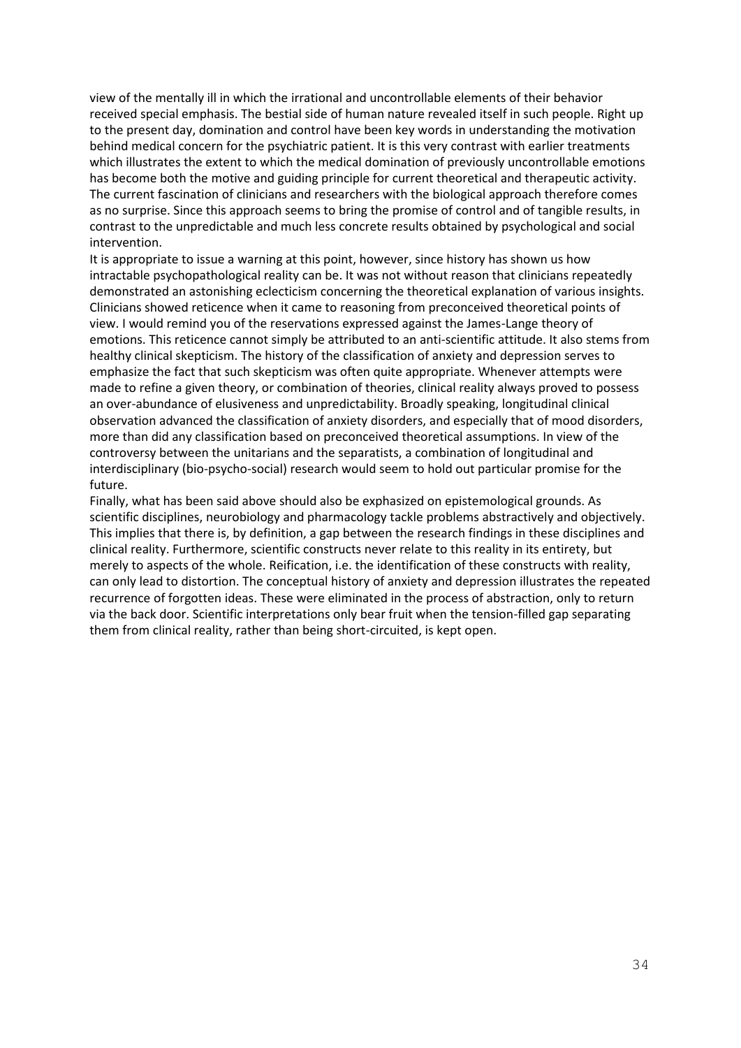view of the mentally ill in which the irrational and uncontrollable elements of their behavior received special emphasis. The bestial side of human nature revealed itself in such people. Right up to the present day, domination and control have been key words in understanding the motivation behind medical concern for the psychiatric patient. It is this very contrast with earlier treatments which illustrates the extent to which the medical domination of previously uncontrollable emotions has become both the motive and guiding principle for current theoretical and therapeutic activity. The current fascination of clinicians and researchers with the biological approach therefore comes as no surprise. Since this approach seems to bring the promise of control and of tangible results, in contrast to the unpredictable and much less concrete results obtained by psychological and social intervention.

It is appropriate to issue a warning at this point, however, since history has shown us how intractable psychopathological reality can be. It was not without reason that clinicians repeatedly demonstrated an astonishing eclecticism concerning the theoretical explanation of various insights. Clinicians showed reticence when it came to reasoning from preconceived theoretical points of view. I would remind you of the reservations expressed against the James-Lange theory of emotions. This reticence cannot simply be attributed to an anti-scientific attitude. It also stems from healthy clinical skepticism. The history of the classification of anxiety and depression serves to emphasize the fact that such skepticism was often quite appropriate. Whenever attempts were made to refine a given theory, or combination of theories, clinical reality always proved to possess an over-abundance of elusiveness and unpredictability. Broadly speaking, longitudinal clinical observation advanced the classification of anxiety disorders, and especially that of mood disorders, more than did any classification based on preconceived theoretical assumptions. In view of the controversy between the unitarians and the separatists, a combination of longitudinal and interdisciplinary (bio-psycho-social) research would seem to hold out particular promise for the future.

Finally, what has been said above should also be exphasized on epistemological grounds. As scientific disciplines, neurobiology and pharmacology tackle problems abstractively and objectively. This implies that there is, by definition, a gap between the research findings in these disciplines and clinical reality. Furthermore, scientific constructs never relate to this reality in its entirety, but merely to aspects of the whole. Reification, i.e. the identification of these constructs with reality, can only lead to distortion. The conceptual history of anxiety and depression illustrates the repeated recurrence of forgotten ideas. These were eliminated in the process of abstraction, only to return via the back door. Scientific interpretations only bear fruit when the tension-filled gap separating them from clinical reality, rather than being short-circuited, is kept open.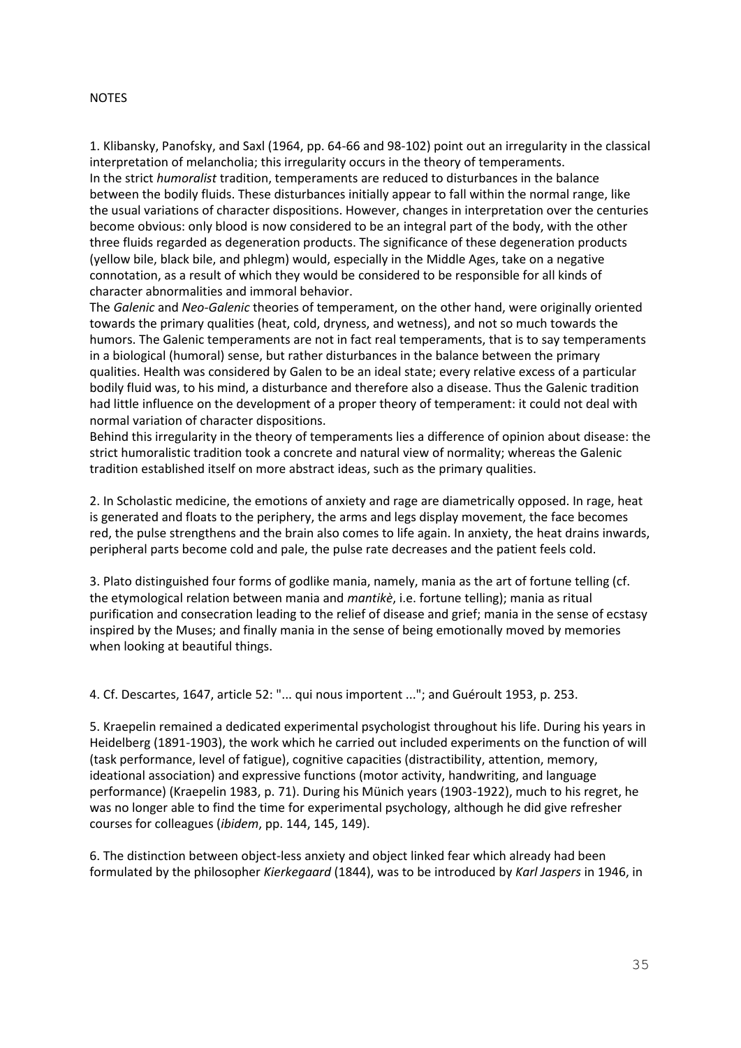# **NOTES**

1. Klibansky, Panofsky, and Saxl (1964, pp. 64-66 and 98-102) point out an irregularity in the classical interpretation of melancholia; this irregularity occurs in the theory of temperaments.

In the strict *humoralist* tradition, temperaments are reduced to disturbances in the balance between the bodily fluids. These disturbances initially appear to fall within the normal range, like the usual variations of character dispositions. However, changes in interpretation over the centuries become obvious: only blood is now considered to be an integral part of the body, with the other three fluids regarded as degeneration products. The significance of these degeneration products (yellow bile, black bile, and phlegm) would, especially in the Middle Ages, take on a negative connotation, as a result of which they would be considered to be responsible for all kinds of character abnormalities and immoral behavior.

The *Galenic* and *Neo-Galenic* theories of temperament, on the other hand, were originally oriented towards the primary qualities (heat, cold, dryness, and wetness), and not so much towards the humors. The Galenic temperaments are not in fact real temperaments, that is to say temperaments in a biological (humoral) sense, but rather disturbances in the balance between the primary qualities. Health was considered by Galen to be an ideal state; every relative excess of a particular bodily fluid was, to his mind, a disturbance and therefore also a disease. Thus the Galenic tradition had little influence on the development of a proper theory of temperament: it could not deal with normal variation of character dispositions.

Behind this irregularity in the theory of temperaments lies a difference of opinion about disease: the strict humoralistic tradition took a concrete and natural view of normality; whereas the Galenic tradition established itself on more abstract ideas, such as the primary qualities.

2. In Scholastic medicine, the emotions of anxiety and rage are diametrically opposed. In rage, heat is generated and floats to the periphery, the arms and legs display movement, the face becomes red, the pulse strengthens and the brain also comes to life again. In anxiety, the heat drains inwards, peripheral parts become cold and pale, the pulse rate decreases and the patient feels cold.

3. Plato distinguished four forms of godlike mania, namely, mania as the art of fortune telling (cf. the etymological relation between mania and *mantikè*, i.e. fortune telling); mania as ritual purification and consecration leading to the relief of disease and grief; mania in the sense of ecstasy inspired by the Muses; and finally mania in the sense of being emotionally moved by memories when looking at beautiful things.

4. Cf. Descartes, 1647, article 52: "... qui nous importent ..."; and Guéroult 1953, p. 253.

5. Kraepelin remained a dedicated experimental psychologist throughout his life. During his years in Heidelberg (1891-1903), the work which he carried out included experiments on the function of will (task performance, level of fatigue), cognitive capacities (distractibility, attention, memory, ideational association) and expressive functions (motor activity, handwriting, and language performance) (Kraepelin 1983, p. 71). During his Münich years (1903-1922), much to his regret, he was no longer able to find the time for experimental psychology, although he did give refresher courses for colleagues (*ibidem*, pp. 144, 145, 149).

6. The distinction between object-less anxiety and object linked fear which already had been formulated by the philosopher *Kierkegaard* (1844), was to be introduced by *Karl Jaspers* in 1946, in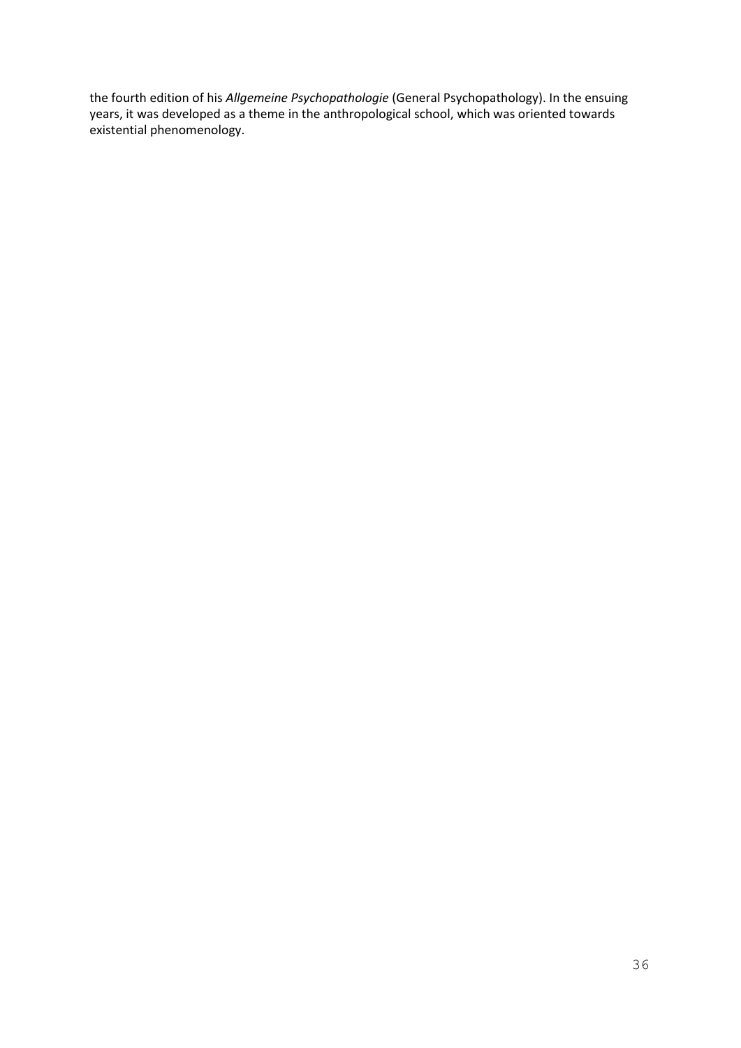the fourth edition of his *Allgemeine Psychopathologie* (General Psychopathology). In the ensuing years, it was developed as a theme in the anthropological school, which was oriented towards existential phenomenology.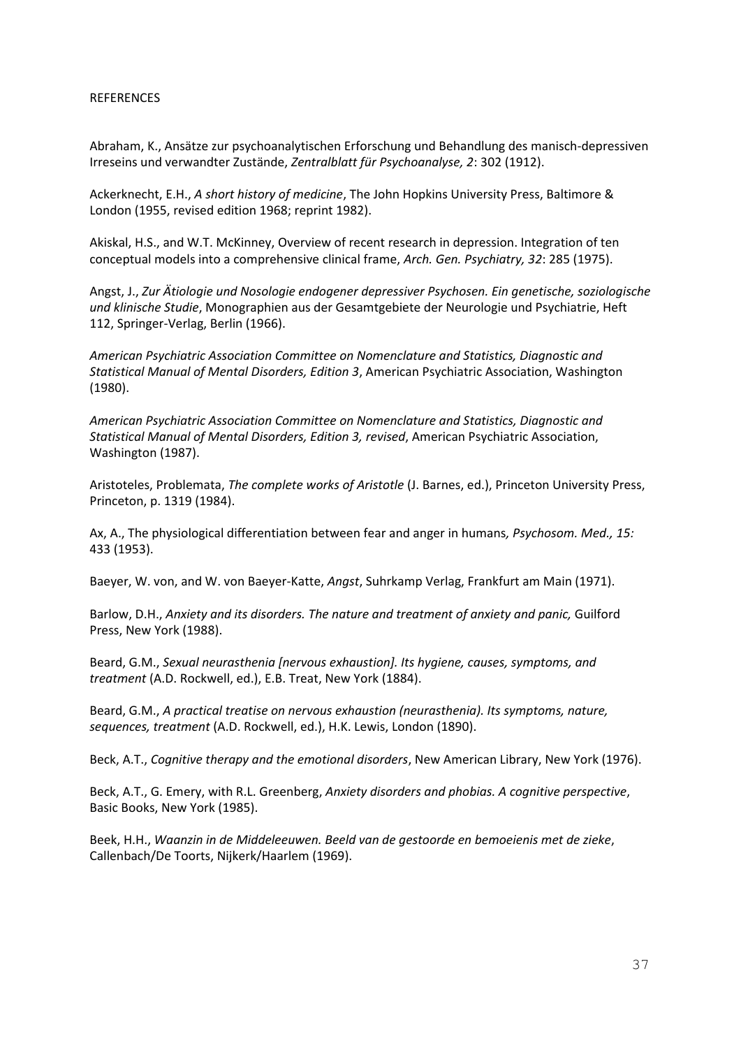#### REFERENCES

Abraham, K., Ansätze zur psychoanalytischen Erforschung und Behandlung des manisch-depressiven Irreseins und verwandter Zustände, *Zentralblatt für Psychoanalyse, 2*: 302 (1912).

Ackerknecht, E.H., *A short history of medicine*, The John Hopkins University Press, Baltimore & London (1955, revised edition 1968; reprint 1982).

Akiskal, H.S., and W.T. McKinney, Overview of recent research in depression. Integration of ten conceptual models into a comprehensive clinical frame, *Arch. Gen. Psychiatry, 32*: 285 (1975).

Angst, J., *Zur Ätiologie und Nosologie endogener depressiver Psychosen. Ein genetische, soziologische und klinische Studie*, Monographien aus der Gesamtgebiete der Neurologie und Psychiatrie, Heft 112, Springer-Verlag, Berlin (1966).

*American Psychiatric Association Committee on Nomenclature and Statistics, Diagnostic and Statistical Manual of Mental Disorders, Edition 3*, American Psychiatric Association, Washington (1980).

*American Psychiatric Association Committee on Nomenclature and Statistics, Diagnostic and Statistical Manual of Mental Disorders, Edition 3, revised*, American Psychiatric Association, Washington (1987).

Aristoteles, Problemata, *The complete works of Aristotle* (J. Barnes, ed.), Princeton University Press, Princeton, p. 1319 (1984).

Ax, A., The physiological differentiation between fear and anger in humans*, Psychosom. Med., 15:* 433 (1953).

Baeyer, W. von, and W. von Baeyer-Katte, *Angst*, Suhrkamp Verlag, Frankfurt am Main (1971).

Barlow, D.H., *Anxiety and its disorders. The nature and treatment of anxiety and panic,* Guilford Press, New York (1988).

Beard, G.M., *Sexual neurasthenia [nervous exhaustion]. Its hygiene, causes, symptoms, and treatment* (A.D. Rockwell, ed.), E.B. Treat, New York (1884).

Beard, G.M., *A practical treatise on nervous exhaustion (neurasthenia). Its symptoms, nature, sequences, treatment* (A.D. Rockwell, ed.), H.K. Lewis, London (1890).

Beck, A.T., *Cognitive therapy and the emotional disorders*, New American Library, New York (1976).

Beck, A.T., G. Emery, with R.L. Greenberg, *Anxiety disorders and phobias. A cognitive perspective*, Basic Books, New York (1985).

Beek, H.H., *Waanzin in de Middeleeuwen. Beeld van de gestoorde en bemoeienis met de zieke*, Callenbach/De Toorts, Nijkerk/Haarlem (1969).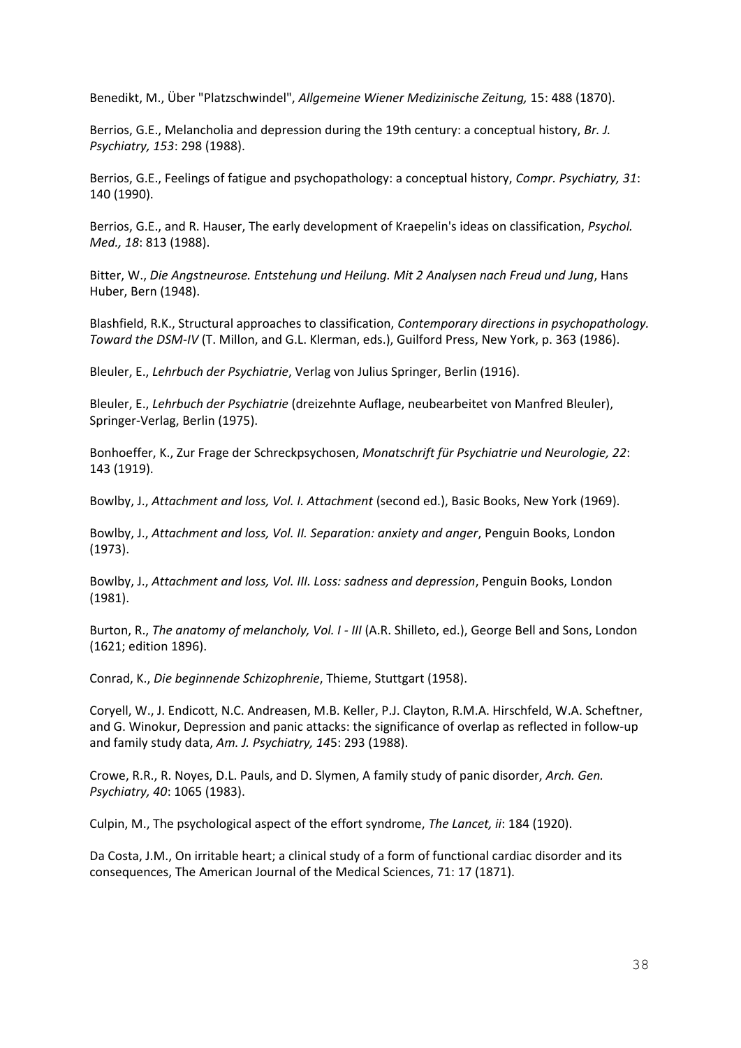Benedikt, M., Über "Platzschwindel", *Allgemeine Wiener Medizinische Zeitung,* 15: 488 (1870).

Berrios, G.E., Melancholia and depression during the 19th century: a conceptual history, *Br. J. Psychiatry, 153*: 298 (1988).

Berrios, G.E., Feelings of fatigue and psychopathology: a conceptual history, *Compr. Psychiatry, 31*: 140 (1990).

Berrios, G.E., and R. Hauser, The early development of Kraepelin's ideas on classification, *Psychol. Med., 18*: 813 (1988).

Bitter, W., *Die Angstneurose. Entstehung und Heilung. Mit 2 Analysen nach Freud und Jung*, Hans Huber, Bern (1948).

Blashfield, R.K., Structural approaches to classification, *Contemporary directions in psychopathology. Toward the DSM-IV* (T. Millon, and G.L. Klerman, eds.), Guilford Press, New York, p. 363 (1986).

Bleuler, E., *Lehrbuch der Psychiatrie*, Verlag von Julius Springer, Berlin (1916).

Bleuler, E., *Lehrbuch der Psychiatrie* (dreizehnte Auflage, neubearbeitet von Manfred Bleuler), Springer-Verlag, Berlin (1975).

Bonhoeffer, K., Zur Frage der Schreckpsychosen, *Monatschrift für Psychiatrie und Neurologie, 22*: 143 (1919).

Bowlby, J., *Attachment and loss, Vol. I. Attachment* (second ed.), Basic Books, New York (1969).

Bowlby, J., *Attachment and loss, Vol. II. Separation: anxiety and anger*, Penguin Books, London (1973).

Bowlby, J., *Attachment and loss, Vol. III. Loss: sadness and depression*, Penguin Books, London (1981).

Burton, R., *The anatomy of melancholy, Vol. I - III* (A.R. Shilleto, ed.), George Bell and Sons, London (1621; edition 1896).

Conrad, K., *Die beginnende Schizophrenie*, Thieme, Stuttgart (1958).

Coryell, W., J. Endicott, N.C. Andreasen, M.B. Keller, P.J. Clayton, R.M.A. Hirschfeld, W.A. Scheftner, and G. Winokur, Depression and panic attacks: the significance of overlap as reflected in follow-up and family study data, *Am. J. Psychiatry, 14*5: 293 (1988).

Crowe, R.R., R. Noyes, D.L. Pauls, and D. Slymen, A family study of panic disorder, *Arch. Gen. Psychiatry, 40*: 1065 (1983).

Culpin, M., The psychological aspect of the effort syndrome, *The Lancet, ii*: 184 (1920).

Da Costa, J.M., On irritable heart; a clinical study of a form of functional cardiac disorder and its consequences, The American Journal of the Medical Sciences, 71: 17 (1871).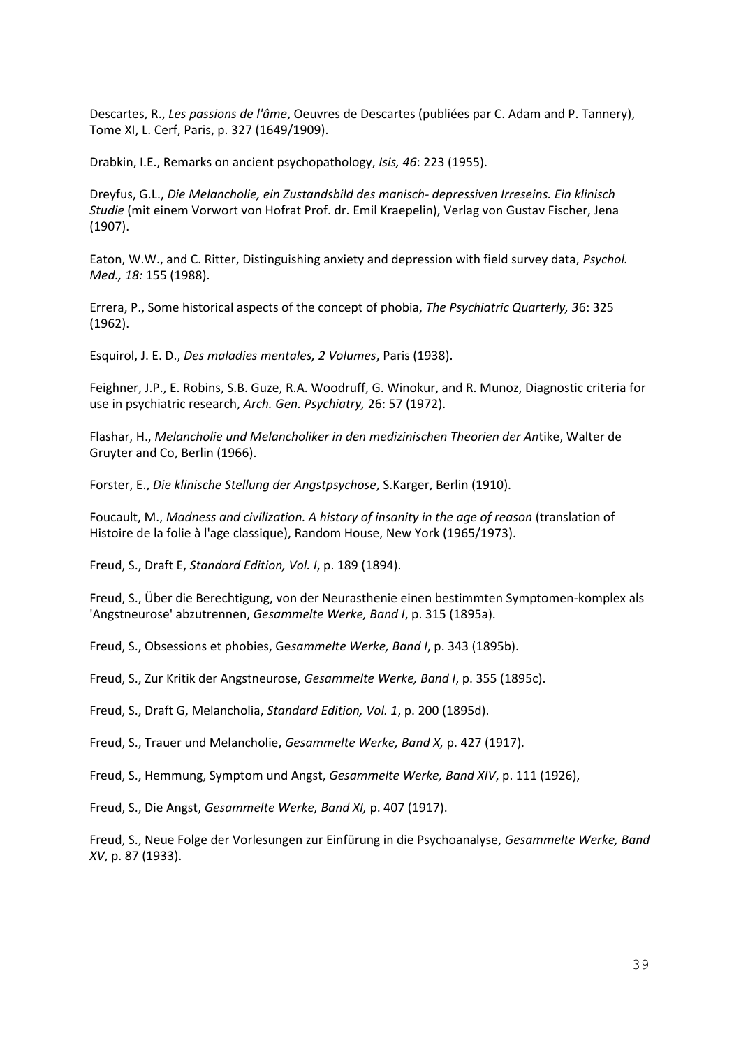Descartes, R., *Les passions de l'âme*, Oeuvres de Descartes (publiées par C. Adam and P. Tannery), Tome XI, L. Cerf, Paris, p. 327 (1649/1909).

Drabkin, I.E., Remarks on ancient psychopathology, *Isis, 46*: 223 (1955).

Dreyfus, G.L., *Die Melancholie, ein Zustandsbild des manisch- depressiven Irreseins. Ein klinisch Studie* (mit einem Vorwort von Hofrat Prof. dr. Emil Kraepelin), Verlag von Gustav Fischer, Jena (1907).

Eaton, W.W., and C. Ritter, Distinguishing anxiety and depression with field survey data, *Psychol. Med., 18:* 155 (1988).

Errera, P., Some historical aspects of the concept of phobia, *The Psychiatric Quarterly, 3*6: 325 (1962).

Esquirol, J. E. D., *Des maladies mentales, 2 Volumes*, Paris (1938).

Feighner, J.P., E. Robins, S.B. Guze, R.A. Woodruff, G. Winokur, and R. Munoz, Diagnostic criteria for use in psychiatric research, *Arch. Gen. Psychiatry,* 26: 57 (1972).

Flashar, H., *Melancholie und Melancholiker in den medizinischen Theorien der An*tike, Walter de Gruyter and Co, Berlin (1966).

Forster, E., *Die klinische Stellung der Angstpsychose*, S.Karger, Berlin (1910).

Foucault, M., *Madness and civilization. A history of insanity in the age of reason* (translation of Histoire de la folie à l'age classique), Random House, New York (1965/1973).

Freud, S., Draft E, *Standard Edition, Vol. I*, p. 189 (1894).

Freud, S., Über die Berechtigung, von der Neurasthenie einen bestimmten Symptomen-komplex als 'Angstneurose' abzutrennen, *Gesammelte Werke, Band I*, p. 315 (1895a).

Freud, S., Obsessions et phobies, Ge*sammelte Werke, Band I*, p. 343 (1895b).

Freud, S., Zur Kritik der Angstneurose, *Gesammelte Werke, Band I*, p. 355 (1895c).

Freud, S., Draft G, Melancholia, *Standard Edition, Vol. 1*, p. 200 (1895d).

Freud, S., Trauer und Melancholie, *Gesammelte Werke, Band X,* p. 427 (1917).

Freud, S., Hemmung, Symptom und Angst, *Gesammelte Werke, Band XIV*, p. 111 (1926),

Freud, S., Die Angst, *Gesammelte Werke, Band XI,* p. 407 (1917).

Freud, S., Neue Folge der Vorlesungen zur Einfürung in die Psychoanalyse, *Gesammelte Werke, Band XV*, p. 87 (1933).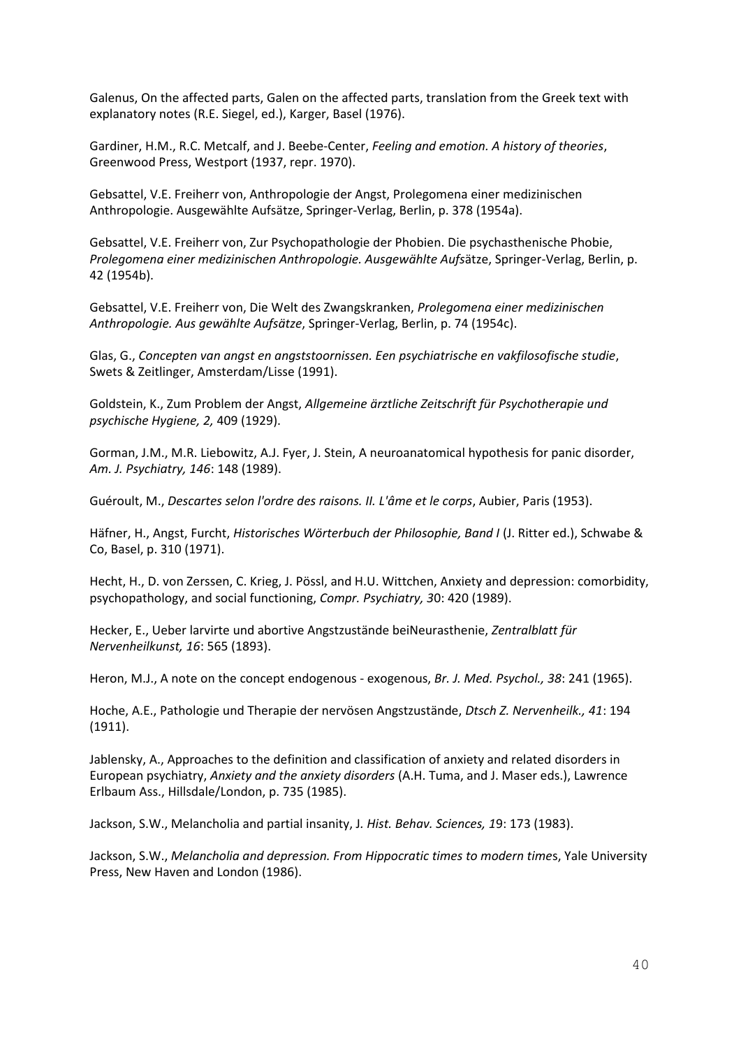Galenus, On the affected parts, Galen on the affected parts, translation from the Greek text with explanatory notes (R.E. Siegel, ed.), Karger, Basel (1976).

Gardiner, H.M., R.C. Metcalf, and J. Beebe-Center, *Feeling and emotion. A history of theories*, Greenwood Press, Westport (1937, repr. 1970).

Gebsattel, V.E. Freiherr von, Anthropologie der Angst, Prolegomena einer medizinischen Anthropologie. Ausgewählte Aufsätze, Springer-Verlag, Berlin, p. 378 (1954a).

Gebsattel, V.E. Freiherr von, Zur Psychopathologie der Phobien. Die psychasthenische Phobie, *Prolegomena einer medizinischen Anthropologie. Ausgewählte Aufs*ätze, Springer-Verlag, Berlin, p. 42 (1954b).

Gebsattel, V.E. Freiherr von, Die Welt des Zwangskranken, *Prolegomena einer medizinischen Anthropologie. Aus gewählte Aufsätze*, Springer-Verlag, Berlin, p. 74 (1954c).

Glas, G., *Concepten van angst en angststoornissen. Een psychiatrische en vakfilosofische studie*, Swets & Zeitlinger, Amsterdam/Lisse (1991).

Goldstein, K., Zum Problem der Angst, *Allgemeine ärztliche Zeitschrift für Psychotherapie und psychische Hygiene, 2,* 409 (1929).

Gorman, J.M., M.R. Liebowitz, A.J. Fyer, J. Stein, A neuroanatomical hypothesis for panic disorder, *Am. J. Psychiatry, 146*: 148 (1989).

Guéroult, M., *Descartes selon l'ordre des raisons. II. L'âme et le corps*, Aubier, Paris (1953).

Häfner, H., Angst, Furcht, *Historisches Wörterbuch der Philosophie, Band I* (J. Ritter ed.), Schwabe & Co, Basel, p. 310 (1971).

Hecht, H., D. von Zerssen, C. Krieg, J. Pössl, and H.U. Wittchen, Anxiety and depression: comorbidity, psychopathology, and social functioning, *Compr. Psychiatry, 3*0: 420 (1989).

Hecker, E., Ueber larvirte und abortive Angstzustände beiNeurasthenie, *Zentralblatt für Nervenheilkunst, 16*: 565 (1893).

Heron, M.J., A note on the concept endogenous - exogenous, *Br. J. Med. Psychol., 38*: 241 (1965).

Hoche, A.E., Pathologie und Therapie der nervösen Angstzustände, *Dtsch Z. Nervenheilk., 41*: 194 (1911).

Jablensky, A., Approaches to the definition and classification of anxiety and related disorders in European psychiatry, *Anxiety and the anxiety disorders* (A.H. Tuma, and J. Maser eds.), Lawrence Erlbaum Ass., Hillsdale/London, p. 735 (1985).

Jackson, S.W., Melancholia and partial insanity, J*. Hist. Behav. Sciences, 1*9: 173 (1983).

Jackson, S.W., *Melancholia and depression. From Hippocratic times to modern time*s, Yale University Press, New Haven and London (1986).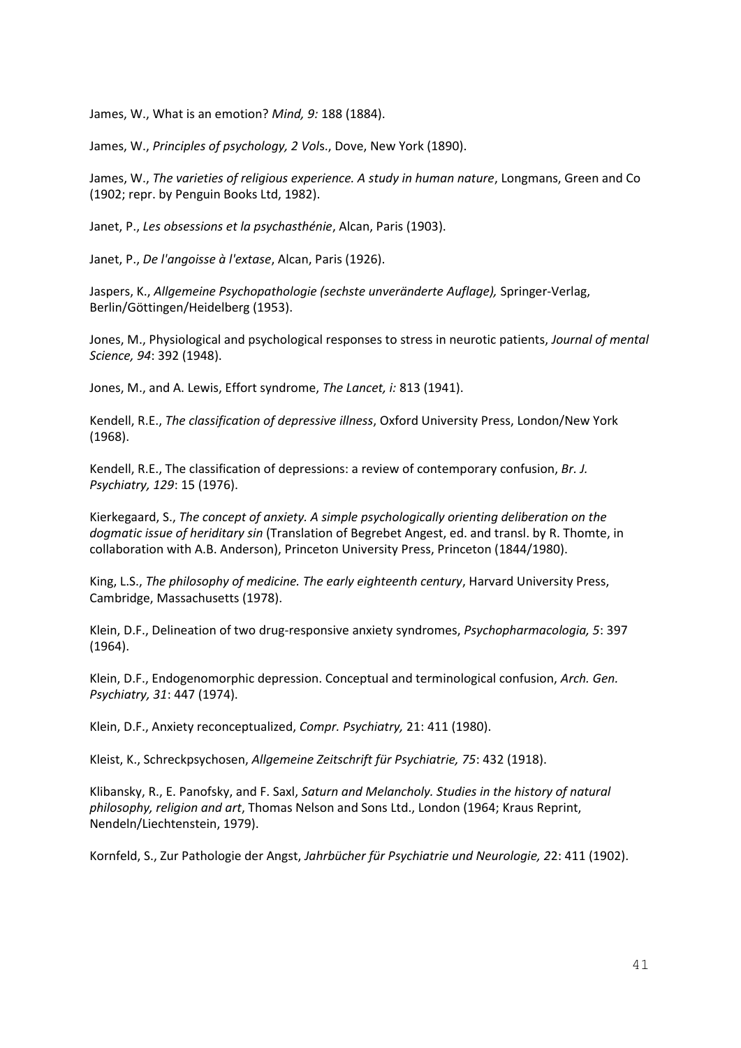James, W., What is an emotion? *Mind, 9:* 188 (1884).

James, W., *Principles of psychology, 2 Vol*s., Dove, New York (1890).

James, W., *The varieties of religious experience. A study in human nature*, Longmans, Green and Co (1902; repr. by Penguin Books Ltd, 1982).

Janet, P., *Les obsessions et la psychasthénie*, Alcan, Paris (1903).

Janet, P., *De l'angoisse à l'extase*, Alcan, Paris (1926).

Jaspers, K., *Allgemeine Psychopathologie (sechste unveränderte Auflage),* Springer-Verlag, Berlin/Göttingen/Heidelberg (1953).

Jones, M., Physiological and psychological responses to stress in neurotic patients, *Journal of mental Science, 94*: 392 (1948).

Jones, M., and A. Lewis, Effort syndrome, *The Lancet, i:* 813 (1941).

Kendell, R.E., *The classification of depressive illness*, Oxford University Press, London/New York (1968).

Kendell, R.E., The classification of depressions: a review of contemporary confusion, *Br. J. Psychiatry, 129*: 15 (1976).

Kierkegaard, S., *The concept of anxiety. A simple psychologically orienting deliberation on the dogmatic issue of heriditary sin* (Translation of Begrebet Angest, ed. and transl. by R. Thomte, in collaboration with A.B. Anderson), Princeton University Press, Princeton (1844/1980).

King, L.S., *The philosophy of medicine. The early eighteenth century*, Harvard University Press, Cambridge, Massachusetts (1978).

Klein, D.F., Delineation of two drug-responsive anxiety syndromes, *Psychopharmacologia, 5*: 397 (1964).

Klein, D.F., Endogenomorphic depression. Conceptual and terminological confusion, *Arch. Gen. Psychiatry, 31*: 447 (1974).

Klein, D.F., Anxiety reconceptualized, *Compr. Psychiatry,* 21: 411 (1980).

Kleist, K., Schreckpsychosen, *Allgemeine Zeitschrift für Psychiatrie, 75*: 432 (1918).

Klibansky, R., E. Panofsky, and F. Saxl, *Saturn and Melancholy. Studies in the history of natural philosophy, religion and art*, Thomas Nelson and Sons Ltd., London (1964; Kraus Reprint, Nendeln/Liechtenstein, 1979).

Kornfeld, S., Zur Pathologie der Angst, *Jahrbücher für Psychiatrie und Neurologie, 2*2: 411 (1902).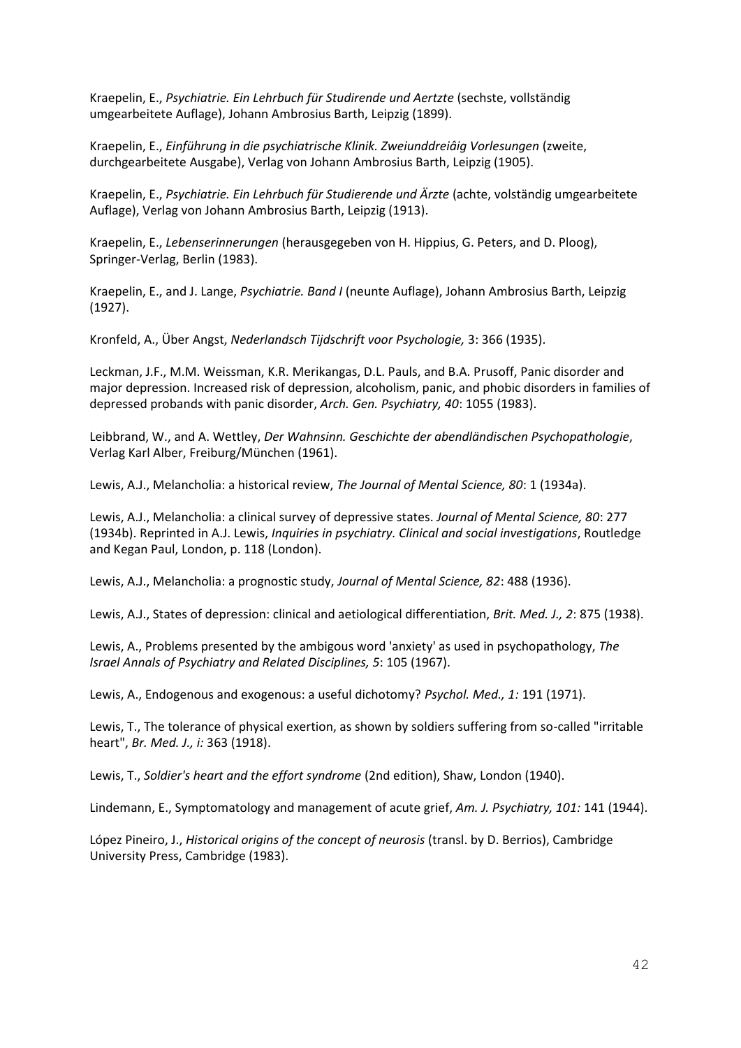Kraepelin, E., *Psychiatrie. Ein Lehrbuch für Studirende und Aertzte* (sechste, vollständig umgearbeitete Auflage), Johann Ambrosius Barth, Leipzig (1899).

Kraepelin, E., *Einführung in die psychiatrische Klinik. Zweiunddreiâig Vorlesungen* (zweite, durchgearbeitete Ausgabe), Verlag von Johann Ambrosius Barth, Leipzig (1905).

Kraepelin, E., *Psychiatrie. Ein Lehrbuch für Studierende und Ärzte* (achte, volständig umgearbeitete Auflage), Verlag von Johann Ambrosius Barth, Leipzig (1913).

Kraepelin, E., *Lebenserinnerungen* (herausgegeben von H. Hippius, G. Peters, and D. Ploog), Springer-Verlag, Berlin (1983).

Kraepelin, E., and J. Lange, *Psychiatrie. Band I* (neunte Auflage), Johann Ambrosius Barth, Leipzig (1927).

Kronfeld, A., Über Angst, *Nederlandsch Tijdschrift voor Psychologie,* 3: 366 (1935).

Leckman, J.F., M.M. Weissman, K.R. Merikangas, D.L. Pauls, and B.A. Prusoff, Panic disorder and major depression. Increased risk of depression, alcoholism, panic, and phobic disorders in families of depressed probands with panic disorder, *Arch. Gen. Psychiatry, 40*: 1055 (1983).

Leibbrand, W., and A. Wettley, *Der Wahnsinn. Geschichte der abendländischen Psychopathologie*, Verlag Karl Alber, Freiburg/München (1961).

Lewis, A.J., Melancholia: a historical review, *The Journal of Mental Science, 80*: 1 (1934a).

Lewis, A.J., Melancholia: a clinical survey of depressive states. *Journal of Mental Science, 80*: 277 (1934b). Reprinted in A.J. Lewis, *Inquiries in psychiatry. Clinical and social investigations*, Routledge and Kegan Paul, London, p. 118 (London).

Lewis, A.J., Melancholia: a prognostic study, *Journal of Mental Science, 82*: 488 (1936).

Lewis, A.J., States of depression: clinical and aetiological differentiation, *Brit. Med. J., 2*: 875 (1938).

Lewis, A., Problems presented by the ambigous word 'anxiety' as used in psychopathology, *The Israel Annals of Psychiatry and Related Disciplines, 5*: 105 (1967).

Lewis, A., Endogenous and exogenous: a useful dichotomy? *Psychol. Med., 1:* 191 (1971).

Lewis, T., The tolerance of physical exertion, as shown by soldiers suffering from so-called "irritable heart", *Br. Med. J., i:* 363 (1918).

Lewis, T., *Soldier's heart and the effort syndrome* (2nd edition), Shaw, London (1940).

Lindemann, E., Symptomatology and management of acute grief, *Am. J. Psychiatry, 101:* 141 (1944).

López Pineiro, J., *Historical origins of the concept of neurosis* (transl. by D. Berrios), Cambridge University Press, Cambridge (1983).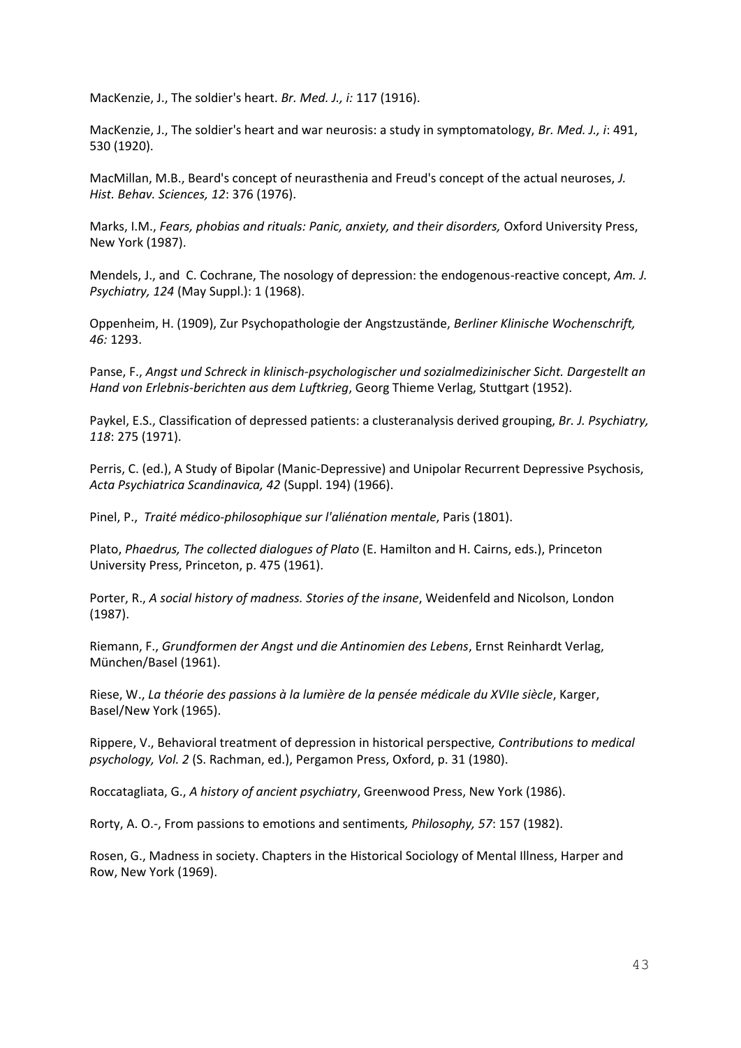MacKenzie, J., The soldier's heart. *Br. Med. J., i:* 117 (1916).

MacKenzie, J., The soldier's heart and war neurosis: a study in symptomatology, *Br. Med. J., i*: 491, 530 (1920).

MacMillan, M.B., Beard's concept of neurasthenia and Freud's concept of the actual neuroses, *J. Hist. Behav. Sciences, 12*: 376 (1976).

Marks, I.M., *Fears, phobias and rituals: Panic, anxiety, and their disorders,* Oxford University Press, New York (1987).

Mendels, J., and C. Cochrane, The nosology of depression: the endogenous-reactive concept, *Am. J. Psychiatry, 124* (May Suppl.): 1 (1968).

Oppenheim, H. (1909), Zur Psychopathologie der Angstzustände, *Berliner Klinische Wochenschrift, 46:* 1293.

Panse, F., *Angst und Schreck in klinisch-psychologischer und sozialmedizinischer Sicht. Dargestellt an Hand von Erlebnis-berichten aus dem Luftkrieg*, Georg Thieme Verlag, Stuttgart (1952).

Paykel, E.S., Classification of depressed patients: a clusteranalysis derived grouping, *Br. J. Psychiatry, 118*: 275 (1971).

Perris, C. (ed.), A Study of Bipolar (Manic-Depressive) and Unipolar Recurrent Depressive Psychosis, *Acta Psychiatrica Scandinavica, 42* (Suppl. 194) (1966).

Pinel, P., *Traité médico-philosophique sur l'aliénation mentale*, Paris (1801).

Plato, *Phaedrus, The collected dialogues of Plato* (E. Hamilton and H. Cairns, eds.), Princeton University Press, Princeton, p. 475 (1961).

Porter, R., *A social history of madness. Stories of the insane*, Weidenfeld and Nicolson, London (1987).

Riemann, F., *Grundformen der Angst und die Antinomien des Lebens*, Ernst Reinhardt Verlag, München/Basel (1961).

Riese, W., *La théorie des passions à la lumière de la pensée médicale du XVIIe siècle*, Karger, Basel/New York (1965).

Rippere, V., Behavioral treatment of depression in historical perspective*, Contributions to medical psychology, Vol. 2* (S. Rachman, ed.), Pergamon Press, Oxford, p. 31 (1980).

Roccatagliata, G., *A history of ancient psychiatry*, Greenwood Press, New York (1986).

Rorty, A. O.-, From passions to emotions and sentiments*, Philosophy, 57*: 157 (1982).

Rosen, G., Madness in society. Chapters in the Historical Sociology of Mental Illness, Harper and Row, New York (1969).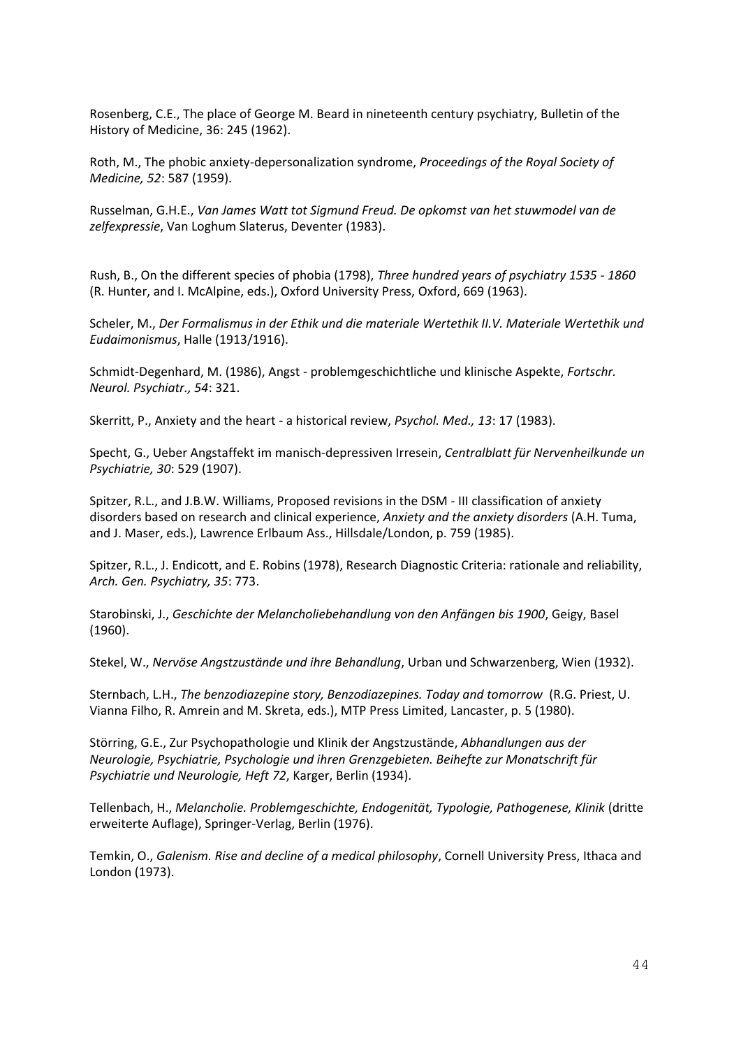Rosenberg, C.E., The place of George M. Beard in nineteenth century psychiatry, Bulletin of the History of Medicine, 36: 245 (1962).

Roth, M., The phobic anxiety-depersonalization syndrome, *Proceedings of the Royal Society of Medicine, 52*: 587 (1959).

Russelman, G.H.E., *Van James Watt tot Sigmund Freud. De opkomst van het stuwmodel van de zelfexpressie*, Van Loghum Slaterus, Deventer (1983).

Rush, B., On the different species of phobia (1798), *Three hundred years of psychiatry 1535 - 1860* (R. Hunter, and I. McAlpine, eds.), Oxford University Press, Oxford, 669 (1963).

Scheler, M., *Der Formalismus in der Ethik und die materiale Wertethik II.V. Materiale Wertethik und Eudaimonismus*, Halle (1913/1916).

Schmidt-Degenhard, M. (1986), Angst - problemgeschichtliche und klinische Aspekte, *Fortschr. Neurol. Psychiatr., 54*: 321.

Skerritt, P., Anxiety and the heart - a historical review, *Psychol. Med., 13*: 17 (1983).

Specht, G., Ueber Angstaffekt im manisch-depressiven Irresein, *Centralblatt für Nervenheilkunde un Psychiatrie, 30*: 529 (1907).

Spitzer, R.L., and J.B.W. Williams, Proposed revisions in the DSM - III classification of anxiety disorders based on research and clinical experience, *Anxiety and the anxiety disorders* (A.H. Tuma, and J. Maser, eds.), Lawrence Erlbaum Ass., Hillsdale/London, p. 759 (1985).

Spitzer, R.L., J. Endicott, and E. Robins (1978), Research Diagnostic Criteria: rationale and reliability, *Arch. Gen. Psychiatry, 35*: 773.

Starobinski, J., *Geschichte der Melancholiebehandlung von den Anfängen bis 1900*, Geigy, Basel (1960).

Stekel, W., *Nervöse Angstzustände und ihre Behandlung*, Urban und Schwarzenberg, Wien (1932).

Sternbach, L.H., *The benzodiazepine story, Benzodiazepines. Today and tomorrow* (R.G. Priest, U. Vianna Filho, R. Amrein and M. Skreta, eds.), MTP Press Limited, Lancaster, p. 5 (1980).

Störring, G.E., Zur Psychopathologie und Klinik der Angstzustände, *Abhandlungen aus der Neurologie, Psychiatrie, Psychologie und ihren Grenzgebieten. Beihefte zur Monatschrift für Psychiatrie und Neurologie, Heft 72*, Karger, Berlin (1934).

Tellenbach, H., *Melancholie. Problemgeschichte, Endogenität, Typologie, Pathogenese, Klinik* (dritte erweiterte Auflage), Springer-Verlag, Berlin (1976).

Temkin, O., *Galenism. Rise and decline of a medical philosophy*, Cornell University Press, Ithaca and London (1973).